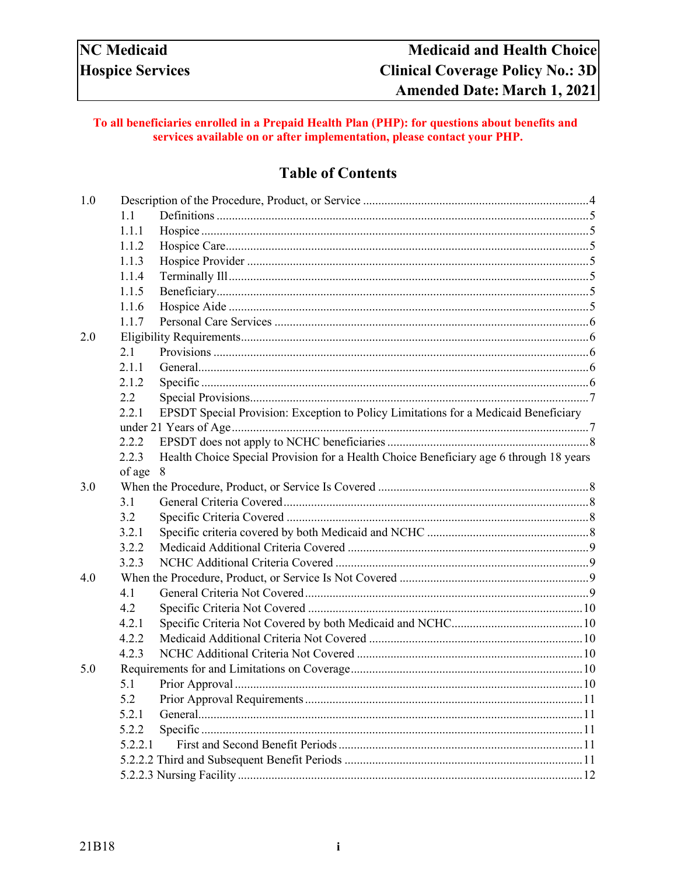### To all beneficiaries enrolled in a Prepaid Health Plan (PHP): for questions about benefits and services available on or after implementation, please contact your PHP.

# **Table of Contents**

| 1.0 |            |                                                                                        |  |
|-----|------------|----------------------------------------------------------------------------------------|--|
|     | 1.1        |                                                                                        |  |
|     | 1.1.1      |                                                                                        |  |
|     | 1.1.2      |                                                                                        |  |
|     | 1.1.3      |                                                                                        |  |
|     | 1.1.4      |                                                                                        |  |
|     | 1.1.5      |                                                                                        |  |
|     | 1.1.6      |                                                                                        |  |
|     | 1.1.7      |                                                                                        |  |
| 2.0 |            |                                                                                        |  |
|     | 2.1        |                                                                                        |  |
|     | 2.1.1      |                                                                                        |  |
|     | 2.1.2      |                                                                                        |  |
|     | 2.2        |                                                                                        |  |
|     | 2.2.1      | EPSDT Special Provision: Exception to Policy Limitations for a Medicaid Beneficiary    |  |
|     |            |                                                                                        |  |
|     | 2.2.2      |                                                                                        |  |
|     | 2.2.3      | Health Choice Special Provision for a Health Choice Beneficiary age 6 through 18 years |  |
|     | of age $8$ |                                                                                        |  |
| 3.0 |            |                                                                                        |  |
|     | 3.1        |                                                                                        |  |
|     | 3.2        |                                                                                        |  |
|     | 3.2.1      |                                                                                        |  |
|     | 3.2.2      |                                                                                        |  |
|     | 3.2.3      |                                                                                        |  |
| 4.0 |            |                                                                                        |  |
|     | 4.1        |                                                                                        |  |
|     | 4.2        |                                                                                        |  |
|     | 4.2.1      |                                                                                        |  |
|     | 4.2.2      |                                                                                        |  |
|     | 4.2.3      |                                                                                        |  |
| 5.0 |            |                                                                                        |  |
|     | 5.1        |                                                                                        |  |
|     | 5.2        |                                                                                        |  |
|     | 5.2.1      |                                                                                        |  |
|     | 5.2.2      |                                                                                        |  |
|     | 5.2.2.1    |                                                                                        |  |
|     |            |                                                                                        |  |
|     |            |                                                                                        |  |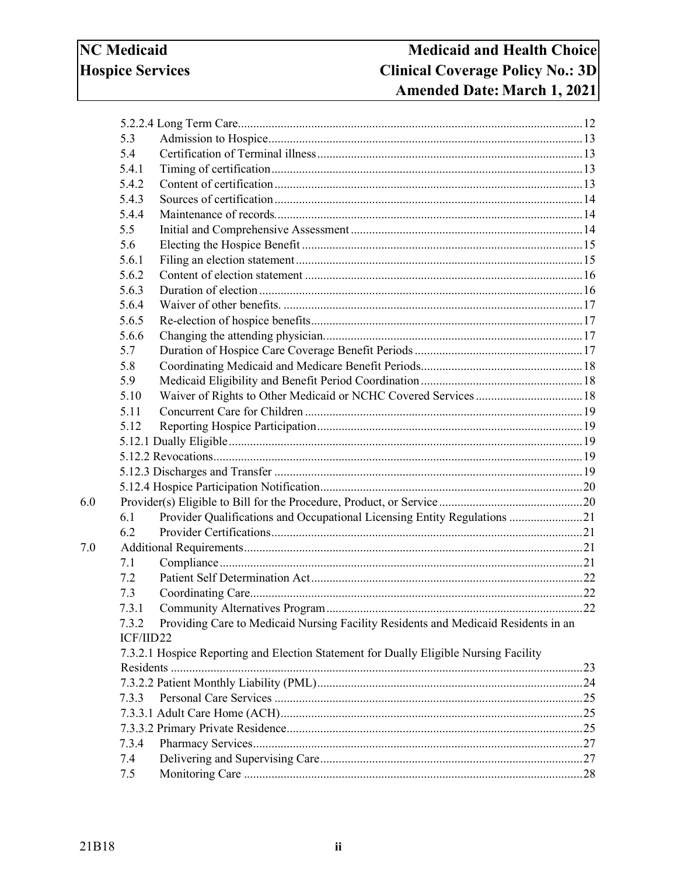| 5.3       |                                                                                       |  |
|-----------|---------------------------------------------------------------------------------------|--|
| 5.4       |                                                                                       |  |
| 5.4.1     |                                                                                       |  |
| 5.4.2     |                                                                                       |  |
| 5.4.3     |                                                                                       |  |
| 5.4.4     |                                                                                       |  |
| 5.5       |                                                                                       |  |
| 5.6       |                                                                                       |  |
| 5.6.1     |                                                                                       |  |
| 5.6.2     |                                                                                       |  |
| 5.6.3     |                                                                                       |  |
| 5.6.4     |                                                                                       |  |
| 5.6.5     |                                                                                       |  |
| 5.6.6     |                                                                                       |  |
| 5.7       |                                                                                       |  |
| 5.8       |                                                                                       |  |
| 5.9       |                                                                                       |  |
| 5.10      |                                                                                       |  |
| 5.11      |                                                                                       |  |
| 5.12      |                                                                                       |  |
|           |                                                                                       |  |
|           |                                                                                       |  |
|           |                                                                                       |  |
|           |                                                                                       |  |
|           |                                                                                       |  |
| 6.1       | Provider Qualifications and Occupational Licensing Entity Regulations 21              |  |
| 6.2       |                                                                                       |  |
|           |                                                                                       |  |
| 7.1       |                                                                                       |  |
| 7.2       |                                                                                       |  |
| 7.3       |                                                                                       |  |
| 7.3.1     |                                                                                       |  |
| 7.3.2     | Providing Care to Medicaid Nursing Facility Residents and Medicaid Residents in an    |  |
| ICF/IID22 |                                                                                       |  |
|           | 7.3.2.1 Hospice Reporting and Election Statement for Dually Eligible Nursing Facility |  |
|           |                                                                                       |  |
|           |                                                                                       |  |
| 7.3.3     |                                                                                       |  |
|           |                                                                                       |  |
|           |                                                                                       |  |
| 7.3.4     |                                                                                       |  |
| 7.4       |                                                                                       |  |
| 7.5       |                                                                                       |  |
|           |                                                                                       |  |

 $6.0$ 

 $7.0\,$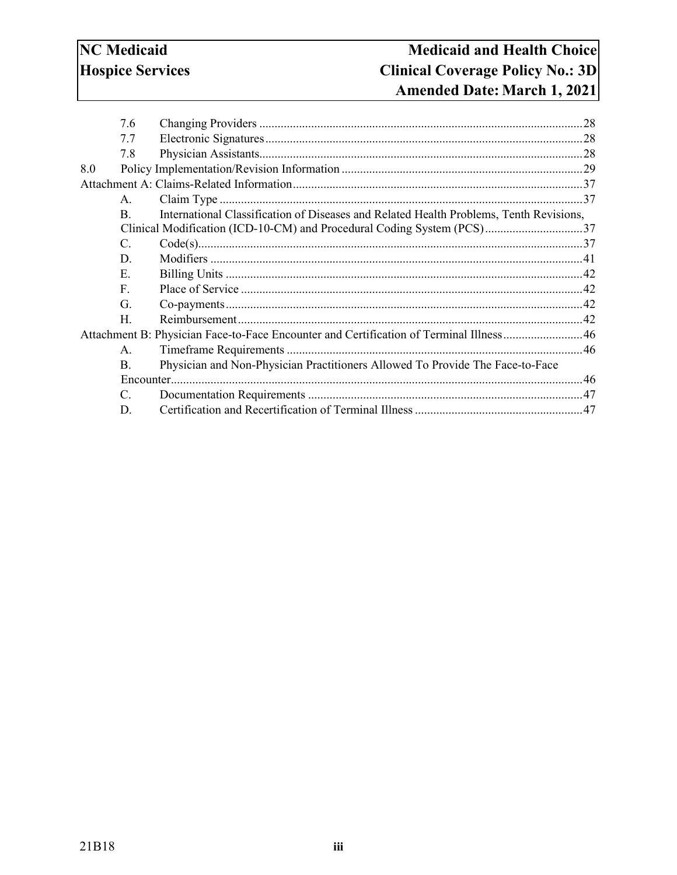|     | 7.6             |                                                                                        |  |
|-----|-----------------|----------------------------------------------------------------------------------------|--|
|     | 7.7             |                                                                                        |  |
|     | 7.8             |                                                                                        |  |
| 8.0 |                 |                                                                                        |  |
|     |                 |                                                                                        |  |
|     | $\mathsf{A}$ .  |                                                                                        |  |
|     | $\mathbf{B}$ .  | International Classification of Diseases and Related Health Problems, Tenth Revisions, |  |
|     |                 |                                                                                        |  |
|     | $\mathcal{C}$ . |                                                                                        |  |
|     | D.              |                                                                                        |  |
|     | Е.              |                                                                                        |  |
|     | F.              |                                                                                        |  |
|     | G.              |                                                                                        |  |
|     | Н.              |                                                                                        |  |
|     |                 | Attachment B: Physician Face-to-Face Encounter and Certification of Terminal Illness46 |  |
|     | A <sub>1</sub>  |                                                                                        |  |
|     | $\mathbf{B}$ .  | Physician and Non-Physician Practitioners Allowed To Provide The Face-to-Face          |  |
|     |                 |                                                                                        |  |
|     | $C_{\cdot}$     |                                                                                        |  |
|     | D.              |                                                                                        |  |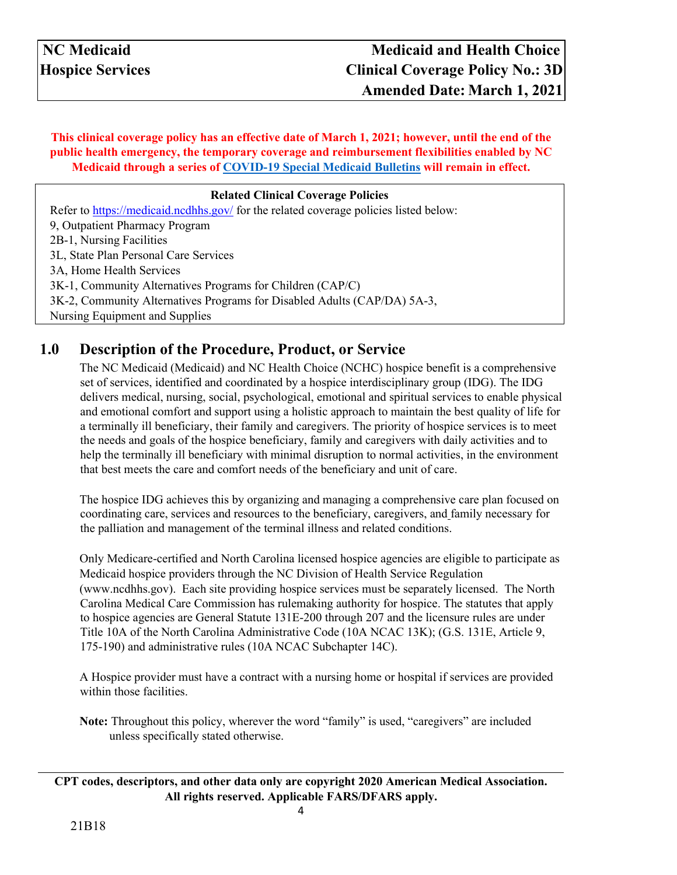**This clinical coverage policy has an effective date of March 1, 2021; however, until the end of the public health emergency, the temporary coverage and reimbursement flexibilities enabled by NC Medicaid through a series of [COVID-19 Special Medicaid Bulletins](https://medicaid.ncdhhs.gov/about-us/covid-19-guidance-and-resources/providers/covid-19-special-medicaid-bulletins) will remain in effect.**

### **Related Clinical Coverage Policies**

Refer t[o](https://medicaid.ncdhhs.gov/) <https://medicaid.ncdhhs.gov/> [f](https://medicaid.ncdhhs.gov/)or the related coverage policies listed below: 9, Outpatient Pharmacy Program 2B-1, Nursing Facilities 3L, State Plan Personal Care Services 3A, Home Health Services 3K-1, Community Alternatives Programs for Children (CAP/C) 3K-2, Community Alternatives Programs for Disabled Adults (CAP/DA) 5A-3, Nursing Equipment and Supplies

## <span id="page-3-0"></span>**1.0 Description of the Procedure, Product, or Service**

The NC Medicaid (Medicaid) and NC Health Choice (NCHC) hospice benefit is a comprehensive set of services, identified and coordinated by a hospice interdisciplinary group (IDG). The IDG delivers medical, nursing, social, psychological, emotional and spiritual services to enable physical and emotional comfort and support using a holistic approach to maintain the best quality of life for a terminally ill beneficiary, their family and caregivers. The priority of hospice services is to meet the needs and goals of the hospice beneficiary, family and caregivers with daily activities and to help the terminally ill beneficiary with minimal disruption to normal activities, in the environment that best meets the care and comfort needs of the beneficiary and unit of care.

The hospice IDG achieves this by organizing and managing a comprehensive care plan focused on coordinating care, services and resources to the beneficiary, caregivers, and family necessary for the palliation and management of the terminal illness and related conditions.

Only Medicare-certified and North Carolina licensed hospice agencies are eligible to participate as Medicaid hospice providers through the NC Division of Health Service Regulation [\(www.ncdhhs.gov\).](http://www.ncdhhs.gov/) Each site providing hospice services must be separately licensed. The [North](https://www2.ncdhhs.gov/dhsr/ncmcc/index.html)  [Carolina Medical Care Commission h](https://www2.ncdhhs.gov/dhsr/ncmcc/index.html)as rulemaking authority for hospice. The statutes that apply to hospice agencies are [General Statute 131E-200 through 207 a](http://www.ncleg.net/EnactedLegislation/Statutes/HTML/ByArticle/Chapter_131E/Article_10.html)nd the licensure rules are under Title 10A of the North Carolina Administrative Code [\(10A NCAC 13K\);](http://reports.oah.state.nc.us/ncac/title%2010a%20-%20health%20and%20human%20services/chapter%2013%20-%20nc%20medical%20care%20commission/subchapter%20k/subchapter%20k%20rules.html) [\(G.S. 131E, Article 9,](http://www.ncleg.net/EnactedLegislation/Statutes/HTML/ByArticle/Chapter_131E/Article_9.html)  [175-190\) a](http://www.ncleg.net/EnactedLegislation/Statutes/HTML/ByArticle/Chapter_131E/Article_9.html)nd administrative rules (10A NCAC [Subchapter 14C\).](http://reports.oah.state.nc.us/ncac/title%2010a%20-%20health%20and%20human%20services/chapter%2014%20-%20director,%20division%20of%20health%20service%20regulation/subchapter%20c/subchapter%20c%20rules.html)

A Hospice provider must have a contract with a nursing home or hospital if services are provided within those facilities.

**Note:** Throughout this policy, wherever the word "family" is used, "caregivers" are included unless specifically stated otherwise.

**CPT codes, descriptors, and other data only are copyright 2020 American Medical Association. All rights reserved. Applicable FARS/DFARS apply.**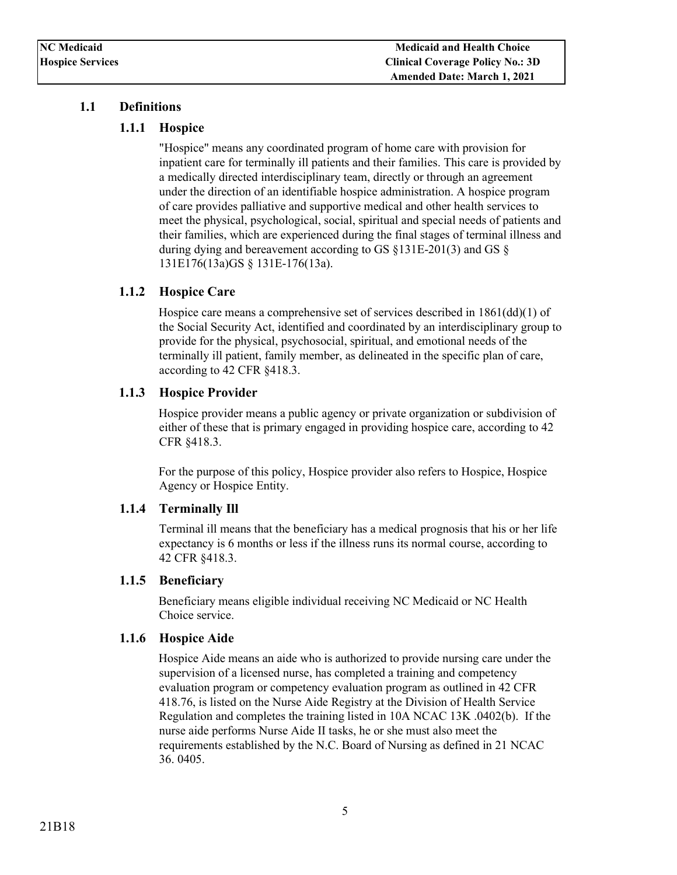### <span id="page-4-1"></span><span id="page-4-0"></span>**1.1 Definitions**

### **1.1.1 Hospice**

"Hospice" means any coordinated program of home care with provision for inpatient care for terminally ill patients and their families. This care is provided by a medically directed interdisciplinary team, directly or through an agreement under the direction of an identifiable hospice administration. A hospice program of care provides palliative and supportive medical and other health services to meet the physical, psychological, social, spiritual and special needs of patients and their families, which are experienced during the final stages of terminal illness and during dying and bereavement according to [GS §131E-201\(3\) a](http://reports.oah.state.nc.us/ncac/title%2010a%20-%20health%20and%20human%20services/chapter%2013%20-%20nc%20medical%20care%20commission/subchapter%20k/10a%20ncac%2013k%20.0102.pdf)nd [GS §](http://reports.oah.state.nc.us/ncac/title%2010a%20-%20health%20and%20human%20services/chapter%2013%20-%20nc%20medical%20care%20commission/subchapter%20k/10a%20ncac%2013k%20.0102.pdf)  [131E176\(13a\)GS § 131E-176\(13a\).](http://reports.oah.state.nc.us/ncac/title%2010a%20-%20health%20and%20human%20services/chapter%2013%20-%20nc%20medical%20care%20commission/subchapter%20k/10a%20ncac%2013k%20.0102.pdf) 

### <span id="page-4-2"></span>**1.1.2 Hospice Care**

Hospice care means a comprehensive set of services described in  $1861\text{(dd)}(1)$  of the Social Security Act, identified and coordinated by an interdisciplinary group to provide for the physical, psychosocial, spiritual, and emotional needs of the terminally ill patient, family member, as delineated in the specific plan of care, according to [42 CFR §418.3.](https://www.ecfr.gov/cgi-bin/text-idx?SID=05723e4001167ea3db418b5d3122368c&mc=true&node=pt42.3.418&rgn=div5#se42.3.418_13)

### <span id="page-4-3"></span>**1.1.3 Hospice Provider**

Hospice provider means a public agency or private organization or subdivision of either of these that is primary engaged in providing hospice care, according to [42](https://www.ecfr.gov/cgi-bin/text-idx?SID=05723e4001167ea3db418b5d3122368c&mc=true&node=pt42.3.418&rgn=div5#se42.3.418_13)  [CFR §418.3.](https://www.ecfr.gov/cgi-bin/text-idx?SID=05723e4001167ea3db418b5d3122368c&mc=true&node=pt42.3.418&rgn=div5#se42.3.418_13)

For the purpose of this policy, Hospice provider also refers to Hospice, Hospice Agency or Hospice Entity.

### <span id="page-4-4"></span>**1.1.4 Terminally Ill**

Terminal ill means that the beneficiary has a medical prognosis that his or her life expectancy is 6 months or less if the illness runs its normal course, according to [42 CFR §418.3.](https://www.ecfr.gov/cgi-bin/text-idx?SID=05723e4001167ea3db418b5d3122368c&mc=true&node=pt42.3.418&rgn=div5#se42.3.418_13)

### <span id="page-4-5"></span>**1.1.5 Beneficiary**

Beneficiary means eligible individual receiving NC Medicaid or NC Health Choice service.

#### <span id="page-4-6"></span>**1.1.6 Hospice Aide**

Hospice Aide means an aide who is authorized to provide nursing care under the supervision of a licensed nurse, has completed a training and competency evaluation program or competency evaluation program as outlined in [42 CFR](https://www.ecfr.gov/cgi-bin/text-idx?rgn=div5;node=42%3A3.0.1.1.5#se42.3.418_176)  [418.76,](https://www.ecfr.gov/cgi-bin/text-idx?rgn=div5;node=42%3A3.0.1.1.5#se42.3.418_176) is listed on the Nurse Aide Registry at the Division of Health Service Regulation and completes the training listed in [10A NCAC 13K .](http://reports.oah.state.nc.us/ncac/title%2010a%20-%20health%20and%20human%20services/chapter%2013%20-%20nc%20medical%20care%20commission/subchapter%20k/10a%20ncac%2013k%20.0402.pdf)0402(b). If the nurse aide performs Nurse Aide II tasks, he or she must also meet the requirements established by the N.C. Board of Nursing as defined in 21 NCAC 36. 0405.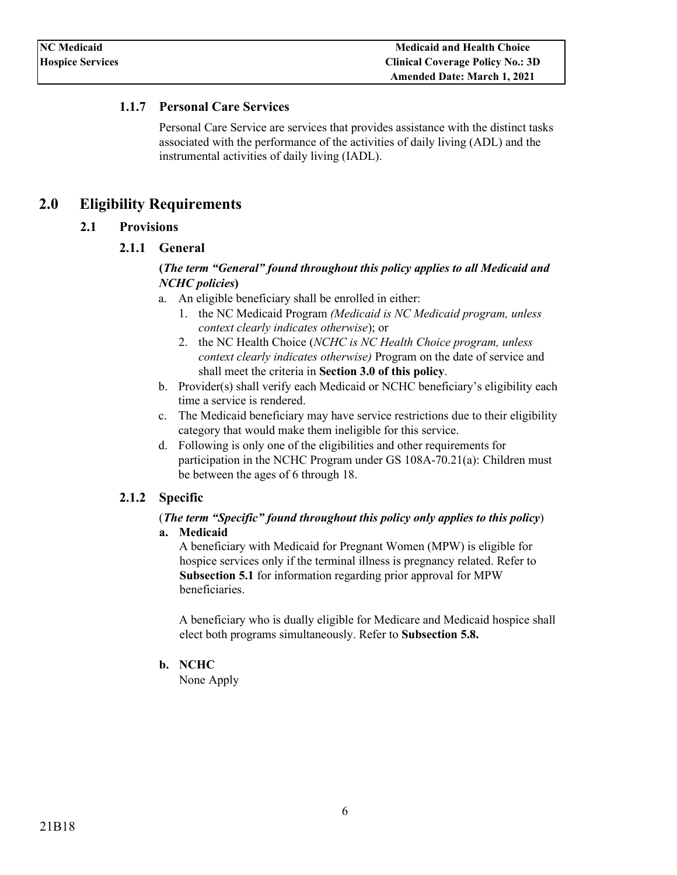### <span id="page-5-0"></span>**1.1.7 Personal Care Services**

Personal Care Service are services that provides assistance with the distinct tasks associated with the performance of the activities of daily living (ADL) and the instrumental activities of daily living (IADL).

### <span id="page-5-3"></span><span id="page-5-1"></span>**2.0 Eligibility Requirements**

### <span id="page-5-2"></span>**2.1 Provisions**

**2.1.1 General** 

### **(***The term "General" found throughout this policy applies to all Medicaid and NCHC policies***)**

- a. An eligible beneficiary shall be enrolled in either:
	- 1. the NC Medicaid Program *(Medicaid is NC Medicaid program, unless context clearly indicates otherwise*); or
	- 2. the NC Health Choice (*NCHC is NC Health Choice program, unless context clearly indicates otherwise)* Program on the date of service and shall meet the criteria in **Section 3.0 of this policy**.
- b. Provider(s) shall verify each Medicaid or NCHC beneficiary's eligibility each time a service is rendered.
- c. The Medicaid beneficiary may have service restrictions due to their eligibility category that would make them ineligible for this service.
- d. Following is only one of the eligibilities and other requirements for participation in the NCHC Program under GS 108A-70.21(a): Children must be between the ages of 6 through 18.

### <span id="page-5-4"></span>**2.1.2 Specific**

#### (*The term "Specific" found throughout this policy only applies to this policy*) **a. Medicaid**

A beneficiary with Medicaid for Pregnant Women (MPW) is eligible for hospice services only if the terminal illness is pregnancy related. Refer to **Subsection 5.1** for information regarding prior approval for MPW beneficiaries.

A beneficiary who is dually eligible for Medicare and Medicaid hospice shall elect both programs simultaneously. Refer to **Subsection 5.8.**

#### **b. NCHC**

None Apply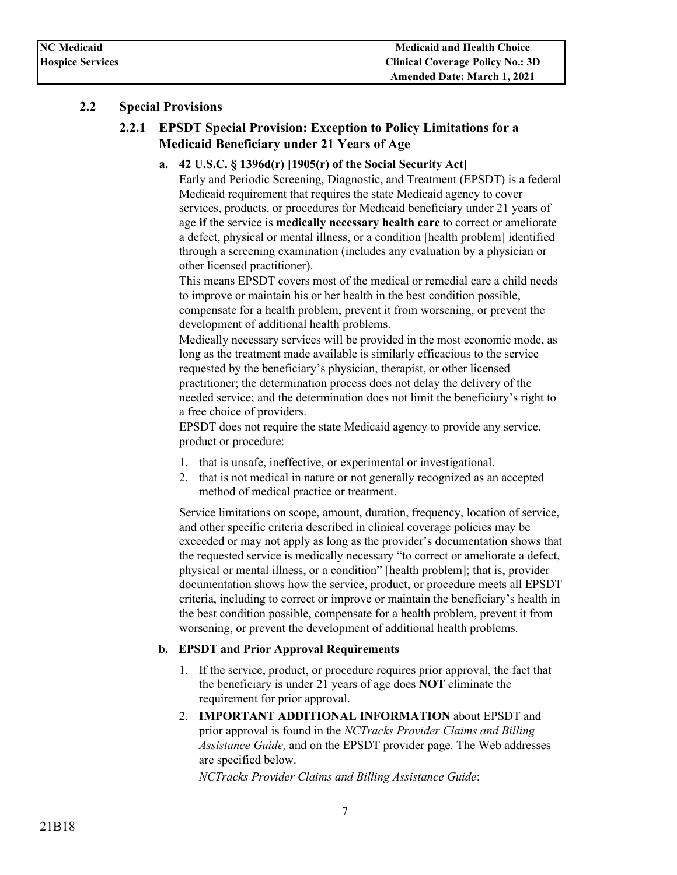### <span id="page-6-1"></span><span id="page-6-0"></span>**2.2 Special Provisions**

### **2.2.1 EPSDT Special Provision: Exception to Policy Limitations for a Medicaid Beneficiary under 21 Years of Age**

**a. 42 U.S.C. § 1396d(r) [1905(r) of the Social Security Act]** 

Early and Periodic Screening, Diagnostic, and Treatment (EPSDT) is a federal Medicaid requirement that requires the state Medicaid agency to cover services, products, or procedures for Medicaid beneficiary under 21 years of age **if** the service is **medically necessary health care** to correct or ameliorate a defect, physical or mental illness, or a condition [health problem] identified through a screening examination (includes any evaluation by a physician or other licensed practitioner).

This means EPSDT covers most of the medical or remedial care a child needs to improve or maintain his or her health in the best condition possible, compensate for a health problem, prevent it from worsening, or prevent the development of additional health problems.

Medically necessary services will be provided in the most economic mode, as long as the treatment made available is similarly efficacious to the service requested by the beneficiary's physician, therapist, or other licensed practitioner; the determination process does not delay the delivery of the needed service; and the determination does not limit the beneficiary's right to a free choice of providers.

EPSDT does not require the state Medicaid agency to provide any service, product or procedure:

- 1. that is unsafe, ineffective, or experimental or investigational.
- 2. that is not medical in nature or not generally recognized as an accepted method of medical practice or treatment.

Service limitations on scope, amount, duration, frequency, location of service, and other specific criteria described in clinical coverage policies may be exceeded or may not apply as long as the provider's documentation shows that the requested service is medically necessary "to correct or ameliorate a defect, physical or mental illness, or a condition" [health problem]; that is, provider documentation shows how the service, product, or procedure meets all EPSDT criteria, including to correct or improve or maintain the beneficiary's health in the best condition possible, compensate for a health problem, prevent it from worsening, or prevent the development of additional health problems.

### **b. EPSDT and Prior Approval Requirements**

- 1. If the service, product, or procedure requires prior approval, the fact that the beneficiary is under 21 years of age does **NOT** eliminate the requirement for prior approval.
- 2. **IMPORTANT ADDITIONAL INFORMATION** about EPSDT and prior approval is found in the *NCTracks Provider Claims and Billing Assistance Guide,* and on the EPSDT provider page. The Web addresses are specified below.

*NCTracks Provider Claims and Billing Assistance Guide*: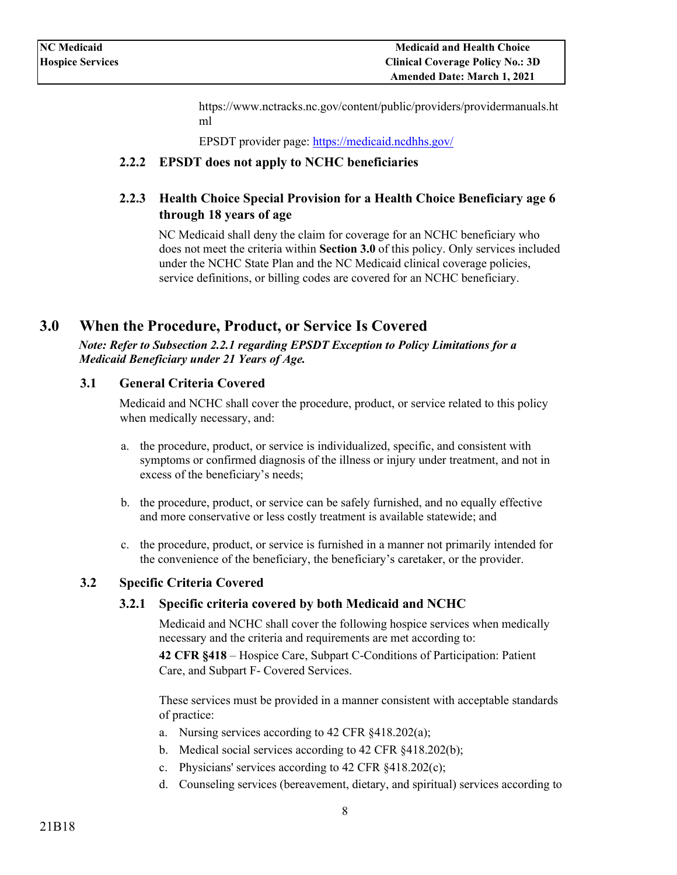[https://www.nctracks.nc.gov/content/public/providers/providermanuals.ht](https://www.nctracks.nc.gov/content/public/providers/provider-manuals.html) [ml](https://www.nctracks.nc.gov/content/public/providers/provider-manuals.html) 

EPSDT provider page[:](https://medicaid.ncdhhs.gov/) <https://medicaid.ncdhhs.gov/>

### <span id="page-7-0"></span>**2.2.2 EPSDT does not apply to NCHC beneficiaries**

### <span id="page-7-1"></span>**2.2.3 Health Choice Special Provision for a Health Choice Beneficiary age 6 through 18 years of age**

NC Medicaid shall deny the claim for coverage for an NCHC beneficiary who does not meet the criteria within **Section 3.0** of this policy. Only services included under the NCHC State Plan and the NC Medicaid clinical coverage policies, service definitions, or billing codes are covered for an NCHC beneficiary.

### <span id="page-7-2"></span>**3.0 When the Procedure, Product, or Service Is Covered**

*Note: Refer to Subsection 2.2.1 regarding EPSDT Exception to Policy Limitations for a Medicaid Beneficiary under 21 Years of Age.* 

### <span id="page-7-3"></span>**3.1 General Criteria Covered**

Medicaid and NCHC shall cover the procedure, product, or service related to this policy when medically necessary, and:

- a. the procedure, product, or service is individualized, specific, and consistent with symptoms or confirmed diagnosis of the illness or injury under treatment, and not in excess of the beneficiary's needs;
- b. the procedure, product, or service can be safely furnished, and no equally effective and more conservative or less costly treatment is available statewide; and
- c. the procedure, product, or service is furnished in a manner not primarily intended for the convenience of the beneficiary, the beneficiary's caretaker, or the provider.

### <span id="page-7-5"></span><span id="page-7-4"></span>**3.2 Specific Criteria Covered**

### **3.2.1 Specific criteria covered by both Medicaid and NCHC**

Medicaid and NCHC shall cover the following hospice services when medically necessary and the criteria and requirements are met according to:

**42 CFR §418** – Hospice Care, Subpart C-Conditions of Participation: Patient Care, and Subpart F- Covered Services.

These services must be provided in a manner consistent with acceptable standards of practice:

- a. Nursing services according to 42 CFR §418.202(a);
- b. Medical social services according to 42 CFR §418.202(b);
- c. Physicians' services according to 42 CFR §418.202(c);
- d. Counseling services (bereavement, dietary, and spiritual) services according to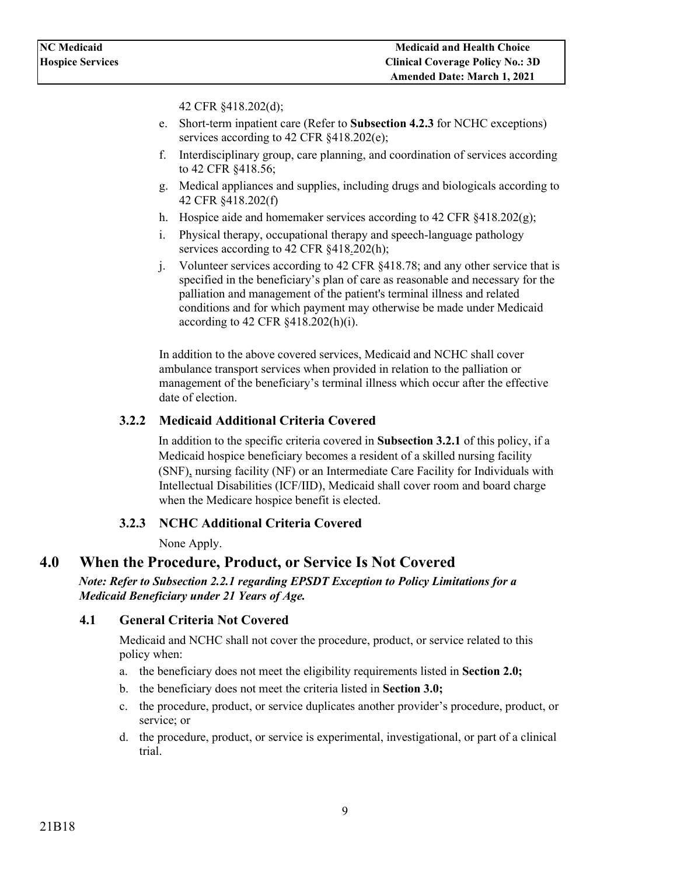42 CFR §418.202(d);

- e. Short-term inpatient care (Refer to **Subsection 4.2.3** for NCHC exceptions) services according to 42 CFR  $§418.202(e);$
- f. Interdisciplinary group, care planning, and coordination of services according to 42 CFR §418.56;
- g. Medical appliances and supplies, including drugs and biologicals according to 42 CFR §418.202(f)
- h. Hospice aide and homemaker services according to 42 CFR §418.202(g);
- i. Physical therapy, occupational therapy and speech-language pathology services according to 42 CFR §418.202(h);
- j. Volunteer services according to 42 CFR §418.78; and any other service that is specified in the beneficiary's plan of care as reasonable and necessary for the palliation and management of the patient's terminal illness and related conditions and for which payment may otherwise be made under Medicaid according to 42 CFR §418.202(h)(i).

In addition to the above covered services, Medicaid and NCHC shall cover ambulance transport services when provided in relation to the palliation or management of the beneficiary's terminal illness which occur after the effective date of election.

### <span id="page-8-0"></span>**3.2.2 Medicaid Additional Criteria Covered**

In addition to the specific criteria covered in **Subsection 3.2.1** of this policy, if a Medicaid hospice beneficiary becomes a resident of a skilled nursing facility (SNF), nursing facility (NF) or an Intermediate Care Facility for Individuals with Intellectual Disabilities (ICF/IID), Medicaid shall cover room and board charge when the Medicare hospice benefit is elected.

### **3.2.3 NCHC Additional Criteria Covered**

None Apply.

### <span id="page-8-2"></span><span id="page-8-1"></span>**4.0 When the Procedure, Product, or Service Is Not Covered**

*Note: Refer to Subsection 2.2.1 regarding EPSDT Exception to Policy Limitations for a Medicaid Beneficiary under 21 Years of Age.* 

### <span id="page-8-3"></span>**4.1 General Criteria Not Covered**

Medicaid and NCHC shall not cover the procedure, product, or service related to this policy when:

- a. the beneficiary does not meet the eligibility requirements listed in **Section 2.0;**
- b. the beneficiary does not meet the criteria listed in **Section 3.0;**
- c. the procedure, product, or service duplicates another provider's procedure, product, or service; or
- d. the procedure, product, or service is experimental, investigational, or part of a clinical trial.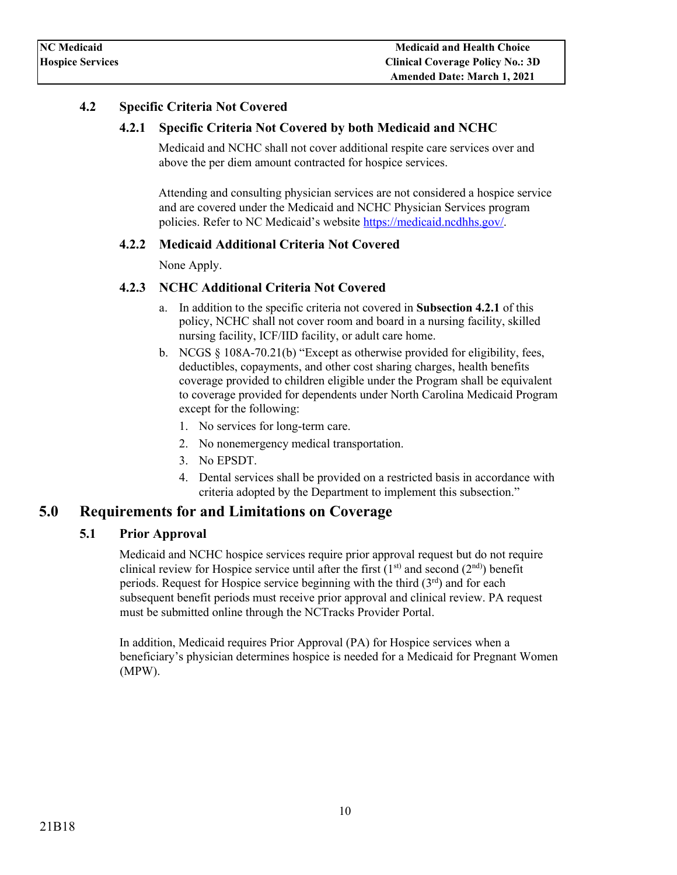### <span id="page-9-1"></span><span id="page-9-0"></span>**4.2 Specific Criteria Not Covered**

### **4.2.1 Specific Criteria Not Covered by both Medicaid and NCHC**

Medicaid and NCHC shall not cover additional respite care services over and above the per diem amount contracted for hospice services.

Attending and consulting physician services are not considered a hospice service and are covered under the Medicaid and NCHC Physician Services program policies. Refer to NC Medicaid's website [https://medicaid.ncdhhs.gov/.](https://medicaid.ncdhhs.gov/)

### <span id="page-9-2"></span>**4.2.2 Medicaid Additional Criteria Not Covered**

None Apply.

### <span id="page-9-3"></span>**4.2.3 NCHC Additional Criteria Not Covered**

- a. In addition to the specific criteria not covered in **Subsection 4.2.1** of this policy, NCHC shall not cover room and board in a nursing facility, skilled nursing facility, ICF/IID facility, or adult care home.
- b. NCGS § 108A-70.21(b) "Except as otherwise provided for eligibility, fees, deductibles, copayments, and other cost sharing charges, health benefits coverage provided to children eligible under the Program shall be equivalent to coverage provided for dependents under North Carolina Medicaid Program except for the following:
	- 1. No services for long-term care.
	- 2. No nonemergency medical transportation.
	- 3. No EPSDT.
	- 4. Dental services shall be provided on a restricted basis in accordance with criteria adopted by the Department to implement this subsection."

## <span id="page-9-5"></span><span id="page-9-4"></span>**5.0 Requirements for and Limitations on Coverage**

### **5.1 Prior Approval**

Medicaid and NCHC hospice services require prior approval request but do not require clinical review for Hospice service until after the first  $(1<sup>st</sup>)$  and second  $(2<sup>nd</sup>)$ ) benefit periods. Request for Hospice service beginning with the third  $(3<sup>rd</sup>)$  and for each subsequent benefit periods must receive prior approval and clinical review. PA request must be submitted online through the NCTracks Provider Portal.

In addition, Medicaid requires Prior Approval (PA) for Hospice services when a beneficiary's physician determines hospice is needed for a Medicaid for Pregnant Women (MPW).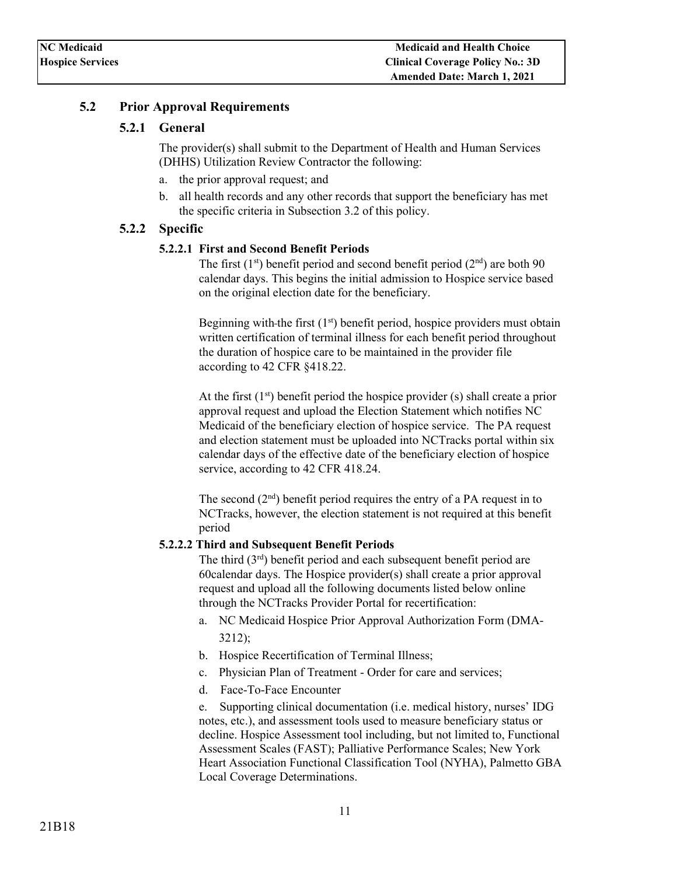### <span id="page-10-1"></span><span id="page-10-0"></span>**5.2 Prior Approval Requirements**

### **5.2.1 General**

The provider(s) shall submit to the Department of Health and Human Services (DHHS) Utilization Review Contractor the following:

- a. the prior approval request; and
- b. all health records and any other records that support the beneficiary has met the specific criteria in Subsection 3.2 of this policy.

### <span id="page-10-3"></span><span id="page-10-2"></span>**5.2.2 Specific**

#### **5.2.2.1 First and Second Benefit Periods**

The first  $(1<sup>st</sup>)$  benefit period and second benefit period  $(2<sup>nd</sup>)$  are both 90 calendar days. This begins the initial admission to Hospice service based on the original election date for the beneficiary.

Beginning with the first  $(1<sup>st</sup>)$  benefit period, [hospice p](https://www.law.cornell.edu/definitions/index.php?width=840&height=800&iframe=true&def_id=b670f1311cce82cc2204dda339284828&term_occur=1&term_src=Title:42:Chapter:IV:Subchapter:B:Part:418:Subpart:B:418.22)roviders must obtain written certification of terminal illness for each benefit period throughout the duration of hospice care to be maintained in the provider file according to [42 CFR §418.22.](https://www.ecfr.gov/cgi-bin/text-idx?rgn=div5;node=42%3A3.0.1.1.5#se42.3.418_122)

At the first  $(1<sup>st</sup>)$  benefit period the hospice provider  $(s)$  shall create a prior approval request and upload the Election Statement which notifies NC Medicaid of the beneficiary election of hospice service. The PA request and election statement must be uploaded into NCTracks portal within six calendar days of the effective date of the beneficiary election of hospice service, according to [42 CFR 418.24.](https://www.ecfr.gov/cgi-bin/text-idx?rgn=div5;node=42%3A3.0.1.1.5#se42.3.418_124) 

The second  $(2<sup>nd</sup>)$  benefit period requires the entry of a PA request in to NCTracks, however, the election statement is not required at this benefit period

#### <span id="page-10-4"></span>**5.2.2.2 Third and Subsequent Benefit Periods**

The third  $(3<sup>rd</sup>)$  benefit period and each subsequent benefit period are 60calendar days. The Hospice provider(s) shall create a prior approval request and upload all the following documents listed below online through the NCTracks Provider Portal for recertification:

- a. NC Medicaid Hospice Prior Approval Authorization Form (DMA-3212);
- b. Hospice Recertification of Terminal Illness;
- c. Physician Plan of Treatment Order for care and services;
- d. Face-To-Face Encounter

e. Supporting clinical documentation (i.e. medical history, nurses' IDG notes, etc.), and assessment tools used to measure beneficiary status or decline. Hospice Assessment tool including, but not limited to, Functional Assessment Scales (FAST); Palliative Performance Scales; New York Heart Association Functional Classification Tool (NYHA), Palmetto GBA Local Coverage Determinations.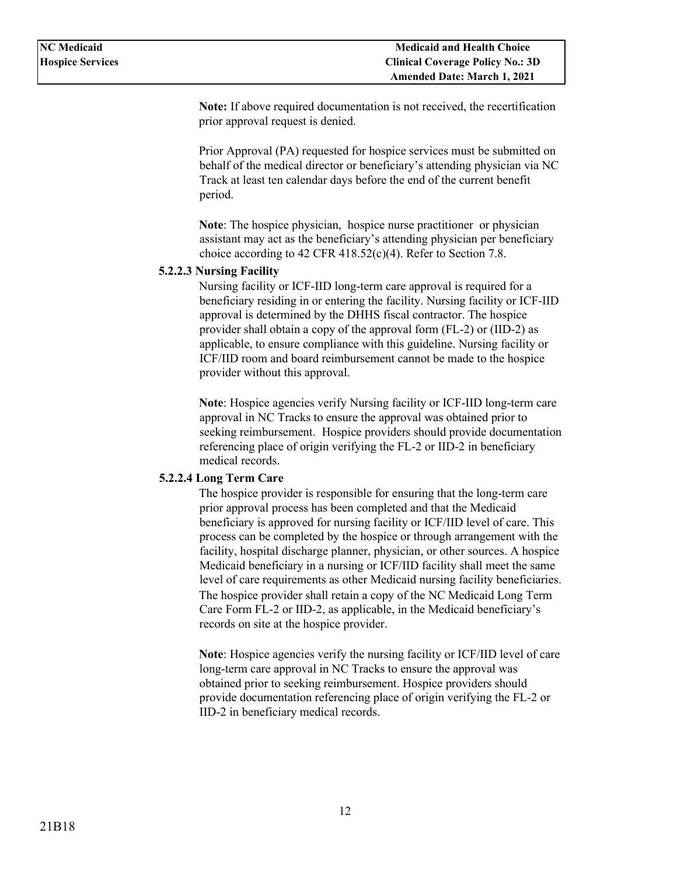**Note:** If above required documentation is not received, the recertification prior approval request is denied.

Prior Approval (PA) requested for hospice services must be submitted on behalf of the medical director or beneficiary's attending physician via NC Track at least ten calendar days before the end of the current benefit period.

**Note**: The hospice physician, hospice nurse practitioner or physician assistant may act as the beneficiary's attending physician per beneficiary choice according to [42 CFR 418.52\(c\)\(4\).](https://www.ecfr.gov/cgi-bin/text-idx?rgn=div5;node=42%3A3.0.1.1.5#se42.3.418_152) Refer to Section 7.8.

#### <span id="page-11-0"></span>**5.2.2.3 Nursing Facility**

Nursing facility or ICF-IID long-term care approval is required for a beneficiary residing in or entering the facility. Nursing facility or ICF-IID approval is determined by the DHHS fiscal contractor. The hospice provider shall obtain a copy of the approval form (FL-2) or (IID-2) as applicable, to ensure compliance with this guideline. Nursing facility or ICF/IID room and board reimbursement cannot be made to the hospice provider without this approval.

**Note**: Hospice agencies verify Nursing facility or ICF-IID long-term care approval in NC Tracks to ensure the approval was obtained prior to seeking reimbursement. Hospice providers should provide documentation referencing place of origin verifying the FL-2 or IID-2 in beneficiary medical records.

#### <span id="page-11-1"></span>**5.2.2.4 Long Term Care**

The hospice provider is responsible for ensuring that the long-term care prior approval process has been completed and that the Medicaid beneficiary is approved for nursing facility or ICF/IID level of care. This process can be completed by the hospice or through arrangement with the facility, hospital discharge planner, physician, or other sources. A hospice Medicaid beneficiary in a nursing or ICF/IID facility shall meet the same level of care requirements as other Medicaid nursing facility beneficiaries. The hospice provider shall retain a copy of the NC Medicaid Long Term Care Form FL-2 or IID-2, as applicable, in the Medicaid beneficiary's records on site at the hospice provider.

**Note**: Hospice agencies verify the nursing facility or ICF/IID level of care long-term care approval in NC Tracks to ensure the approval was obtained prior to seeking reimbursement. Hospice providers should provide documentation referencing place of origin verifying the FL-2 or IID-2 in beneficiary medical records.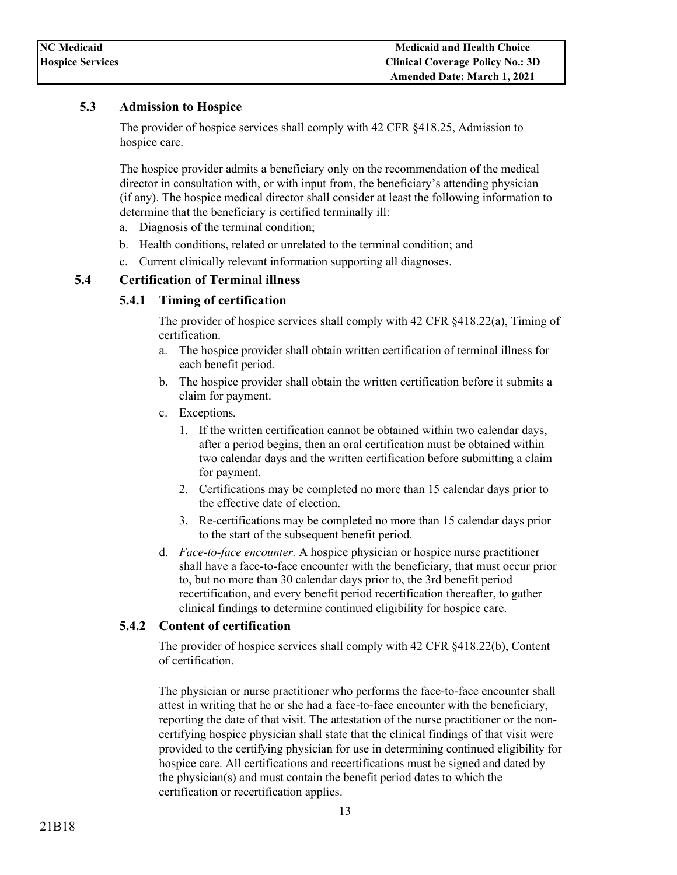### <span id="page-12-0"></span>**5.3 Admission to Hospice**

The provider of hospice services shall comply with [42 CFR §418.25,](https://www.ecfr.gov/cgi-bin/text-idx?rgn=div5;node=42%3A3.0.1.1.5#se42.3.418_125) Admission to hospice care.

The hospice provider admits a beneficiary only on the recommendation of the medical director in consultation with, or with input from, the beneficiary's attending physician (if any). The hospice medical director shall consider at least the following information to determine that the beneficiary is certified terminally ill:

- a. Diagnosis of the terminal condition;
- b. Health conditions, related or unrelated to the terminal condition; and
- c. Current clinically relevant information supporting all diagnoses.

### <span id="page-12-2"></span><span id="page-12-1"></span>**5.4 Certification of Terminal illness**

#### **5.4.1 Timing of certification**

The provider of hospice services shall comply with [42 CFR §418.22\(a\),](https://www.ecfr.gov/cgi-bin/text-idx?rgn=div5;node=42%3A3.0.1.1.5#se42.3.418_122) Timing of certification.

- a. The hospice provider shall obtain written certification of terminal illness for each benefit period.
- b. The hospice provider shall obtain the written certification before it submits a claim for payment.
- c. Exceptions*.*
	- 1. If the written certification cannot be obtained within two calendar days, after a period begins, then an oral certification must be obtained within two calendar days and the written certification before submitting a claim for payment.
	- 2. Certifications may be completed no more than 15 calendar days prior to the effective date of election.
	- 3. Re-certifications may be completed no more than 15 calendar days prior to the start of the subsequent benefit period.
- d. *Face-to-face encounter.* A hospice physician or hospice nurse practitioner shall have a face-to-face encounter with the beneficiary, that must occur prior to, but no more than 30 calendar days prior to, the 3rd benefit period recertification, and every benefit period recertification thereafter, to gather clinical findings to determine continued eligibility for hospice care.

#### <span id="page-12-3"></span>**5.4.2 Content of certification**

The provider of hospice services shall comply with [42 CFR §418.22\(b\),](http://www.ecfr.govhttps/www.ecfr.gov/cgi-bin/text-idx?rgn=div5;node=42%3A3.0.1.1.5#se42.3.418_122) Content of certification.

The physician or nurse practitioner who performs the face-to-face encounter shall attest in writing that he or she had a face-to-face encounter with the beneficiary, reporting the date of that visit. The attestation of the nurse practitioner or the noncertifying hospice physician shall state that the clinical findings of that visit were provided to the certifying physician for use in determining continued eligibility for hospice care. All certifications and recertifications must be signed and dated by the physician(s) and must contain the benefit period dates to which the certification or recertification applies.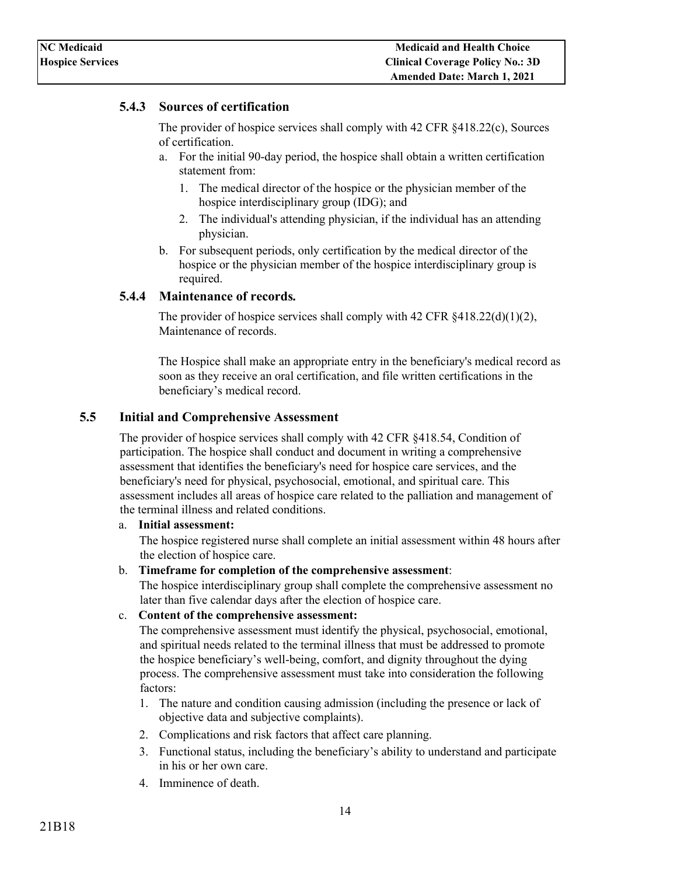### <span id="page-13-0"></span>**5.4.3 Sources of certification**

The provider of hospice services shall comply with [42 CFR §418.22\(c\),](https://www.ecfr.gov/cgi-bin/text-idx?rgn=div5;node=42%3A3.0.1.1.5#se42.3.418_122) Sources of certification.

- a. For the initial 90-day period, the hospice shall obtain a written certification statement from:
	- 1. The medical director of the hospice or the physician member of the hospice interdisciplinary group (IDG); and
	- 2. The individual's attending physician, if the individual has an attending physician.
- b. For subsequent periods, only certification by the medical director of the hospice or the physician member of the hospice interdisciplinary group is required.

### <span id="page-13-1"></span>**5.4.4 Maintenance of records***.*

The provider of hospice services shall comply with  $42 \text{ CFR } \frac{1}{2}418.22 \text{ (d)}(1)(2)$ , Maintenance of records.

The Hospice shall make an appropriate entry in the beneficiary's medical record as soon as they receive an oral certification, and file written certifications in the beneficiary's medical record.

### <span id="page-13-2"></span>**5.5 Initial and Comprehensive Assessment**

The provider of hospice services shall comply with [42 CFR §418.54,](https://www.ecfr.gov/cgi-bin/text-idx?rgn=div5;node=42%3A3.0.1.1.5#se42.3.418_154) Condition of participation. The hospice shall conduct and document in writing a comprehensive assessment that identifies the beneficiary's need for hospice care services, and the beneficiary's need for physical, psychosocial, emotional, and spiritual care. This assessment includes all areas of hospice care related to the palliation and management of the terminal illness and related conditions.

#### a. **Initial assessment:**

The hospice registered nurse shall complete an initial assessment within 48 hours after the election of hospice care.

#### b. **Timeframe for completion of the comprehensive assessment**:

The hospice interdisciplinary group shall complete the comprehensive assessment no later than five calendar days after the election of hospice care.

#### c. **Content of the comprehensive assessment:**

The comprehensive assessment must identify the physical, psychosocial, emotional, and spiritual needs related to the terminal illness that must be addressed to promote the hospice beneficiary's well-being, comfort, and dignity throughout the dying process. The comprehensive assessment must take into consideration the following factors:

- 1. The nature and condition causing admission (including the presence or lack of objective data and subjective complaints).
- 2. Complications and risk factors that affect care planning.
- 3. Functional status, including the beneficiary's ability to understand and participate in his or her own care.
- 4. Imminence of death.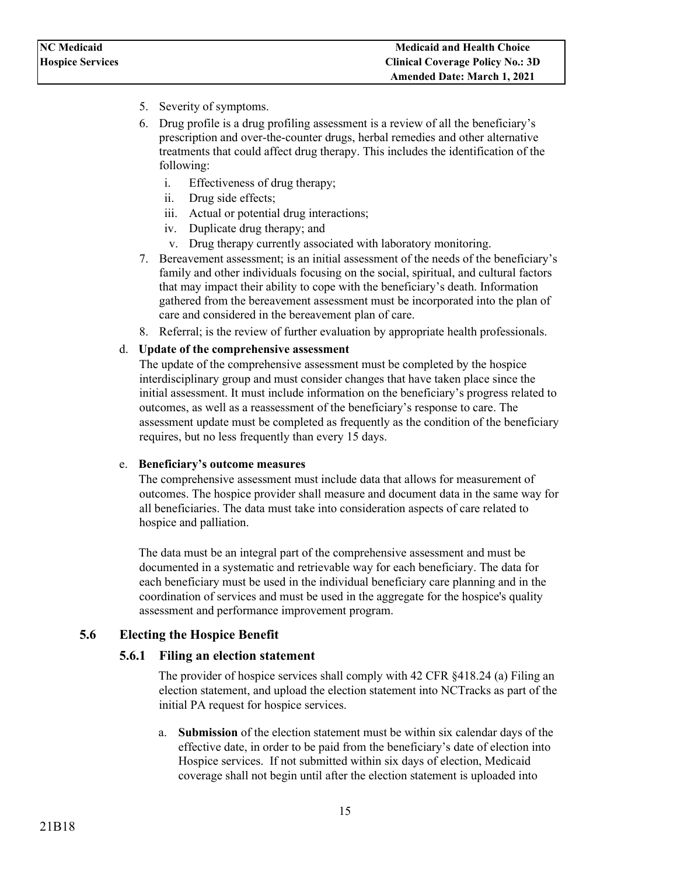- 5. Severity of symptoms.
- 6. Drug profile is a drug profiling assessment is a review of all the beneficiary's prescription and over-the-counter drugs, herbal remedies and other alternative treatments that could affect drug therapy. This includes the identification of the following:
	- i. Effectiveness of drug therapy;
	- ii. Drug side effects;
	- iii. Actual or potential drug interactions;
	- iv. Duplicate drug therapy; and
	- v. Drug therapy currently associated with laboratory monitoring.
- 7. Bereavement assessment; is an initial assessment of the needs of the beneficiary's family and other individuals focusing on the social, spiritual, and cultural factors that may impact their ability to cope with the beneficiary's death. Information gathered from the bereavement assessment must be incorporated into the plan of care and considered in the bereavement plan of care.
- 8. Referral; is the review of further evaluation by appropriate health professionals.

#### d. **Update of the comprehensive assessment**

The update of the comprehensive assessment must be completed by the hospice interdisciplinary group and must consider changes that have taken place since the initial assessment. It must include information on the beneficiary's progress related to outcomes, as well as a reassessment of the beneficiary's response to care. The assessment update must be completed as frequently as the condition of the beneficiary requires, but no less frequently than every 15 days.

#### e. **Beneficiary's outcome measures**

The comprehensive assessment must include data that allows for measurement of outcomes. The hospice provider shall measure and document data in the same way for all beneficiaries. The data must take into consideration aspects of care related to hospice and palliation.

The data must be an integral part of the comprehensive assessment and must be documented in a systematic and retrievable way for each beneficiary. The data for each beneficiary must be used in the individual beneficiary care planning and in the coordination of services and must be used in the aggregate for the hospice's quality assessment and performance improvement program.

### <span id="page-14-1"></span><span id="page-14-0"></span>**5.6 Electing the Hospice Benefit**

### **5.6.1 Filing an election statement**

The provider of hospice services shall comply with [42 CFR §418.24 \(a\) F](https://www.ecfr.gov/cgi-bin/text-idx?rgn=div5;node=42%3A3.0.1.1.5#se42.3.418_124)iling an election statement, and upload the election statement into NCTracks as part of the initial PA request for hospice services.

a. **Submission** of the election statement must be within six calendar days of the effective date, in order to be paid from the beneficiary's date of election into Hospice services. If not submitted within six days of election, Medicaid coverage shall not begin until after the election statement is uploaded into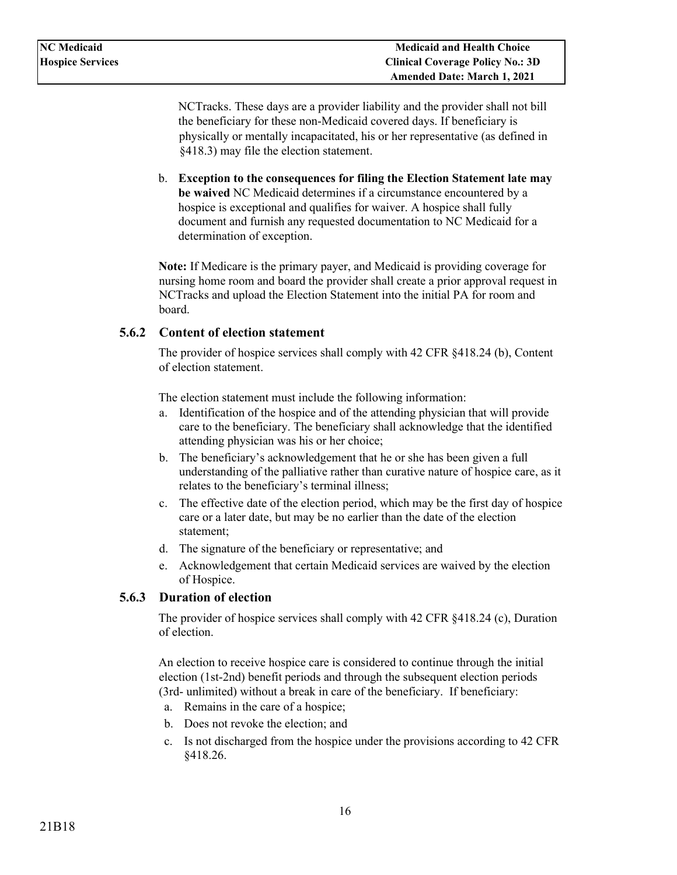NCTracks. These days are a provider liability and the provider shall not bill the beneficiary for these non-Medicaid covered days. If beneficiary is physically or mentally incapacitated, his or her representative (as defined in §418.3) may file the election statement.

b. **Exception to the consequences for filing the Election Statement late may be waived** NC Medicaid determines if a circumstance encountered by a hospice is exceptional and qualifies for waiver. A hospice shall fully document and furnish any requested documentation to NC Medicaid for a determination of exception.

**Note:** If Medicare is the primary payer, and Medicaid is providing coverage for nursing home room and board the provider shall create a prior approval request in NCTracks and upload the Election Statement into the initial PA for room and board.

### <span id="page-15-0"></span>**5.6.2 Content of election statement**

The provider of hospice services shall comply with [42 CFR §418.24 \(b\),](https://www.ecfr.gov/cgi-bin/text-idx?rgn=div5;node=42%3A3.0.1.1.5#se42.3.418_124) Content of election statement.

The election statement must include the following information:

- a. Identification of the hospice and of the attending physician that will provide care to the beneficiary. The beneficiary shall acknowledge that the identified attending physician was his or her choice;
- b. The beneficiary's acknowledgement that he or she has been given a full understanding of the palliative rather than curative nature of hospice care, as it relates to the beneficiary's terminal illness;
- c. The effective date of the election period, which may be the first day of hospice care or a later date, but may be no earlier than the date of the election statement;
- d. The signature of the beneficiary or representative; and
- e. Acknowledgement that certain Medicaid services are waived by the election of Hospice.

### <span id="page-15-1"></span>**5.6.3 Duration of election**

The provider of hospice services shall comply with [42 CFR §418.24 \(c\),](https://www.ecfr.gov/cgi-bin/text-idx?rgn=div5;node=42%3A3.0.1.1.5#se42.3.418_124) Duration of election.

An election to receive hospice care is considered to continue through the initial election (1st-2nd) benefit periods and through the subsequent election periods (3rd- unlimited) without a break in care of the beneficiary. If beneficiary:

- a. Remains in the care of a hospice;
- b. Does not revoke the election; and
- c. Is not discharged from the hospice under the provisions according to [42 CFR](https://www.ecfr.gov/cgi-bin/text-idx?rgn=div5;node=42%3A3.0.1.1.5#se42.3.418_126)  [§418.26.](https://www.ecfr.gov/cgi-bin/text-idx?rgn=div5;node=42%3A3.0.1.1.5#se42.3.418_126)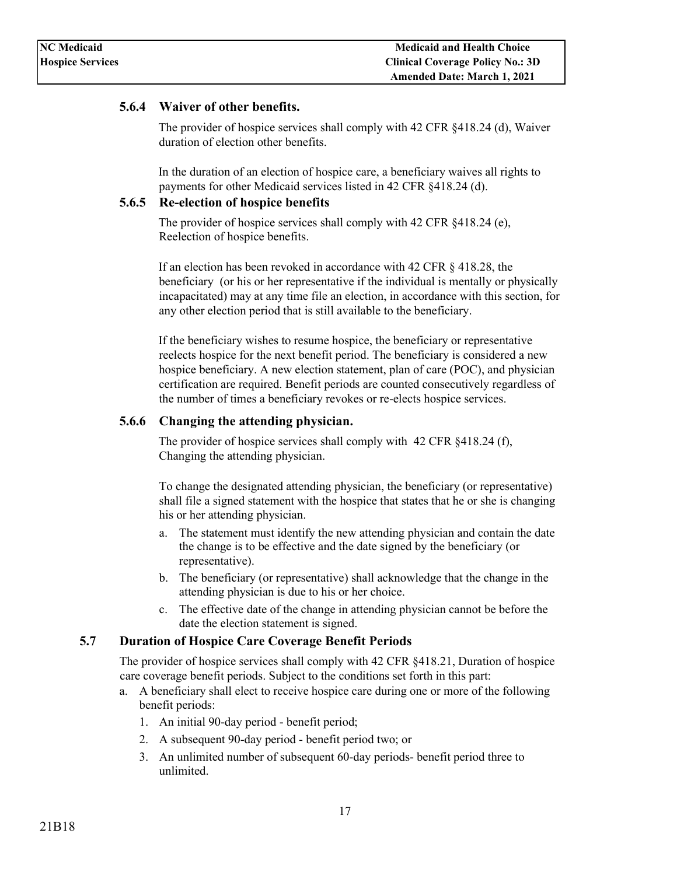### <span id="page-16-0"></span>**5.6.4 Waiver of other benefits.**

The provider of hospice services shall comply with [42 CFR §418.24 \(d\),](https://www.ecfr.gov/cgi-bin/text-idx?rgn=div5;node=42%3A3.0.1.1.5#se42.3.418_124) Waiver duration of election other benefits.

In the duration of an election of [hospice care,](https://www.law.cornell.edu/definitions/index.php?width=840&height=800&iframe=true&def_id=52d66ef20ebc73a7f3ec5e05545e5a94&term_occur=6&term_src=Title:42:Chapter:IV:Subchapter:B:Part:418:Subpart:B:418.24) a beneficiary waives all rights to payments for other Medicaid services listed in [42 CFR §418.24 \(d\).](https://www.ecfr.gov/cgi-bin/text-idx?rgn=div5;node=42%3A3.0.1.1.5#se42.3.418_124)

#### <span id="page-16-1"></span>**5.6.5 Re-election of hospice benefits**

The provider of hospice services shall comply with [42 CFR §418.24 \(e\),](https://www.ecfr.gov/cgi-bin/text-idx?rgn=div5;node=42%3A3.0.1.1.5#se42.3.418_124)  Reelection of hospice benefits.

If an election has been revoked in accordance with [42 CFR § 418.28,](https://www.ecfr.gov/cgi-bin/text-idx?rgn=div5;node=42%3A3.0.1.1.5#se42.3.418_128) the beneficiary (or his or her representative if the individual is mentally or physically incapacitated) may at any time file an election, in accordance with this section, for any other election period that is still available to the beneficiary.

If the beneficiary wishes to resume hospice, the beneficiary or representative reelects hospice for the next benefit period. The beneficiary is considered a new hospice beneficiary. A new election statement, plan of care (POC), and physician certification are required. Benefit periods are counted consecutively regardless of the number of times a beneficiary revokes or re-elects hospice services.

### <span id="page-16-2"></span>**5.6.6 Changing the attending physician.**

The provider of hospice services shall comply with 42 CFR §418.24 (f), Changing the attending physician.

To change the designated attending physician, the beneficiary (or representative) shall file a signed statement with the hospice that states that he or she is changing his or her attending physician.

- a. The statement must identify the new attending physician and contain the date the change is to be effective and the date signed by the beneficiary (or representative).
- b. The beneficiary (or representative) shall acknowledge that the change in the attending physician is due to his or her choice.
- c. The effective date of the change in attending physician cannot be before the date the election statement is signed.

## <span id="page-16-3"></span>**5.7 Duration of Hospice Care Coverage Benefit Periods**

The provider of hospice services shall comply with [42 CFR §418.21,](https://www.ecfr.gov/cgi-bin/text-idx?rgn=div5;node=42%3A3.0.1.1.5#se42.3.418_121) Duration of hospice care coverage benefit periods. Subject to the conditions set forth in this part:

- a. A beneficiary shall elect to receive [hospice care d](https://www.law.cornell.edu/definitions/index.php?width=840&height=800&iframe=true&def_id=52d66ef20ebc73a7f3ec5e05545e5a94&term_occur=2&term_src=Title:42:Chapter:IV:Subchapter:B:Part:418:Subpart:B:418.21)uring one or more of the following benefit periods:
	- 1. An initial 90-day period benefit period;
	- 2. A subsequent 90-day period benefit period two; or
	- 3. An unlimited number of subsequent 60-day periods- benefit period three to unlimited.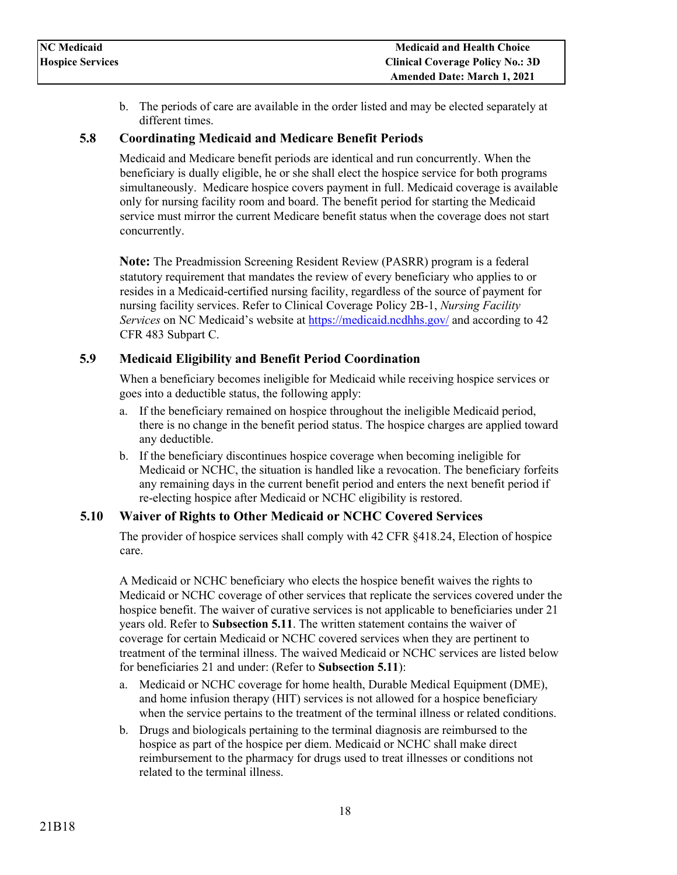b. The periods of care are available in the order listed and may be elected separately at different times.

### <span id="page-17-0"></span>**5.8 Coordinating Medicaid and Medicare Benefit Periods**

Medicaid and Medicare benefit periods are identical and run concurrently. When the beneficiary is dually eligible, he or she shall elect the hospice service for both programs simultaneously. Medicare hospice covers payment in full. Medicaid coverage is available only for nursing facility room and board. The benefit period for starting the Medicaid service must mirror the current Medicare benefit status when the coverage does not start concurrently.

**Note:** The Preadmission Screening Resident Review (PASRR) program is a federal statutory requirement that mandates the review of every beneficiary who applies to or resides in a Medicaid-certified nursing facility, regardless of the source of payment for nursing facility services. Refer to Clinical Coverage Policy 2B-1, *Nursing Facility Services* on NC Medicaid's website at<https://medicaid.ncdhhs.gov/> and according to 42 CFR 483 Subpart C.

### <span id="page-17-1"></span>**5.9 Medicaid Eligibility and Benefit Period Coordination**

When a beneficiary becomes ineligible for Medicaid while receiving hospice services or goes into a deductible status, the following apply:

- a. If the beneficiary remained on hospice throughout the ineligible Medicaid period, there is no change in the benefit period status. The hospice charges are applied toward any deductible.
- b. If the beneficiary discontinues hospice coverage when becoming ineligible for Medicaid or NCHC, the situation is handled like a revocation. The beneficiary forfeits any remaining days in the current benefit period and enters the next benefit period if re-electing hospice after Medicaid or NCHC eligibility is restored.

### <span id="page-17-2"></span>**5.10 Waiver of Rights to Other Medicaid or NCHC Covered Services**

The provider of hospice services shall comply with [42 CFR §418.24,](https://www.ecfr.gov/cgi-bin/text-idx?rgn=div5;node=42%3A3.0.1.1.5#se42.3.418_124) Election of hospice care.

A Medicaid or NCHC beneficiary who elects the hospice benefit waives the rights to Medicaid or NCHC coverage of other services that replicate the services covered under the hospice benefit. The waiver of curative services is not applicable to beneficiaries under 21 years old. Refer to **Subsection 5.11**. The written statement contains the waiver of coverage for certain Medicaid or NCHC covered services when they are pertinent to treatment of the terminal illness. The waived Medicaid or NCHC services are listed below for beneficiaries 21 and under: (Refer to **Subsection 5.11**):

- a. Medicaid or NCHC coverage for home health, Durable Medical Equipment (DME), and home infusion therapy (HIT) services is not allowed for a hospice beneficiary when the service pertains to the treatment of the terminal illness or related conditions.
- b. Drugs and biologicals pertaining to the terminal diagnosis are reimbursed to the hospice as part of the hospice per diem. Medicaid or NCHC shall make direct reimbursement to the pharmacy for drugs used to treat illnesses or conditions not related to the terminal illness.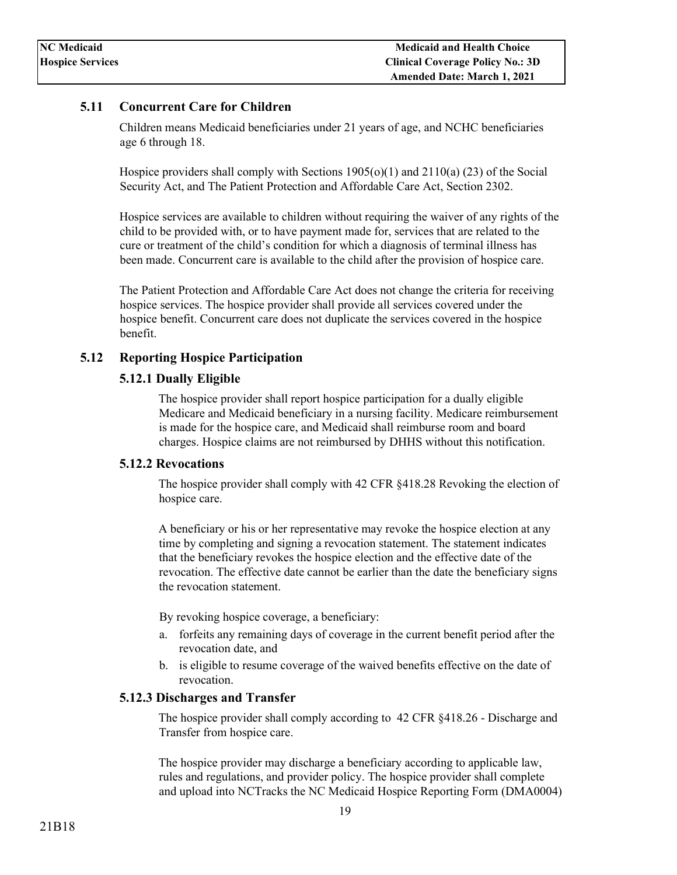### <span id="page-18-0"></span>**5.11 Concurrent Care for Children**

Children means Medicaid beneficiaries under 21 years of age, and NCHC beneficiaries age 6 through 18.

Hospice providers shall comply with Sections  $1905(0)(1)$  and  $2110(a)(23)$  of the Social Security Act, and The Patient Protection and Affordable Care Act, Section 2302.

Hospice services are available to children without requiring the waiver of any rights of the child to be provided with, or to have payment made for, services that are related to the cure or treatment of the child's condition for which a diagnosis of terminal illness has been made. Concurrent care is available to the child after the provision of hospice care.

The Patient Protection and Affordable Care Act does not change the criteria for receiving hospice services. The hospice provider shall provide all services covered under the hospice benefit. Concurrent care does not duplicate the services covered in the hospice benefit.

### <span id="page-18-2"></span><span id="page-18-1"></span>**5.12 Reporting Hospice Participation**

#### **5.12.1 Dually Eligible**

The hospice provider shall report hospice participation for a dually eligible Medicare and Medicaid beneficiary in a nursing facility. Medicare reimbursement is made for the hospice care, and Medicaid shall reimburse room and board charges. Hospice claims are not reimbursed by DHHS without this notification.

#### <span id="page-18-3"></span>**5.12.2 Revocations**

The hospice provider shall comply with [42 CFR §418.28 R](https://www.ecfr.gov/cgi-bin/text-idx?rgn=div5;node=42%3A3.0.1.1.5#se42.3.418_128)evoking the election of hospice care.

A beneficiary or his or her representative may revoke the hospice election at any time by completing and signing a revocation statement. The statement indicates that the beneficiary revokes the hospice election and the effective date of the revocation. The effective date cannot be earlier than the date the beneficiary signs the revocation statement.

By revoking hospice coverage, a beneficiary:

- a. forfeits any remaining days of coverage in the current benefit period after the revocation date, and
- b. is eligible to resume coverage of the waived benefits effective on the date of revocation.

#### <span id="page-18-4"></span>**5.12.3 Discharges and Transfer**

The hospice provider shall comply according to [42 CFR §418.26 -](https://www.ecfr.gov/cgi-bin/text-idx?rgn=div5;node=42%3A3.0.1.1.5#se42.3.418_126) Discharge and Transfer from hospice care.

The hospice provider may discharge a beneficiary according to applicable law, rules and regulations, and provider policy. The hospice provider shall complete and upload into NCTracks the NC Medicaid Hospice Reporting Form (DMA0004)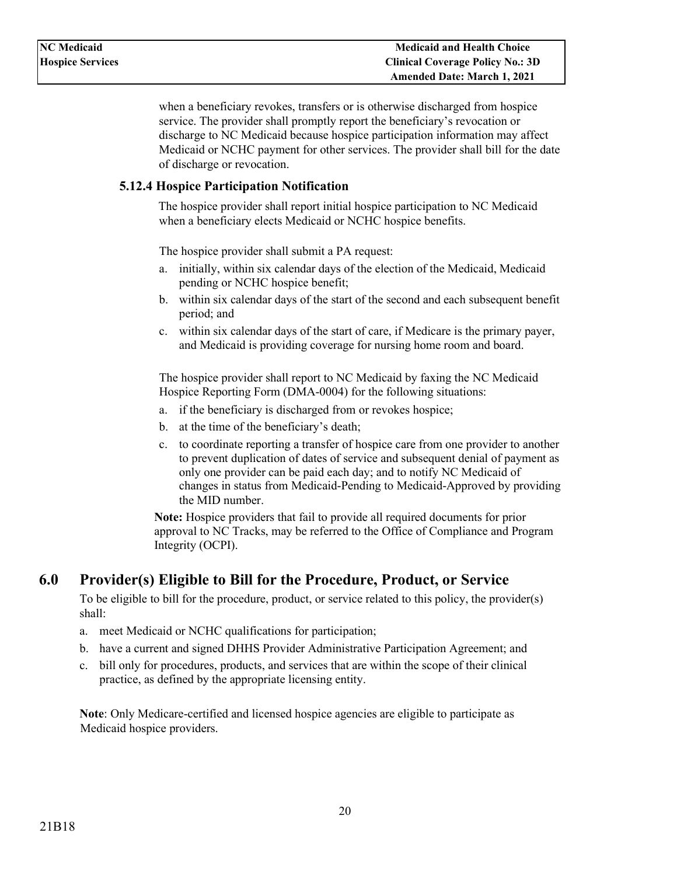when a beneficiary revokes, transfers or is otherwise discharged from hospice service. The provider shall promptly report the beneficiary's revocation or discharge to NC Medicaid because hospice participation information may affect Medicaid or NCHC payment for other services. The provider shall bill for the date of discharge or revocation.

### <span id="page-19-0"></span>**5.12.4 Hospice Participation Notification**

The hospice provider shall report initial hospice participation to NC Medicaid when a beneficiary elects Medicaid or NCHC hospice benefits.

The hospice provider shall submit a PA request:

- a. initially, within six calendar days of the election of the Medicaid, Medicaid pending or NCHC hospice benefit;
- b. within six calendar days of the start of the second and each subsequent benefit period; and
- c. within six calendar days of the start of care, if Medicare is the primary payer, and Medicaid is providing coverage for nursing home room and board.

The hospice provider shall report to NC Medicaid by faxing the NC Medicaid Hospice Reporting Form (DMA-0004) for the following situations:

- a. if the beneficiary is discharged from or revokes hospice;
- b. at the time of the beneficiary's death;
- c. to coordinate reporting a transfer of hospice care from one provider to another to prevent duplication of dates of service and subsequent denial of payment as only one provider can be paid each day; and to notify NC Medicaid of changes in status from Medicaid-Pending to Medicaid-Approved by providing the MID number.

**Note:** Hospice providers that fail to provide all required documents for prior approval to NC Tracks, may be referred to the Office of Compliance and Program Integrity (OCPI).

## <span id="page-19-1"></span>**6.0 Provider(s) Eligible to Bill for the Procedure, Product, or Service**

To be eligible to bill for the procedure, product, or service related to this policy, the provider(s) shall:

- a. meet Medicaid or NCHC qualifications for participation;
- b. have a current and signed DHHS Provider Administrative Participation Agreement; and
- c. bill only for procedures, products, and services that are within the scope of their clinical practice, as defined by the appropriate licensing entity.

**Note**: Only Medicare-certified and licensed hospice agencies are eligible to participate as Medicaid hospice providers.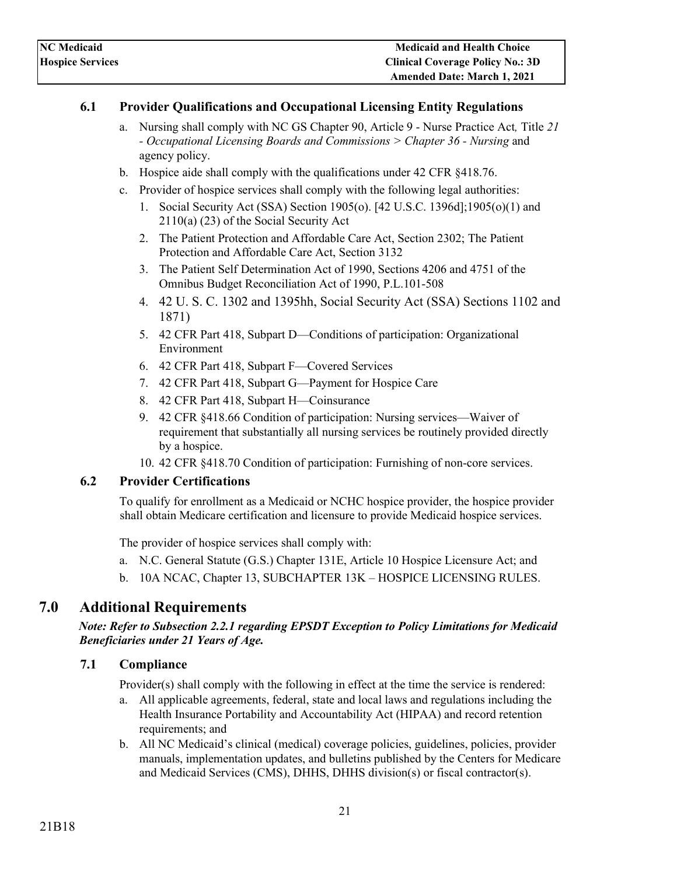### <span id="page-20-0"></span>**6.1 Provider Qualifications and Occupational Licensing Entity Regulations**

- a. Nursing shall comply with [NC GS Chapter 90, Article 9 -](http://www.ncleg.net/Enactedlegislation/Statutes/HTML/ByArticle/Chapter_90/Article_9A.html) Nurse Practice Act*,* Title *21 - Occupational Licensing Boards and Commissions > Chapter 36 - Nursing* and agency policy.
- b. Hospice aide shall comply with the qualifications under [42 CFR §418.76.](https://www.ecfr.gov/cgi-bin/text-idx?rgn=div5;node=42%3A3.0.1.1.5#se42.3.418_176)
- c. Provider of hospice services shall comply with the following legal authorities:
	- 1. Social Security Act (SSA) Section 1905(o). [42 U.S.C. 1396d];1905(o)(1) and 2110(a) (23) of the Social Security Act
	- 2. The Patient Protection and Affordable Care Act, Section 2302; The Patient Protection and Affordable Care Act, Section 3132
	- 3. The Patient Self Determination Act of 1990, Sections 4206 and 4751 of the Omnibus Budget Reconciliation Act of 1990, P.L.101-508
	- 4. 42 U. S. C. 1302 and 1395hh, Social Security Act (SSA) Sections 1102 and 1871)
	- 5. [42 CFR Part 418, Subpart D—C](https://www.ecfr.gov/cgi-bin/text-idx?rgn=div5;node=42%3A3.0.1.1.5#sp42.3.418.d)onditions of participation: Organizational Environment
	- 6. [42 CFR Part 418, Subpart F—C](https://www.ecfr.gov/cgi-bin/text-idx?rgn=div5;node=42%3A3.0.1.1.5#sp42.3.418.f)overed Services
	- 7. [42 CFR Part 418, Subpart G—P](https://www.ecfr.gov/cgi-bin/text-idx?rgn=div5;node=42%3A3.0.1.1.5#sp42.3.418.g)ayment for Hospice Care
	- 8. [42 CFR Part 418, Subpart H—C](https://www.ecfr.gov/cgi-bin/text-idx?rgn=div5;node=42%3A3.0.1.1.5#sp42.3.418.h)oinsurance
	- 9. [42 CFR §418.66 C](https://www.ecfr.gov/cgi-bin/text-idx?rgn=div5;node=42%3A3.0.1.1.5#se42.3.418_166)ondition of participation: Nursing services—Waiver of requirement that substantially all nursing services be routinely provided directly by a hospice.
	- 10. [42 CFR §418.70 C](https://www.ecfr.gov/cgi-bin/text-idx?rgn=div5;node=42%3A3.0.1.1.5#sg42.3.418_166.sg1)ondition of participation: Furnishing of non-core services.

### <span id="page-20-1"></span>**6.2 Provider Certifications**

To qualify for enrollment as a Medicaid or NCHC hospice provider, the hospice provider shall obtain Medicare certification and licensure to provide Medicaid hospice services.

The provider of hospice services shall comply with:

- a. [N.C. General Statute \(G.S.\) Chapter 131E,](http://www.ncleg.net/EnactedLegislation/Statutes/HTML/ByArticle/Chapter_131E/Article_6.html) Article 10 Hospice Licensure Act; and
- b. [10A NCAC, Chapter 13, SUBCHAPTER 13K –](http://reports.oah.state.nc.us/ncac/title%2010a%20-%20health%20and%20human%20services/chapter%2013%20-%20nc%20medical%20care%20commission/subchapter%20k/subchapter%20k%20rules.html) HOSPICE LICENSING RULES.

## <span id="page-20-2"></span>**7.0 Additional Requirements**

### *Note: Refer to Subsection 2.2.1 regarding EPSDT Exception to Policy Limitations for Medicaid Beneficiaries under 21 Years of Age.*

### <span id="page-20-3"></span>**7.1 Compliance**

Provider(s) shall comply with the following in effect at the time the service is rendered:

- a. All applicable agreements, federal, state and local laws and regulations including the Health Insurance Portability and Accountability Act (HIPAA) and record retention requirements; and
- b. All NC Medicaid's clinical (medical) coverage policies, guidelines, policies, provider manuals, implementation updates, and bulletins published by the Centers for Medicare and Medicaid Services (CMS), DHHS, DHHS division(s) or fiscal contractor(s).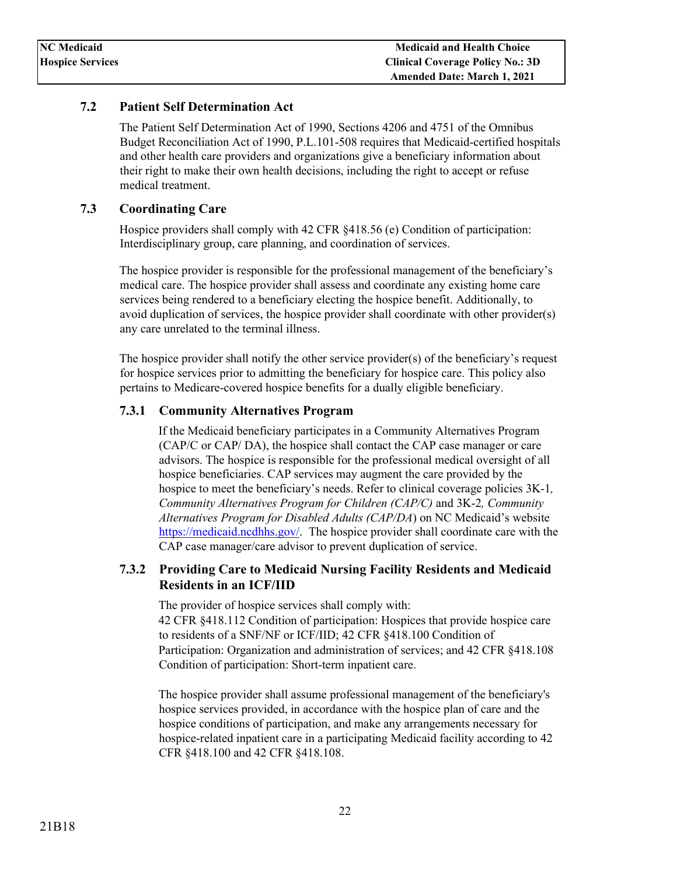### <span id="page-21-0"></span>**7.2 Patient Self Determination Act**

The Patient Self Determination Act of 1990, Sections 4206 and 4751 of the Omnibus Budget Reconciliation Act of 1990, P.L.101-508 requires that Medicaid-certified hospitals and other health care providers and organizations give a beneficiary information about their right to make their own health decisions, including the right to accept or refuse medical treatment.

### <span id="page-21-1"></span>**7.3 Coordinating Care**

Hospice providers shall comply with 42 CFR  $\S 418.56$  (e) Condition of participation: Interdisciplinary group, care planning, and coordination of services.

The hospice provider is responsible for the professional management of the beneficiary's medical care. The hospice provider shall assess and coordinate any existing home care services being rendered to a beneficiary electing the hospice benefit. Additionally, to avoid duplication of services, the hospice provider shall coordinate with other provider(s) any care unrelated to the terminal illness.

The hospice provider shall notify the other service provider(s) of the beneficiary's request for hospice services prior to admitting the beneficiary for hospice care. This policy also pertains to Medicare-covered hospice benefits for a dually eligible beneficiary.

### <span id="page-21-2"></span>**7.3.1 Community Alternatives Program**

If the Medicaid beneficiary participates in a Community Alternatives Program (CAP/C or CAP/ DA), the hospice shall contact the CAP case manager or care advisors. The hospice is responsible for the professional medical oversight of all hospice beneficiaries. CAP services may augment the care provided by the hospice to meet the beneficiary's needs. Refer to clinical coverage policies 3K-1*, Community Alternatives Program for Children (CAP/C)* and 3K-2*, Community Alternatives Program for Disabled Adults (CAP/DA*) on NC Medicaid's website [https://medicaid.ncdhhs.gov/.](https://medicaid.ncdhhs.gov/) The hospice provider shall coordinate care with the CAP case manager/care advisor to prevent duplication of service.

### <span id="page-21-3"></span>**7.3.2 Providing Care to Medicaid Nursing Facility Residents and Medicaid Residents in an ICF/IID**

The provider of hospice services shall comply with: [42 CFR §418.112 C](https://www.ecfr.gov/cgi-bin/text-idx?rgn=div5;node=42%3A3.0.1.1.5#se42.3.418_1112)ondition of participation: Hospices that provide hospice care to residents of a SNF/NF or ICF/IID; [42 CFR §418.100 C](https://www.ecfr.gov/cgi-bin/text-idx?rgn=div5;node=42%3A3.0.1.1.5#se42.3.418_1100)ondition of Participation: Organization and administration of services; and [42 CFR §418.108](https://www.ecfr.gov/cgi-bin/text-idx?rgn=div5;node=42%3A3.0.1.1.5#se42.3.418_1108)  Condition of participation: Short-term inpatient care.

The hospice provider shall assume professional management of the beneficiary's hospice services provided, in accordance with the hospice plan of care and the hospice conditions of participation, and make any arrangements necessary for hospice-related inpatient care in a participating Medicaid facility according to [42](https://www.ecfr.gov/cgi-bin/text-idx?rgn=div5;node=42%3A3.0.1.1.5#se42.3.418_1100)  [CFR §418.100 a](https://www.ecfr.gov/cgi-bin/text-idx?rgn=div5;node=42%3A3.0.1.1.5#se42.3.418_1100)nd [42 CFR §418.108.](https://www.ecfr.gov/cgi-bin/text-idx?rgn=div5;node=42%3A3.0.1.1.5#se42.3.418_1108)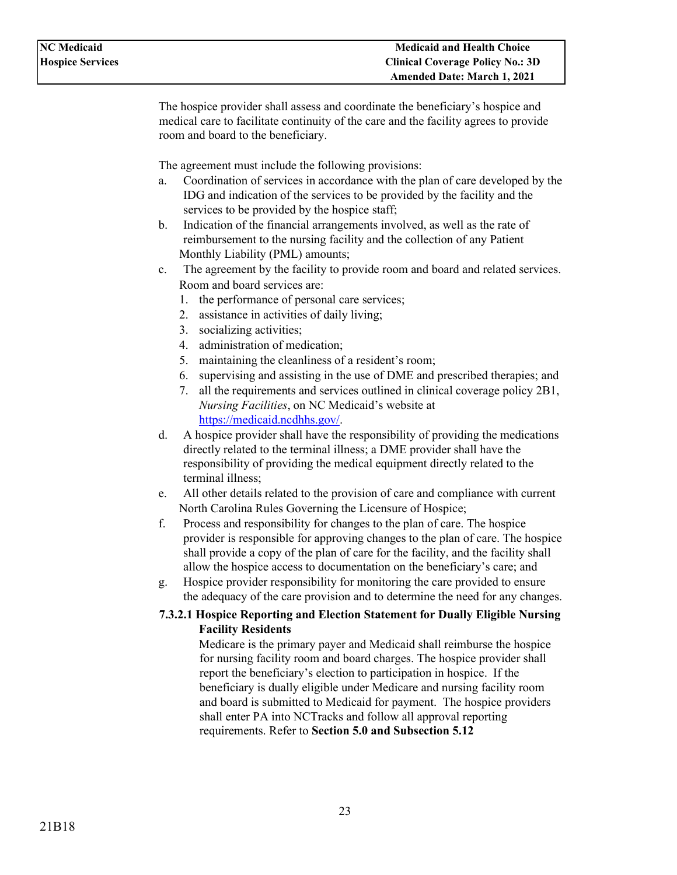The hospice provider shall assess and coordinate the beneficiary's hospice and medical care to facilitate continuity of the care and the facility agrees to provide room and board to the beneficiary.

The agreement must include the following provisions:

- a. Coordination of services in accordance with the plan of care developed by the IDG and indication of the services to be provided by the facility and the services to be provided by the hospice staff;
- b. Indication of the financial arrangements involved, as well as the rate of reimbursement to the nursing facility and the collection of any Patient Monthly Liability (PML) amounts;
- c. The agreement by the facility to provide room and board and related services. Room and board services are:
	- 1. the performance of personal care services;
	- 2. assistance in activities of daily living;
	- 3. socializing activities;
	- 4. administration of medication;
	- 5. maintaining the cleanliness of a resident's room;
	- 6. supervising and assisting in the use of DME and prescribed therapies; and
	- 7. all the requirements and services outlined in clinical coverage policy 2B1, *Nursing Facilities*, on NC Medicaid's website at [https://medicaid.ncdhhs.gov/.](https://medicaid.ncdhhs.gov/)
- d. A hospice provider shall have the responsibility of providing the medications directly related to the terminal illness; a DME provider shall have the responsibility of providing the medical equipment directly related to the terminal illness;
- e. All other details related to the provision of care and compliance with current North Carolina Rules Governing the Licensure of Hospice;
- f. Process and responsibility for changes to the plan of care. The hospice provider is responsible for approving changes to the plan of care. The hospice shall provide a copy of the plan of care for the facility, and the facility shall allow the hospice access to documentation on the beneficiary's care; and
- g. Hospice provider responsibility for monitoring the care provided to ensure the adequacy of the care provision and to determine the need for any changes.

### <span id="page-22-0"></span>**7.3.2.1 Hospice Reporting and Election Statement for Dually Eligible Nursing Facility Residents**

Medicare is the primary payer and Medicaid shall reimburse the hospice for nursing facility room and board charges. The hospice provider shall report the beneficiary's election to participation in hospice. If the beneficiary is dually eligible under Medicare and nursing facility room and board is submitted to Medicaid for payment. The hospice providers shall enter PA into NCTracks and follow all approval reporting requirements. Refer to **Section 5.0 and Subsection 5.12**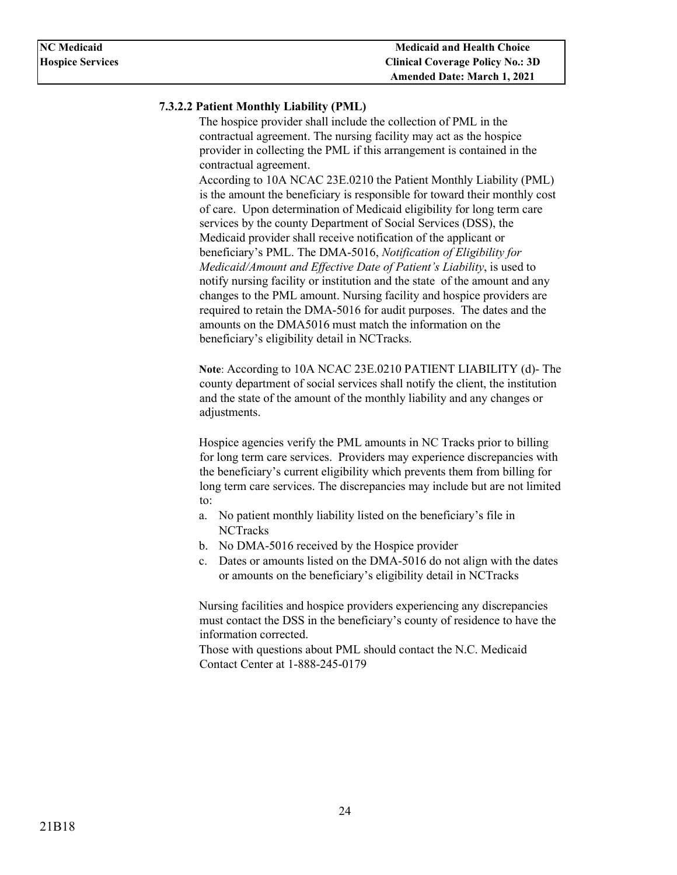### <span id="page-23-0"></span>**7.3.2.2 Patient Monthly Liability (PML)**

The hospice provider shall include the collection of PML in the contractual agreement. The nursing facility may act as the hospice provider in collecting the PML if this arrangement is contained in the contractual agreement.

According to 10A NCAC 23E.0210 the Patient Monthly Liability (PML) is the amount the beneficiary is responsible for toward their monthly cost of care. Upon determination of Medicaid eligibility for long term care services by the county Department of Social Services (DSS), the Medicaid provider shall receive notification of the applicant or beneficiary's PML. The [DMA-5016,](https://www2.ncdhhs.gov/info/olm/forms/dma/dma-5016-ia.pdf) *Notification of Eligibility for Medicaid/Amount and Effective Date of Patient's Liability*, is used to notify nursing facility or institution and the state of the amount and any changes to the PML amount. Nursing facility and hospice providers are required to retain the DMA-5016 for audit purposes. The dates and the amounts on the DMA5016 must match the information on the beneficiary's eligibility detail in NCTracks.

**Note**: According to 10A NCAC 23E.0210 PATIENT LIABILITY (d)- The county department of social services shall notify the client, the institution and the state of the amount of the monthly liability and any changes or adjustments.

Hospice agencies verify the PML amounts in NC Tracks prior to billing for long term care services. Providers may experience discrepancies with the beneficiary's current eligibility which prevents them from billing for long term care services. The discrepancies may include but are not limited to:

- a. No patient monthly liability listed on the beneficiary's file in **NCTracks**
- b. No DMA-5016 received by the Hospice provider
- c. Dates or amounts listed on the DMA-5016 do not align with the dates or amounts on the beneficiary's eligibility detail in NCTracks

Nursing facilities and hospice providers experiencing any discrepancies must contact the DSS in the beneficiary's county of residence to have the information corrected.

Those with questions about PML should contact the N.C. Medicaid Contact Center at 1-888-245-0179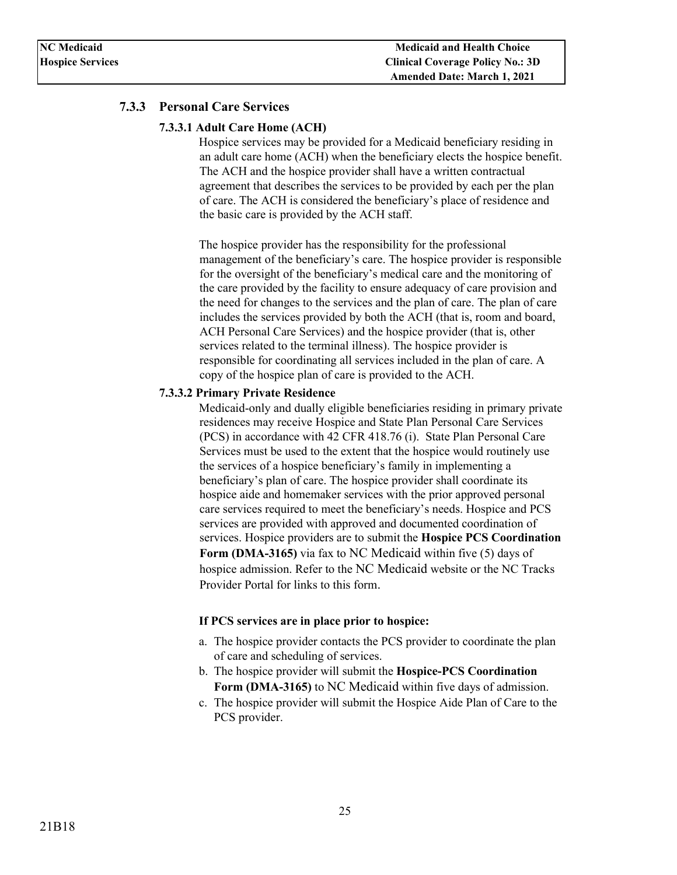### <span id="page-24-1"></span><span id="page-24-0"></span>**7.3.3 Personal Care Services**

#### **7.3.3.1 Adult Care Home (ACH)**

Hospice services may be provided for a Medicaid beneficiary residing in an adult care home (ACH) when the beneficiary elects the hospice benefit. The ACH and the hospice provider shall have a written contractual agreement that describes the services to be provided by each per the plan of care. The ACH is considered the beneficiary's place of residence and the basic care is provided by the ACH staff.

The hospice provider has the responsibility for the professional management of the beneficiary's care. The hospice provider is responsible for the oversight of the beneficiary's medical care and the monitoring of the care provided by the facility to ensure adequacy of care provision and the need for changes to the services and the plan of care. The plan of care includes the services provided by both the ACH (that is, room and board, ACH Personal Care Services) and the hospice provider (that is, other services related to the terminal illness). The hospice provider is responsible for coordinating all services included in the plan of care. A copy of the hospice plan of care is provided to the ACH.

#### <span id="page-24-2"></span>**7.3.3.2 Primary Private Residence**

Medicaid-only and dually eligible beneficiaries residing in primary private residences may receive Hospice and State Plan Personal Care Services (PCS) in accordance with [42 CFR 418.76 \(i\).](https://www.ecfr.gov/cgi-bin/text-idx?rgn=div5;node=42%3A3.0.1.1.5#se42.3.418_176) State Plan Personal Care Services must be used to the extent that the hospice would routinely use the services of a hospice beneficiary's family in implementing a beneficiary's plan of care. The hospice provider shall coordinate its hospice aide and homemaker services with the prior approved personal care services required to meet the beneficiary's needs. Hospice and PCS services are provided with approved and documented coordination of services. Hospice providers are to submit the **Hospice PCS Coordination Form (DMA-3165)** via fax to NC Medicaid within five (5) days of hospice admission. Refer to the NC Medicaid website or the NC Tracks Provider Portal for links to this form.

#### **If PCS services are in place prior to hospice:**

- a. The hospice provider contacts the PCS provider to coordinate the plan of care and scheduling of services.
- b. The hospice provider will submit the **Hospice-PCS Coordination Form (DMA-3165)** to NC Medicaid within five days of admission.
- c. The hospice provider will submit the Hospice Aide Plan of Care to the PCS provider.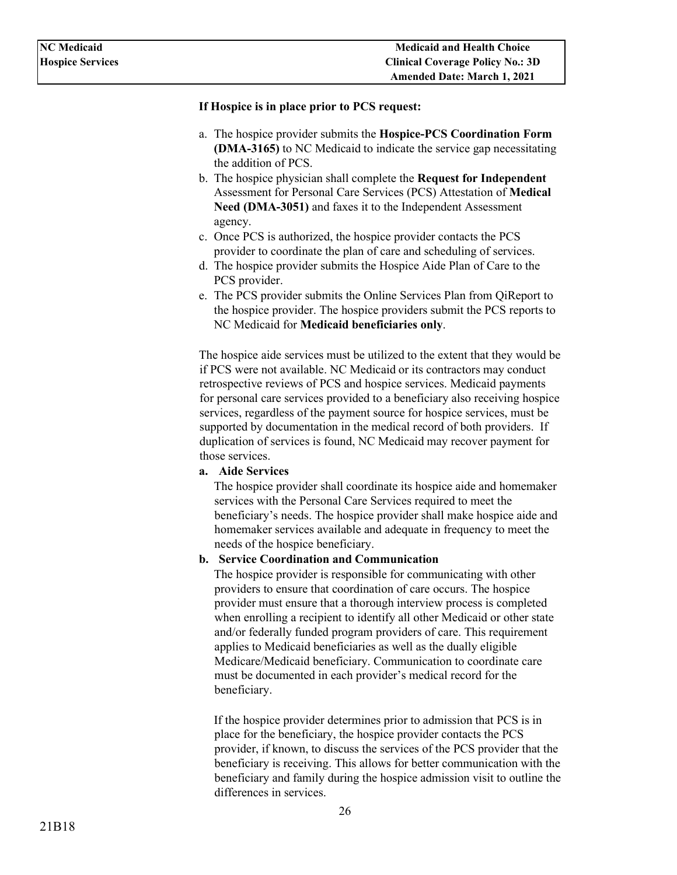#### **If Hospice is in place prior to PCS request:**

- a. The hospice provider submits the **Hospice-PCS Coordination Form (DMA-3165)** to NC Medicaid to indicate the service gap necessitating the addition of PCS.
- b. The hospice physician shall complete the **Request for Independent**  Assessment for Personal Care Services (PCS) Attestation of **Medical Need (DMA-3051)** and faxes it to the Independent Assessment agency.
- c. Once PCS is authorized, the hospice provider contacts the PCS provider to coordinate the plan of care and scheduling of services.
- d. The hospice provider submits the Hospice Aide Plan of Care to the PCS provider.
- e. The PCS provider submits the Online Services Plan from QiReport to the hospice provider. The hospice providers submit the PCS reports to NC Medicaid for **Medicaid beneficiaries only**.

The hospice aide services must be utilized to the extent that they would be if PCS were not available. NC Medicaid or its contractors may conduct retrospective reviews of PCS and hospice services. Medicaid payments for personal care services provided to a beneficiary also receiving hospice services, regardless of the payment source for hospice services, must be supported by documentation in the medical record of both providers. If duplication of services is found, NC Medicaid may recover payment for those services.

**a. Aide Services** 

The hospice provider shall coordinate its hospice aide and homemaker services with the Personal Care Services required to meet the beneficiary's needs. The hospice provider shall make hospice aide and homemaker services available and adequate in frequency to meet the needs of the hospice beneficiary.

#### **b. Service Coordination and Communication**

The hospice provider is responsible for communicating with other providers to ensure that coordination of care occurs. The hospice provider must ensure that a thorough interview process is completed when enrolling a recipient to identify all other Medicaid or other state and/or federally funded program providers of care. This requirement applies to Medicaid beneficiaries as well as the dually eligible Medicare/Medicaid beneficiary. Communication to coordinate care must be documented in each provider's medical record for the beneficiary.

If the hospice provider determines prior to admission that PCS is in place for the beneficiary, the hospice provider contacts the PCS provider, if known, to discuss the services of the PCS provider that the beneficiary is receiving. This allows for better communication with the beneficiary and family during the hospice admission visit to outline the differences in services.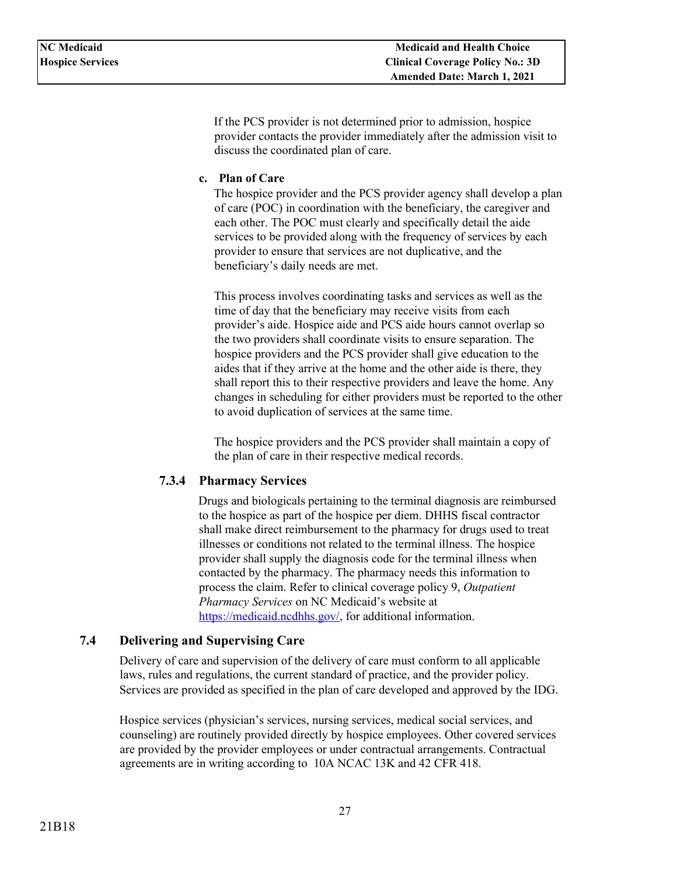If the PCS provider is not determined prior to admission, hospice provider contacts the provider immediately after the admission visit to discuss the coordinated plan of care.

#### **c. Plan of Care**

The hospice provider and the PCS provider agency shall develop a plan of care (POC) in coordination with the beneficiary, the caregiver and each other. The POC must clearly and specifically detail the aide services to be provided along with the frequency of services by each provider to ensure that services are not duplicative, and the beneficiary's daily needs are met.

This process involves coordinating tasks and services as well as the time of day that the beneficiary may receive visits from each provider's aide. Hospice aide and PCS aide hours cannot overlap so the two providers shall coordinate visits to ensure separation. The hospice providers and the PCS provider shall give education to the aides that if they arrive at the home and the other aide is there, they shall report this to their respective providers and leave the home. Any changes in scheduling for either providers must be reported to the other to avoid duplication of services at the same time.

The hospice providers and the PCS provider shall maintain a copy of the plan of care in their respective medical records.

### <span id="page-26-0"></span>**7.3.4 Pharmacy Services**

Drugs and biologicals pertaining to the terminal diagnosis are reimbursed to the hospice as part of the hospice per diem. DHHS fiscal contractor shall make direct reimbursement to the pharmacy for drugs used to treat illnesses or conditions not related to the terminal illness. The hospice provider shall supply the diagnosis code for the terminal illness when contacted by the pharmacy. The pharmacy needs this information to process the claim. Refer to clinical coverage policy 9, *Outpatient Pharmacy Services* on NC Medicaid's website at [https://medicaid.ncdhhs.gov/,](https://medicaid.ncdhhs.gov/) for additional information.

### <span id="page-26-1"></span>**7.4 Delivering and Supervising Care**

Delivery of care and supervision of the delivery of care must conform to all applicable laws, rules and regulations, the current standard of practice, and the provider policy. Services are provided as specified in the plan of care developed and approved by the IDG.

Hospice services (physician's services, nursing services, medical social services, and counseling) are routinely provided directly by hospice employees. Other covered services are provided by the provider employees or under contractual arrangements. Contractual agreements are in writing according t[o 10A NCAC 13K a](http://reports.oah.state.nc.us/ncac/title%2010a%20-%20health%20and%20human%20services/chapter%2013%20-%20nc%20medical%20care%20commission/subchapter%20k/subchapter%20k%20rules.html)nd [42 CFR 418.](https://www.ecfr.gov/cgi-bin/text-idx?rgn=div5;node=42%3A3.0.1.1.5#se42.3.418)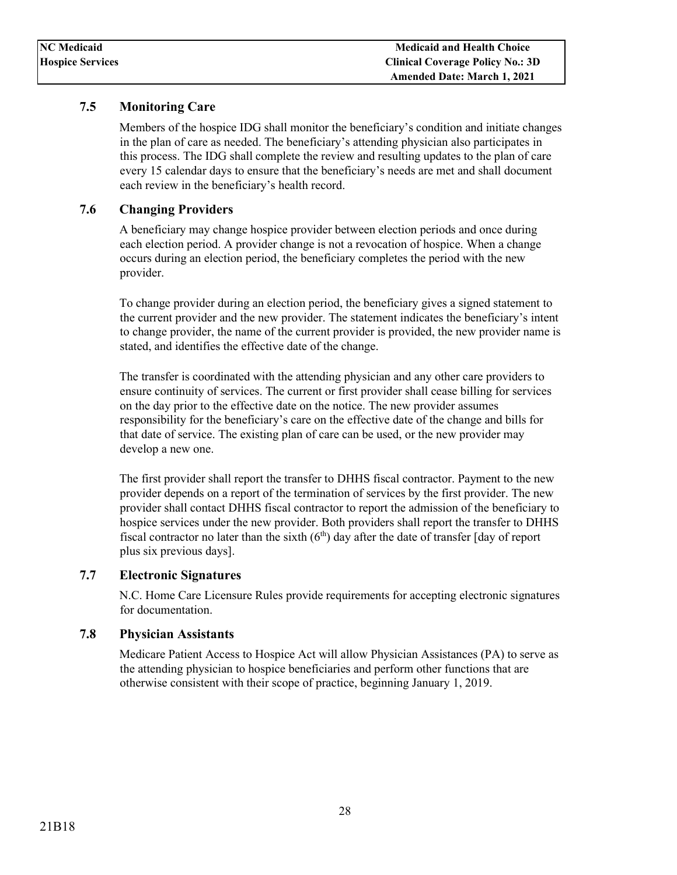### <span id="page-27-0"></span>**7.5 Monitoring Care**

Members of the hospice IDG shall monitor the beneficiary's condition and initiate changes in the plan of care as needed. The beneficiary's attending physician also participates in this process. The IDG shall complete the review and resulting updates to the plan of care every 15 calendar days to ensure that the beneficiary's needs are met and shall document each review in the beneficiary's health record.

### <span id="page-27-1"></span>**7.6 Changing Providers**

A beneficiary may change hospice provider between election periods and once during each election period. A provider change is not a revocation of hospice. When a change occurs during an election period, the beneficiary completes the period with the new provider.

To change provider during an election period, the beneficiary gives a signed statement to the current provider and the new provider. The statement indicates the beneficiary's intent to change provider, the name of the current provider is provided, the new provider name is stated, and identifies the effective date of the change.

The transfer is coordinated with the attending physician and any other care providers to ensure continuity of services. The current or first provider shall cease billing for services on the day prior to the effective date on the notice. The new provider assumes responsibility for the beneficiary's care on the effective date of the change and bills for that date of service. The existing plan of care can be used, or the new provider may develop a new one.

The first provider shall report the transfer to DHHS fiscal contractor. Payment to the new provider depends on a report of the termination of services by the first provider. The new provider shall contact DHHS fiscal contractor to report the admission of the beneficiary to hospice services under the new provider. Both providers shall report the transfer to DHHS fiscal contractor no later than the sixth  $(6<sup>th</sup>)$  day after the date of transfer [day of report plus six previous days].

### <span id="page-27-2"></span>**7.7 Electronic Signatures**

N.C. Home Care Licensure Rules provide requirements for accepting electronic signatures for documentation.

### <span id="page-27-3"></span>**7.8 Physician Assistants**

Medicare Patient Access to Hospice Act will allow Physician Assistances (PA) to serve as the attending physician to hospice beneficiaries and perform other functions that are otherwise consistent with their scope of practice, beginning January 1, 2019.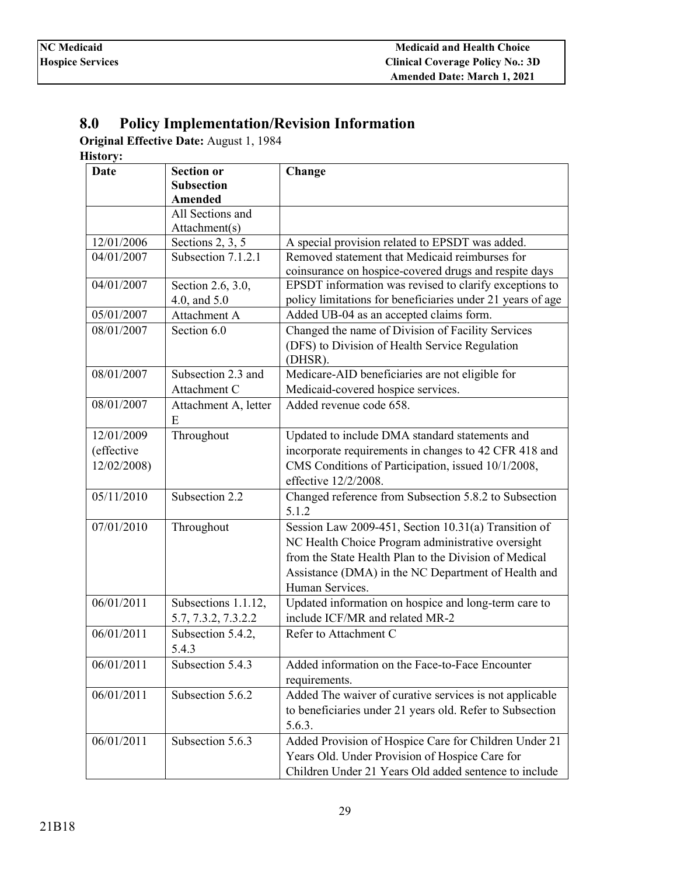# <span id="page-28-0"></span>**8.0 Policy Implementation/Revision Information**

**Original Effective Date:** August 1, 1984

**History:** 

| <b>Date</b> | <b>Section or</b>    | Change                                                     |
|-------------|----------------------|------------------------------------------------------------|
|             | <b>Subsection</b>    |                                                            |
|             | <b>Amended</b>       |                                                            |
|             | All Sections and     |                                                            |
|             | Attachment(s)        |                                                            |
| 12/01/2006  | Sections 2, 3, 5     | A special provision related to EPSDT was added.            |
| 04/01/2007  | Subsection 7.1.2.1   | Removed statement that Medicaid reimburses for             |
|             |                      | coinsurance on hospice-covered drugs and respite days      |
| 04/01/2007  | Section 2.6, 3.0,    | EPSDT information was revised to clarify exceptions to     |
|             | 4.0, and 5.0         | policy limitations for beneficiaries under 21 years of age |
| 05/01/2007  | Attachment A         | Added UB-04 as an accepted claims form.                    |
| 08/01/2007  | Section 6.0          | Changed the name of Division of Facility Services          |
|             |                      | (DFS) to Division of Health Service Regulation             |
|             |                      | (DHSR).                                                    |
| 08/01/2007  | Subsection 2.3 and   | Medicare-AID beneficiaries are not eligible for            |
|             | Attachment C         | Medicaid-covered hospice services.                         |
| 08/01/2007  | Attachment A, letter | Added revenue code 658.                                    |
|             | E                    |                                                            |
| 12/01/2009  | Throughout           | Updated to include DMA standard statements and             |
| (effective  |                      | incorporate requirements in changes to 42 CFR 418 and      |
| 12/02/2008) |                      | CMS Conditions of Participation, issued 10/1/2008,         |
|             |                      | effective 12/2/2008.                                       |
| 05/11/2010  | Subsection 2.2       | Changed reference from Subsection 5.8.2 to Subsection      |
|             |                      | 5.1.2                                                      |
| 07/01/2010  | Throughout           | Session Law 2009-451, Section 10.31(a) Transition of       |
|             |                      |                                                            |
|             |                      | NC Health Choice Program administrative oversight          |
|             |                      | from the State Health Plan to the Division of Medical      |
|             |                      | Assistance (DMA) in the NC Department of Health and        |
|             |                      | Human Services.                                            |
| 06/01/2011  | Subsections 1.1.12,  | Updated information on hospice and long-term care to       |
|             | 5.7, 7.3.2, 7.3.2.2  | include ICF/MR and related MR-2                            |
| 06/01/2011  | Subsection 5.4.2,    | Refer to Attachment C                                      |
|             | 5.4.3                |                                                            |
| 06/01/2011  | Subsection 5.4.3     | Added information on the Face-to-Face Encounter            |
|             |                      | requirements.                                              |
| 06/01/2011  | Subsection 5.6.2     | Added The waiver of curative services is not applicable    |
|             |                      | to beneficiaries under 21 years old. Refer to Subsection   |
|             |                      | 5.6.3.                                                     |
| 06/01/2011  | Subsection 5.6.3     | Added Provision of Hospice Care for Children Under 21      |
|             |                      | Years Old. Under Provision of Hospice Care for             |
|             |                      | Children Under 21 Years Old added sentence to include      |
|             |                      |                                                            |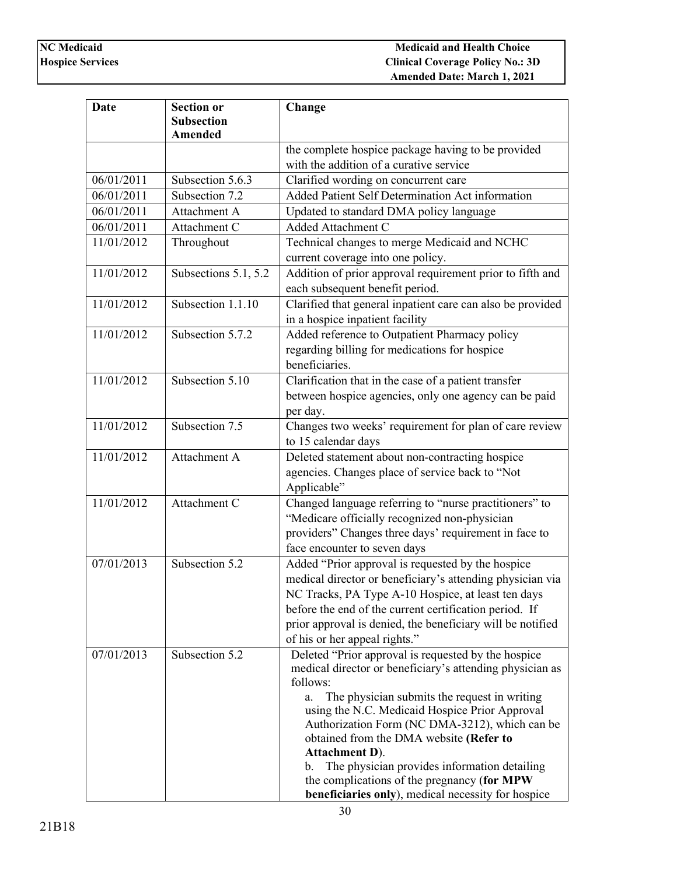| <b>Date</b> | <b>Section or</b><br><b>Subsection</b><br>Amended | Change                                                                                                                                                                                                                                                                                                                                                                                                                                                                                                                |
|-------------|---------------------------------------------------|-----------------------------------------------------------------------------------------------------------------------------------------------------------------------------------------------------------------------------------------------------------------------------------------------------------------------------------------------------------------------------------------------------------------------------------------------------------------------------------------------------------------------|
|             |                                                   | the complete hospice package having to be provided<br>with the addition of a curative service                                                                                                                                                                                                                                                                                                                                                                                                                         |
| 06/01/2011  | Subsection 5.6.3                                  | Clarified wording on concurrent care                                                                                                                                                                                                                                                                                                                                                                                                                                                                                  |
| 06/01/2011  | Subsection 7.2                                    | Added Patient Self Determination Act information                                                                                                                                                                                                                                                                                                                                                                                                                                                                      |
| 06/01/2011  | Attachment A                                      | Updated to standard DMA policy language                                                                                                                                                                                                                                                                                                                                                                                                                                                                               |
| 06/01/2011  | Attachment C                                      | Added Attachment C                                                                                                                                                                                                                                                                                                                                                                                                                                                                                                    |
| 11/01/2012  | Throughout                                        | Technical changes to merge Medicaid and NCHC<br>current coverage into one policy.                                                                                                                                                                                                                                                                                                                                                                                                                                     |
| 11/01/2012  | Subsections 5.1, 5.2                              | Addition of prior approval requirement prior to fifth and<br>each subsequent benefit period.                                                                                                                                                                                                                                                                                                                                                                                                                          |
| 11/01/2012  | Subsection 1.1.10                                 | Clarified that general inpatient care can also be provided<br>in a hospice inpatient facility                                                                                                                                                                                                                                                                                                                                                                                                                         |
| 11/01/2012  | Subsection 5.7.2                                  | Added reference to Outpatient Pharmacy policy<br>regarding billing for medications for hospice<br>beneficiaries.                                                                                                                                                                                                                                                                                                                                                                                                      |
| 11/01/2012  | Subsection 5.10                                   | Clarification that in the case of a patient transfer<br>between hospice agencies, only one agency can be paid<br>per day.                                                                                                                                                                                                                                                                                                                                                                                             |
| 11/01/2012  | Subsection 7.5                                    | Changes two weeks' requirement for plan of care review<br>to 15 calendar days                                                                                                                                                                                                                                                                                                                                                                                                                                         |
| 11/01/2012  | Attachment A                                      | Deleted statement about non-contracting hospice<br>agencies. Changes place of service back to "Not<br>Applicable"                                                                                                                                                                                                                                                                                                                                                                                                     |
| 11/01/2012  | Attachment C                                      | Changed language referring to "nurse practitioners" to<br>"Medicare officially recognized non-physician<br>providers" Changes three days' requirement in face to<br>face encounter to seven days                                                                                                                                                                                                                                                                                                                      |
| 07/01/2013  | Subsection 5.2                                    | Added "Prior approval is requested by the hospice<br>medical director or beneficiary's attending physician via<br>NC Tracks, PA Type A-10 Hospice, at least ten days<br>before the end of the current certification period. If<br>prior approval is denied, the beneficiary will be notified<br>of his or her appeal rights."                                                                                                                                                                                         |
| 07/01/2013  | Subsection 5.2                                    | Deleted "Prior approval is requested by the hospice"<br>medical director or beneficiary's attending physician as<br>follows:<br>The physician submits the request in writing<br>a.<br>using the N.C. Medicaid Hospice Prior Approval<br>Authorization Form (NC DMA-3212), which can be<br>obtained from the DMA website (Refer to<br><b>Attachment D).</b><br>The physician provides information detailing<br>b.<br>the complications of the pregnancy (for MPW<br>beneficiaries only), medical necessity for hospice |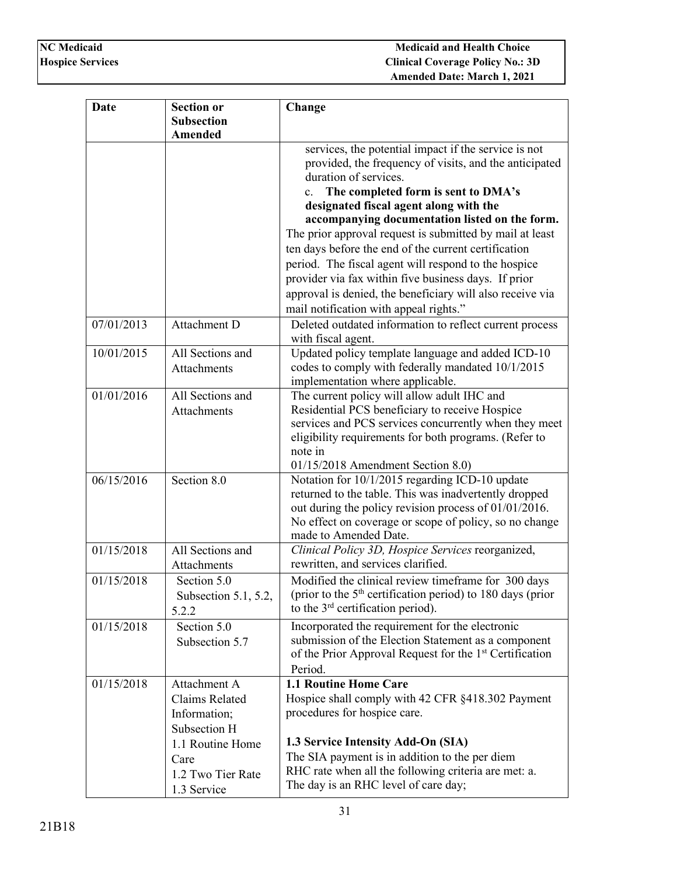| <b>Date</b> | <b>Section or</b>                     | Change                                                                            |
|-------------|---------------------------------------|-----------------------------------------------------------------------------------|
|             | <b>Subsection</b>                     |                                                                                   |
|             | <b>Amended</b>                        |                                                                                   |
|             |                                       | services, the potential impact if the service is not                              |
|             |                                       | provided, the frequency of visits, and the anticipated                            |
|             |                                       | duration of services.                                                             |
|             |                                       | The completed form is sent to DMA's<br>c.                                         |
|             |                                       | designated fiscal agent along with the                                            |
|             |                                       | accompanying documentation listed on the form.                                    |
|             |                                       | The prior approval request is submitted by mail at least                          |
|             |                                       | ten days before the end of the current certification                              |
|             |                                       | period. The fiscal agent will respond to the hospice                              |
|             |                                       | provider via fax within five business days. If prior                              |
|             |                                       | approval is denied, the beneficiary will also receive via                         |
|             |                                       | mail notification with appeal rights."                                            |
| 07/01/2013  | Attachment D                          | Deleted outdated information to reflect current process                           |
|             |                                       | with fiscal agent.                                                                |
| 10/01/2015  | All Sections and                      | Updated policy template language and added ICD-10                                 |
|             | <b>Attachments</b>                    | codes to comply with federally mandated 10/1/2015                                 |
|             |                                       | implementation where applicable.                                                  |
| 01/01/2016  | All Sections and                      | The current policy will allow adult IHC and                                       |
|             | <b>Attachments</b>                    | Residential PCS beneficiary to receive Hospice                                    |
|             |                                       | services and PCS services concurrently when they meet                             |
|             |                                       | eligibility requirements for both programs. (Refer to                             |
|             |                                       | note in                                                                           |
|             |                                       | $01/15/2018$ Amendment Section 8.0)                                               |
| 06/15/2016  | Section 8.0                           | Notation for 10/1/2015 regarding ICD-10 update                                    |
|             |                                       | returned to the table. This was inadvertently dropped                             |
|             |                                       | out during the policy revision process of 01/01/2016.                             |
|             |                                       | No effect on coverage or scope of policy, so no change<br>made to Amended Date.   |
| 01/15/2018  | All Sections and                      | Clinical Policy 3D, Hospice Services reorganized,                                 |
|             | Attachments                           | rewritten, and services clarified.                                                |
| 01/15/2018  |                                       | Modified the clinical review timeframe for 300 days                               |
|             | Section 5.0                           | (prior to the 5 <sup>th</sup> certification period) to 180 days (prior            |
|             | Subsection 5.1, 5.2,                  | to the $3rd$ certification period).                                               |
|             | 5.2.2                                 |                                                                                   |
| 01/15/2018  | Section 5.0                           | Incorporated the requirement for the electronic                                   |
|             | Subsection 5.7                        | submission of the Election Statement as a component                               |
|             |                                       | of the Prior Approval Request for the 1 <sup>st</sup> Certification<br>Period.    |
| 01/15/2018  |                                       | 1.1 Routine Home Care                                                             |
|             | Attachment A<br><b>Claims Related</b> |                                                                                   |
|             |                                       | Hospice shall comply with 42 CFR §418.302 Payment<br>procedures for hospice care. |
|             | Information;                          |                                                                                   |
|             | Subsection H                          |                                                                                   |
|             | 1.1 Routine Home                      | 1.3 Service Intensity Add-On (SIA)                                                |
|             | Care                                  | The SIA payment is in addition to the per diem                                    |
|             | 1.2 Two Tier Rate                     | RHC rate when all the following criteria are met: a.                              |
|             | 1.3 Service                           | The day is an RHC level of care day;                                              |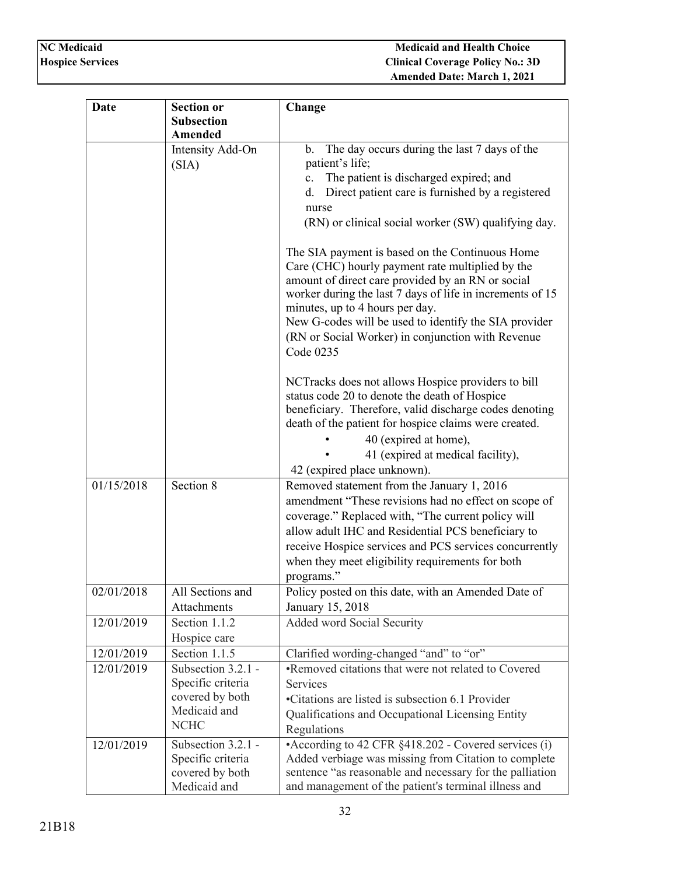| Date       | <b>Section or</b>                       | Change                                                                                                                                                                                                                                                                                                                                                                 |
|------------|-----------------------------------------|------------------------------------------------------------------------------------------------------------------------------------------------------------------------------------------------------------------------------------------------------------------------------------------------------------------------------------------------------------------------|
|            | <b>Subsection</b>                       |                                                                                                                                                                                                                                                                                                                                                                        |
|            | Amended                                 |                                                                                                                                                                                                                                                                                                                                                                        |
|            | Intensity Add-On                        | The day occurs during the last 7 days of the<br>b.                                                                                                                                                                                                                                                                                                                     |
|            | (SIA)                                   | patient's life;                                                                                                                                                                                                                                                                                                                                                        |
|            |                                         | The patient is discharged expired; and<br>c.                                                                                                                                                                                                                                                                                                                           |
|            |                                         | Direct patient care is furnished by a registered<br>d.                                                                                                                                                                                                                                                                                                                 |
|            |                                         | nurse                                                                                                                                                                                                                                                                                                                                                                  |
|            |                                         | (RN) or clinical social worker (SW) qualifying day.                                                                                                                                                                                                                                                                                                                    |
|            |                                         | The SIA payment is based on the Continuous Home<br>Care (CHC) hourly payment rate multiplied by the<br>amount of direct care provided by an RN or social<br>worker during the last 7 days of life in increments of 15<br>minutes, up to 4 hours per day.<br>New G-codes will be used to identify the SIA provider<br>(RN or Social Worker) in conjunction with Revenue |
|            |                                         | Code 0235                                                                                                                                                                                                                                                                                                                                                              |
|            |                                         | NCTracks does not allows Hospice providers to bill<br>status code 20 to denote the death of Hospice                                                                                                                                                                                                                                                                    |
|            |                                         | beneficiary. Therefore, valid discharge codes denoting                                                                                                                                                                                                                                                                                                                 |
|            |                                         | death of the patient for hospice claims were created.                                                                                                                                                                                                                                                                                                                  |
|            |                                         | 40 (expired at home),                                                                                                                                                                                                                                                                                                                                                  |
|            |                                         | 41 (expired at medical facility),                                                                                                                                                                                                                                                                                                                                      |
|            |                                         | 42 (expired place unknown).                                                                                                                                                                                                                                                                                                                                            |
| 01/15/2018 | Section 8                               | Removed statement from the January 1, 2016                                                                                                                                                                                                                                                                                                                             |
|            |                                         | amendment "These revisions had no effect on scope of                                                                                                                                                                                                                                                                                                                   |
|            |                                         | coverage." Replaced with, "The current policy will                                                                                                                                                                                                                                                                                                                     |
|            |                                         | allow adult IHC and Residential PCS beneficiary to                                                                                                                                                                                                                                                                                                                     |
|            |                                         | receive Hospice services and PCS services concurrently                                                                                                                                                                                                                                                                                                                 |
|            |                                         | when they meet eligibility requirements for both                                                                                                                                                                                                                                                                                                                       |
|            |                                         | programs."                                                                                                                                                                                                                                                                                                                                                             |
| 02/01/2018 | All Sections and                        | Policy posted on this date, with an Amended Date of                                                                                                                                                                                                                                                                                                                    |
|            | Attachments                             | January 15, 2018                                                                                                                                                                                                                                                                                                                                                       |
| 12/01/2019 | Section 1.1.2                           | Added word Social Security                                                                                                                                                                                                                                                                                                                                             |
|            | Hospice care                            |                                                                                                                                                                                                                                                                                                                                                                        |
| 12/01/2019 | Section 1.1.5                           | Clarified wording-changed "and" to "or"                                                                                                                                                                                                                                                                                                                                |
| 12/01/2019 | Subsection 3.2.1 -<br>Specific criteria | •Removed citations that were not related to Covered<br><b>Services</b>                                                                                                                                                                                                                                                                                                 |
|            | covered by both                         |                                                                                                                                                                                                                                                                                                                                                                        |
|            | Medicaid and                            | •Citations are listed is subsection 6.1 Provider                                                                                                                                                                                                                                                                                                                       |
|            | <b>NCHC</b>                             | Qualifications and Occupational Licensing Entity<br>Regulations                                                                                                                                                                                                                                                                                                        |
| 12/01/2019 | Subsection 3.2.1 -                      | • According to 42 CFR §418.202 - Covered services (i)                                                                                                                                                                                                                                                                                                                  |
|            | Specific criteria                       | Added verbiage was missing from Citation to complete                                                                                                                                                                                                                                                                                                                   |
|            | covered by both                         | sentence "as reasonable and necessary for the palliation                                                                                                                                                                                                                                                                                                               |
|            | Medicaid and                            | and management of the patient's terminal illness and                                                                                                                                                                                                                                                                                                                   |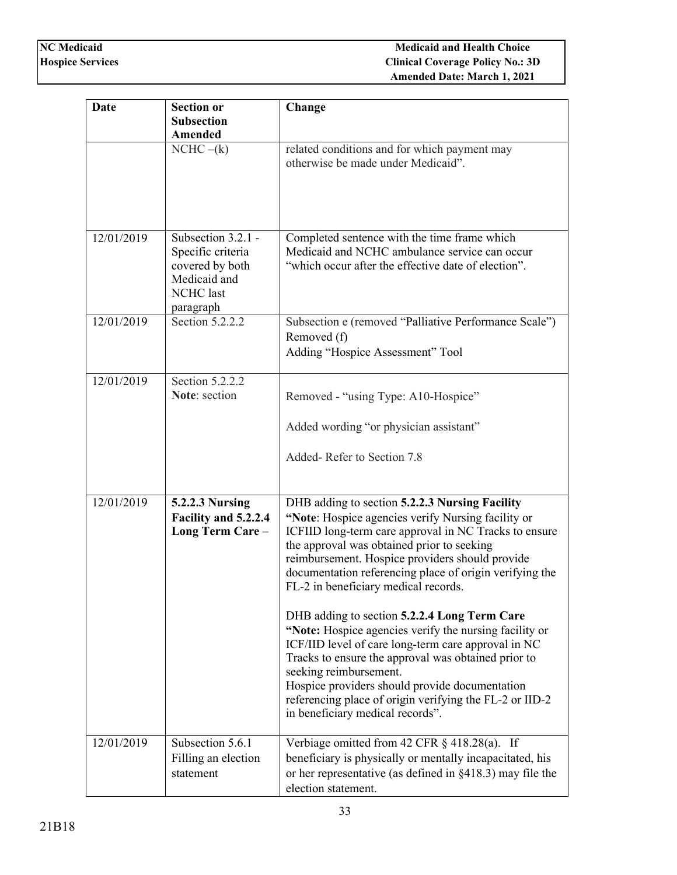| Date       | <b>Section or</b>                                                                                           | Change                                                                                                                                                                                                                                                                                                                                                                                                                                                                                                                                                                                                              |
|------------|-------------------------------------------------------------------------------------------------------------|---------------------------------------------------------------------------------------------------------------------------------------------------------------------------------------------------------------------------------------------------------------------------------------------------------------------------------------------------------------------------------------------------------------------------------------------------------------------------------------------------------------------------------------------------------------------------------------------------------------------|
|            | <b>Subsection</b>                                                                                           |                                                                                                                                                                                                                                                                                                                                                                                                                                                                                                                                                                                                                     |
|            | <b>Amended</b>                                                                                              |                                                                                                                                                                                                                                                                                                                                                                                                                                                                                                                                                                                                                     |
|            | $NCHC - (k)$                                                                                                | related conditions and for which payment may<br>otherwise be made under Medicaid".                                                                                                                                                                                                                                                                                                                                                                                                                                                                                                                                  |
| 12/01/2019 | Subsection 3.2.1 -<br>Specific criteria<br>covered by both<br>Medicaid and<br><b>NCHC</b> last<br>paragraph | Completed sentence with the time frame which<br>Medicaid and NCHC ambulance service can occur<br>"which occur after the effective date of election".                                                                                                                                                                                                                                                                                                                                                                                                                                                                |
| 12/01/2019 | Section 5.2.2.2                                                                                             | Subsection e (removed "Palliative Performance Scale")<br>Removed (f)<br>Adding "Hospice Assessment" Tool                                                                                                                                                                                                                                                                                                                                                                                                                                                                                                            |
| 12/01/2019 | Section 5.2.2.2<br><b>Note:</b> section                                                                     | Removed - "using Type: A10-Hospice"                                                                                                                                                                                                                                                                                                                                                                                                                                                                                                                                                                                 |
|            |                                                                                                             | Added wording "or physician assistant"                                                                                                                                                                                                                                                                                                                                                                                                                                                                                                                                                                              |
|            |                                                                                                             | Added-Refer to Section 7.8                                                                                                                                                                                                                                                                                                                                                                                                                                                                                                                                                                                          |
| 12/01/2019 | <b>5.2.2.3 Nursing</b><br>Facility and 5.2.2.4<br>Long Term Care-                                           | DHB adding to section 5.2.2.3 Nursing Facility<br>"Note: Hospice agencies verify Nursing facility or<br>ICFIID long-term care approval in NC Tracks to ensure<br>the approval was obtained prior to seeking<br>reimbursement. Hospice providers should provide<br>documentation referencing place of origin verifying the<br>FL-2 in beneficiary medical records.<br>DHB adding to section 5.2.2.4 Long Term Care<br>"Note: Hospice agencies verify the nursing facility or<br>ICF/IID level of care long-term care approval in NC<br>Tracks to ensure the approval was obtained prior to<br>seeking reimbursement. |
|            |                                                                                                             | Hospice providers should provide documentation<br>referencing place of origin verifying the FL-2 or IID-2<br>in beneficiary medical records".                                                                                                                                                                                                                                                                                                                                                                                                                                                                       |
| 12/01/2019 | Subsection 5.6.1<br>Filling an election<br>statement                                                        | Verbiage omitted from 42 CFR $\S$ 418.28(a). If<br>beneficiary is physically or mentally incapacitated, his<br>or her representative (as defined in $\S 418.3$ ) may file the<br>election statement.                                                                                                                                                                                                                                                                                                                                                                                                                |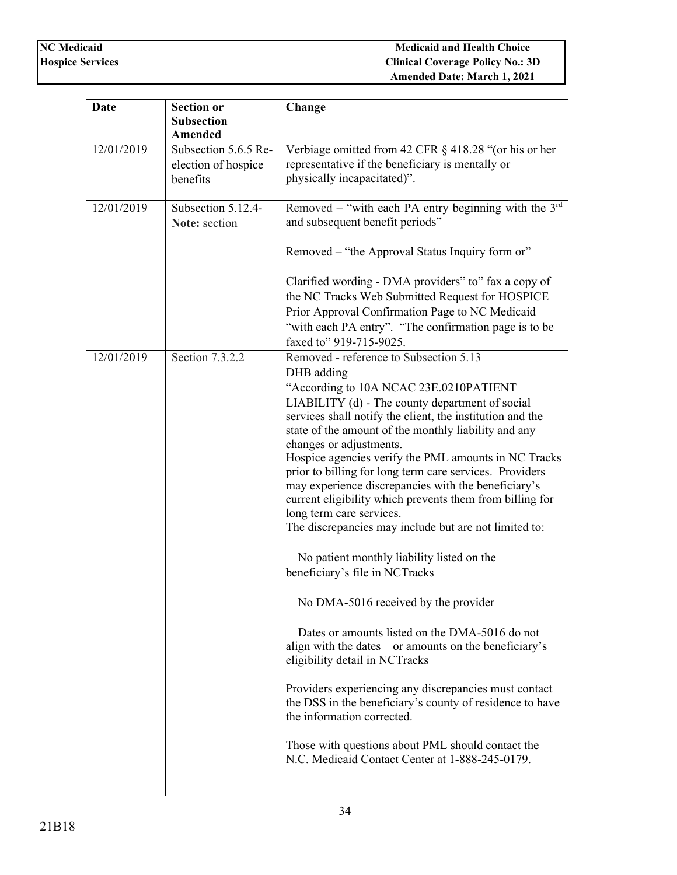| <b>Section or</b><br>Date<br>Change                                     |                                                           |
|-------------------------------------------------------------------------|-----------------------------------------------------------|
| <b>Subsection</b>                                                       |                                                           |
| Amended                                                                 |                                                           |
| 12/01/2019<br>Subsection 5.6.5 Re-                                      | Verbiage omitted from 42 CFR § 418.28 "(or his or her     |
| representative if the beneficiary is mentally or<br>election of hospice |                                                           |
| physically incapacitated)".<br>benefits                                 |                                                           |
| 12/01/2019<br>Subsection 5.12.4-                                        | Removed – "with each PA entry beginning with the $3rd$    |
| and subsequent benefit periods"<br>Note: section                        |                                                           |
|                                                                         |                                                           |
|                                                                         | Removed - "the Approval Status Inquiry form or"           |
|                                                                         | Clarified wording - DMA providers" to" fax a copy of      |
|                                                                         | the NC Tracks Web Submitted Request for HOSPICE           |
|                                                                         | Prior Approval Confirmation Page to NC Medicaid           |
|                                                                         | "with each PA entry". "The confirmation page is to be     |
| faxed to" 919-715-9025.                                                 |                                                           |
| 12/01/2019<br>Section 7.3.2.2<br>Removed - reference to Subsection 5.13 |                                                           |
| DHB adding                                                              |                                                           |
|                                                                         | "According to 10A NCAC 23E.0210PATIENT                    |
|                                                                         | LIABILITY (d) - The county department of social           |
|                                                                         | services shall notify the client, the institution and the |
| changes or adjustments.                                                 | state of the amount of the monthly liability and any      |
|                                                                         | Hospice agencies verify the PML amounts in NC Tracks      |
|                                                                         | prior to billing for long term care services. Providers   |
|                                                                         | may experience discrepancies with the beneficiary's       |
|                                                                         | current eligibility which prevents them from billing for  |
| long term care services.                                                |                                                           |
|                                                                         | The discrepancies may include but are not limited to:     |
| No patient monthly liability listed on the                              |                                                           |
| beneficiary's file in NCTracks                                          |                                                           |
|                                                                         |                                                           |
| No DMA-5016 received by the provider                                    |                                                           |
|                                                                         | Dates or amounts listed on the DMA-5016 do not            |
|                                                                         | align with the dates or amounts on the beneficiary's      |
| eligibility detail in NCTracks                                          |                                                           |
|                                                                         | Providers experiencing any discrepancies must contact     |
|                                                                         | the DSS in the beneficiary's county of residence to have  |
| the information corrected.                                              |                                                           |
|                                                                         | Those with questions about PML should contact the         |
|                                                                         | N.C. Medicaid Contact Center at 1-888-245-0179.           |
|                                                                         |                                                           |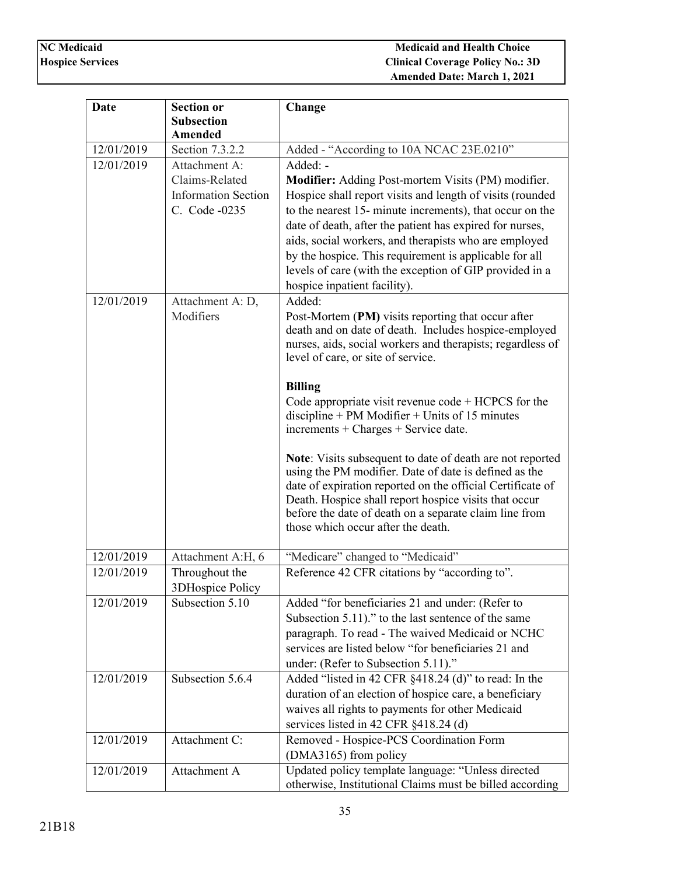| <b>Date</b>                            | <b>Section or</b>                                                     | Change                                                                                                                                                                                                                                                                                                                                                                                                                                                                                                                                                                                                                                                                                                                                                                                                                            |
|----------------------------------------|-----------------------------------------------------------------------|-----------------------------------------------------------------------------------------------------------------------------------------------------------------------------------------------------------------------------------------------------------------------------------------------------------------------------------------------------------------------------------------------------------------------------------------------------------------------------------------------------------------------------------------------------------------------------------------------------------------------------------------------------------------------------------------------------------------------------------------------------------------------------------------------------------------------------------|
|                                        | <b>Subsection</b>                                                     |                                                                                                                                                                                                                                                                                                                                                                                                                                                                                                                                                                                                                                                                                                                                                                                                                                   |
|                                        | <b>Amended</b>                                                        |                                                                                                                                                                                                                                                                                                                                                                                                                                                                                                                                                                                                                                                                                                                                                                                                                                   |
| 12/01/2019                             | Section 7.3.2.2                                                       | Added - "According to 10A NCAC 23E.0210"                                                                                                                                                                                                                                                                                                                                                                                                                                                                                                                                                                                                                                                                                                                                                                                          |
| 12/01/2019                             | Attachment A:                                                         | Added: -                                                                                                                                                                                                                                                                                                                                                                                                                                                                                                                                                                                                                                                                                                                                                                                                                          |
|                                        | Claims-Related                                                        | Modifier: Adding Post-mortem Visits (PM) modifier.                                                                                                                                                                                                                                                                                                                                                                                                                                                                                                                                                                                                                                                                                                                                                                                |
|                                        | <b>Information Section</b>                                            | Hospice shall report visits and length of visits (rounded                                                                                                                                                                                                                                                                                                                                                                                                                                                                                                                                                                                                                                                                                                                                                                         |
|                                        | C. Code -0235                                                         | to the nearest 15- minute increments), that occur on the                                                                                                                                                                                                                                                                                                                                                                                                                                                                                                                                                                                                                                                                                                                                                                          |
|                                        |                                                                       | date of death, after the patient has expired for nurses,                                                                                                                                                                                                                                                                                                                                                                                                                                                                                                                                                                                                                                                                                                                                                                          |
|                                        |                                                                       | aids, social workers, and therapists who are employed                                                                                                                                                                                                                                                                                                                                                                                                                                                                                                                                                                                                                                                                                                                                                                             |
|                                        |                                                                       | by the hospice. This requirement is applicable for all                                                                                                                                                                                                                                                                                                                                                                                                                                                                                                                                                                                                                                                                                                                                                                            |
|                                        |                                                                       | levels of care (with the exception of GIP provided in a                                                                                                                                                                                                                                                                                                                                                                                                                                                                                                                                                                                                                                                                                                                                                                           |
|                                        |                                                                       | hospice inpatient facility).                                                                                                                                                                                                                                                                                                                                                                                                                                                                                                                                                                                                                                                                                                                                                                                                      |
| 12/01/2019                             | Attachment A: D,                                                      | Added:                                                                                                                                                                                                                                                                                                                                                                                                                                                                                                                                                                                                                                                                                                                                                                                                                            |
|                                        | Modifiers                                                             | Post-Mortem (PM) visits reporting that occur after                                                                                                                                                                                                                                                                                                                                                                                                                                                                                                                                                                                                                                                                                                                                                                                |
|                                        |                                                                       | death and on date of death. Includes hospice-employed                                                                                                                                                                                                                                                                                                                                                                                                                                                                                                                                                                                                                                                                                                                                                                             |
|                                        |                                                                       | nurses, aids, social workers and therapists; regardless of<br>level of care, or site of service.                                                                                                                                                                                                                                                                                                                                                                                                                                                                                                                                                                                                                                                                                                                                  |
|                                        |                                                                       |                                                                                                                                                                                                                                                                                                                                                                                                                                                                                                                                                                                                                                                                                                                                                                                                                                   |
|                                        |                                                                       | <b>Billing</b>                                                                                                                                                                                                                                                                                                                                                                                                                                                                                                                                                                                                                                                                                                                                                                                                                    |
|                                        |                                                                       | Code appropriate visit revenue $code + HCPCS$ for the                                                                                                                                                                                                                                                                                                                                                                                                                                                                                                                                                                                                                                                                                                                                                                             |
|                                        |                                                                       | $discpline + PM$ Modifier + Units of 15 minutes                                                                                                                                                                                                                                                                                                                                                                                                                                                                                                                                                                                                                                                                                                                                                                                   |
|                                        |                                                                       | $increments + charges + Service date.$                                                                                                                                                                                                                                                                                                                                                                                                                                                                                                                                                                                                                                                                                                                                                                                            |
|                                        |                                                                       | Note: Visits subsequent to date of death are not reported                                                                                                                                                                                                                                                                                                                                                                                                                                                                                                                                                                                                                                                                                                                                                                         |
|                                        |                                                                       | using the PM modifier. Date of date is defined as the                                                                                                                                                                                                                                                                                                                                                                                                                                                                                                                                                                                                                                                                                                                                                                             |
|                                        |                                                                       |                                                                                                                                                                                                                                                                                                                                                                                                                                                                                                                                                                                                                                                                                                                                                                                                                                   |
|                                        |                                                                       |                                                                                                                                                                                                                                                                                                                                                                                                                                                                                                                                                                                                                                                                                                                                                                                                                                   |
|                                        |                                                                       |                                                                                                                                                                                                                                                                                                                                                                                                                                                                                                                                                                                                                                                                                                                                                                                                                                   |
|                                        |                                                                       |                                                                                                                                                                                                                                                                                                                                                                                                                                                                                                                                                                                                                                                                                                                                                                                                                                   |
| 12/01/2019                             | Attachment A:H, 6                                                     | "Medicare" changed to "Medicaid"                                                                                                                                                                                                                                                                                                                                                                                                                                                                                                                                                                                                                                                                                                                                                                                                  |
| 12/01/2019                             | Throughout the                                                        | Reference 42 CFR citations by "according to".                                                                                                                                                                                                                                                                                                                                                                                                                                                                                                                                                                                                                                                                                                                                                                                     |
|                                        |                                                                       |                                                                                                                                                                                                                                                                                                                                                                                                                                                                                                                                                                                                                                                                                                                                                                                                                                   |
| 12/01/2019                             | Subsection 5.10                                                       | Added "for beneficiaries 21 and under: (Refer to                                                                                                                                                                                                                                                                                                                                                                                                                                                                                                                                                                                                                                                                                                                                                                                  |
|                                        |                                                                       |                                                                                                                                                                                                                                                                                                                                                                                                                                                                                                                                                                                                                                                                                                                                                                                                                                   |
|                                        |                                                                       |                                                                                                                                                                                                                                                                                                                                                                                                                                                                                                                                                                                                                                                                                                                                                                                                                                   |
|                                        |                                                                       |                                                                                                                                                                                                                                                                                                                                                                                                                                                                                                                                                                                                                                                                                                                                                                                                                                   |
|                                        |                                                                       |                                                                                                                                                                                                                                                                                                                                                                                                                                                                                                                                                                                                                                                                                                                                                                                                                                   |
|                                        |                                                                       |                                                                                                                                                                                                                                                                                                                                                                                                                                                                                                                                                                                                                                                                                                                                                                                                                                   |
|                                        |                                                                       |                                                                                                                                                                                                                                                                                                                                                                                                                                                                                                                                                                                                                                                                                                                                                                                                                                   |
|                                        |                                                                       |                                                                                                                                                                                                                                                                                                                                                                                                                                                                                                                                                                                                                                                                                                                                                                                                                                   |
|                                        |                                                                       |                                                                                                                                                                                                                                                                                                                                                                                                                                                                                                                                                                                                                                                                                                                                                                                                                                   |
|                                        |                                                                       |                                                                                                                                                                                                                                                                                                                                                                                                                                                                                                                                                                                                                                                                                                                                                                                                                                   |
|                                        |                                                                       |                                                                                                                                                                                                                                                                                                                                                                                                                                                                                                                                                                                                                                                                                                                                                                                                                                   |
|                                        |                                                                       |                                                                                                                                                                                                                                                                                                                                                                                                                                                                                                                                                                                                                                                                                                                                                                                                                                   |
| 12/01/2019<br>12/01/2019<br>12/01/2019 | 3DHospice Policy<br>Subsection 5.6.4<br>Attachment C:<br>Attachment A | date of expiration reported on the official Certificate of<br>Death. Hospice shall report hospice visits that occur<br>before the date of death on a separate claim line from<br>those which occur after the death.<br>Subsection 5.11)." to the last sentence of the same<br>paragraph. To read - The waived Medicaid or NCHC<br>services are listed below "for beneficiaries 21 and<br>under: (Refer to Subsection 5.11)."<br>Added "listed in 42 CFR §418.24 (d)" to read: In the<br>duration of an election of hospice care, a beneficiary<br>waives all rights to payments for other Medicaid<br>services listed in 42 CFR §418.24 (d)<br>Removed - Hospice-PCS Coordination Form<br>(DMA3165) from policy<br>Updated policy template language: "Unless directed<br>otherwise, Institutional Claims must be billed according |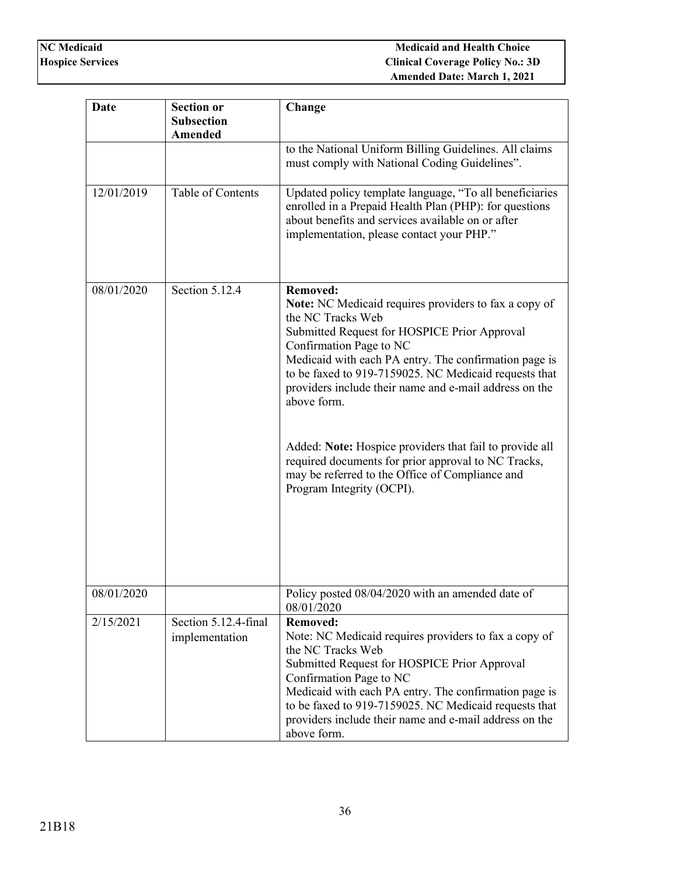| <b>Date</b> | <b>Section or</b><br><b>Subsection</b><br><b>Amended</b> | Change                                                                                                                                                                                                                                                                                                                                                                                                                                                                                                                                                                       |
|-------------|----------------------------------------------------------|------------------------------------------------------------------------------------------------------------------------------------------------------------------------------------------------------------------------------------------------------------------------------------------------------------------------------------------------------------------------------------------------------------------------------------------------------------------------------------------------------------------------------------------------------------------------------|
|             |                                                          | to the National Uniform Billing Guidelines. All claims<br>must comply with National Coding Guidelines".                                                                                                                                                                                                                                                                                                                                                                                                                                                                      |
| 12/01/2019  | Table of Contents                                        | Updated policy template language, "To all beneficiaries<br>enrolled in a Prepaid Health Plan (PHP): for questions<br>about benefits and services available on or after<br>implementation, please contact your PHP."                                                                                                                                                                                                                                                                                                                                                          |
| 08/01/2020  | Section 5.12.4                                           | <b>Removed:</b><br><b>Note:</b> NC Medicaid requires providers to fax a copy of<br>the NC Tracks Web<br>Submitted Request for HOSPICE Prior Approval<br>Confirmation Page to NC<br>Medicaid with each PA entry. The confirmation page is<br>to be faxed to 919-7159025. NC Medicaid requests that<br>providers include their name and e-mail address on the<br>above form.<br>Added: Note: Hospice providers that fail to provide all<br>required documents for prior approval to NC Tracks,<br>may be referred to the Office of Compliance and<br>Program Integrity (OCPI). |
| 08/01/2020  |                                                          | Policy posted 08/04/2020 with an amended date of<br>08/01/2020                                                                                                                                                                                                                                                                                                                                                                                                                                                                                                               |
| 2/15/2021   | Section 5.12.4-final<br>implementation                   | <b>Removed:</b><br>Note: NC Medicaid requires providers to fax a copy of<br>the NC Tracks Web<br>Submitted Request for HOSPICE Prior Approval<br>Confirmation Page to NC<br>Medicaid with each PA entry. The confirmation page is<br>to be faxed to 919-7159025. NC Medicaid requests that<br>providers include their name and e-mail address on the<br>above form.                                                                                                                                                                                                          |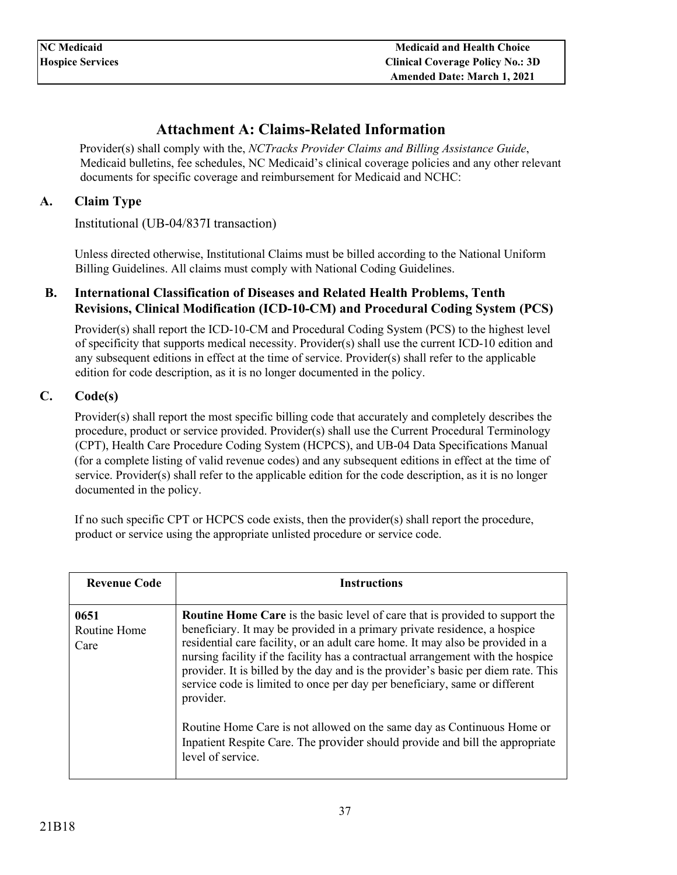# **Attachment A: Claims-Related Information**

<span id="page-36-0"></span>Provider(s) shall comply with the, *NCTracks Provider Claims and Billing Assistance Guide*, Medicaid bulletins, fee schedules, NC Medicaid's clinical coverage policies and any other relevant documents for specific coverage and reimbursement for Medicaid and NCHC:

### <span id="page-36-1"></span>**A. Claim Type**

Institutional (UB-04/837I transaction)

Unless directed otherwise, Institutional Claims must be billed according to the National Uniform Billing Guidelines. All claims must comply with National Coding Guidelines.

### <span id="page-36-2"></span>**B. International Classification of Diseases and Related Health Problems, Tenth Revisions, Clinical Modification (ICD-10-CM) and Procedural Coding System (PCS)**

Provider(s) shall report the ICD-10-CM and Procedural Coding System (PCS) to the highest level of specificity that supports medical necessity. Provider(s) shall use the current ICD-10 edition and any subsequent editions in effect at the time of service. Provider(s) shall refer to the applicable edition for code description, as it is no longer documented in the policy.

### <span id="page-36-3"></span>**C. Code(s)**

Provider(s) shall report the most specific billing code that accurately and completely describes the procedure, product or service provided. Provider(s) shall use the Current Procedural Terminology (CPT), Health Care Procedure Coding System (HCPCS), and UB-04 Data Specifications Manual (for a complete listing of valid revenue codes) and any subsequent editions in effect at the time of service. Provider(s) shall refer to the applicable edition for the code description, as it is no longer documented in the policy.

If no such specific CPT or HCPCS code exists, then the provider(s) shall report the procedure, product or service using the appropriate unlisted procedure or service code.

| <b>Revenue Code</b>          | <b>Instructions</b>                                                                                                                                                                                                                                                                                                                                                                                                                                                                                                                                                                                                                                                                                  |
|------------------------------|------------------------------------------------------------------------------------------------------------------------------------------------------------------------------------------------------------------------------------------------------------------------------------------------------------------------------------------------------------------------------------------------------------------------------------------------------------------------------------------------------------------------------------------------------------------------------------------------------------------------------------------------------------------------------------------------------|
| 0651<br>Routine Home<br>Care | <b>Routine Home Care</b> is the basic level of care that is provided to support the<br>beneficiary. It may be provided in a primary private residence, a hospice<br>residential care facility, or an adult care home. It may also be provided in a<br>nursing facility if the facility has a contractual arrangement with the hospice<br>provider. It is billed by the day and is the provider's basic per diem rate. This<br>service code is limited to once per day per beneficiary, same or different<br>provider.<br>Routine Home Care is not allowed on the same day as Continuous Home or<br>Inpatient Respite Care. The provider should provide and bill the appropriate<br>level of service. |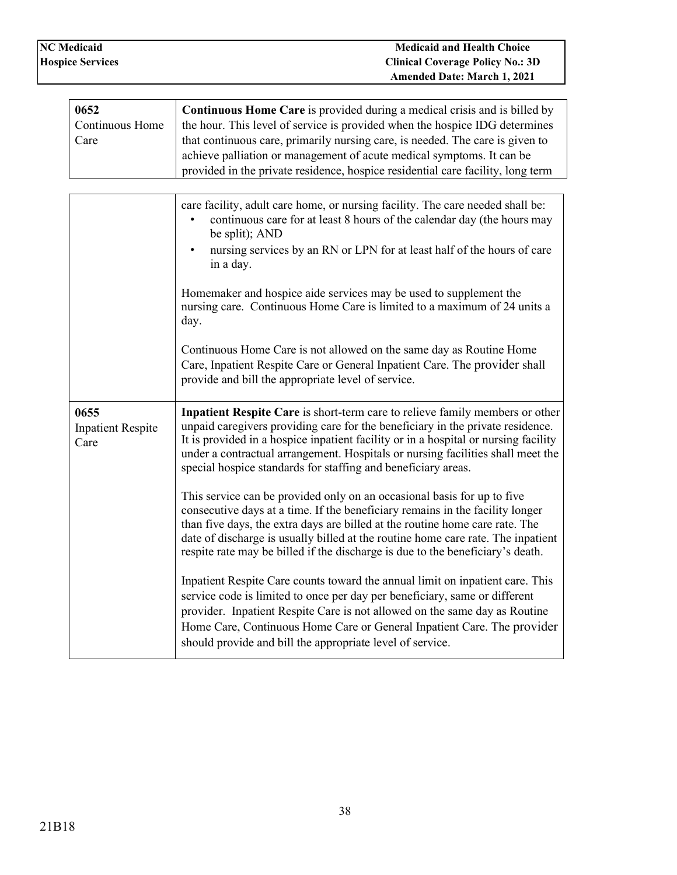| 0652            | <b>Continuous Home Care</b> is provided during a medical crisis and is billed by |
|-----------------|----------------------------------------------------------------------------------|
| Continuous Home | the hour. This level of service is provided when the hospice IDG determines      |
| Care            | that continuous care, primarily nursing care, is needed. The care is given to    |
|                 | achieve palliation or management of acute medical symptoms. It can be            |
|                 | provided in the private residence, hospice residential care facility, long term  |
|                 |                                                                                  |

|                                          | care facility, adult care home, or nursing facility. The care needed shall be:<br>continuous care for at least 8 hours of the calendar day (the hours may<br>be split); AND<br>nursing services by an RN or LPN for at least half of the hours of care<br>in a day.                                                                                                                                            |
|------------------------------------------|----------------------------------------------------------------------------------------------------------------------------------------------------------------------------------------------------------------------------------------------------------------------------------------------------------------------------------------------------------------------------------------------------------------|
|                                          | Homemaker and hospice aide services may be used to supplement the<br>nursing care. Continuous Home Care is limited to a maximum of 24 units a<br>day.                                                                                                                                                                                                                                                          |
|                                          | Continuous Home Care is not allowed on the same day as Routine Home<br>Care, Inpatient Respite Care or General Inpatient Care. The provider shall<br>provide and bill the appropriate level of service.                                                                                                                                                                                                        |
| 0655<br><b>Inpatient Respite</b><br>Care | Inpatient Respite Care is short-term care to relieve family members or other<br>unpaid caregivers providing care for the beneficiary in the private residence.<br>It is provided in a hospice inpatient facility or in a hospital or nursing facility<br>under a contractual arrangement. Hospitals or nursing facilities shall meet the<br>special hospice standards for staffing and beneficiary areas.      |
|                                          | This service can be provided only on an occasional basis for up to five<br>consecutive days at a time. If the beneficiary remains in the facility longer<br>than five days, the extra days are billed at the routine home care rate. The<br>date of discharge is usually billed at the routine home care rate. The inpatient<br>respite rate may be billed if the discharge is due to the beneficiary's death. |
|                                          | Inpatient Respite Care counts toward the annual limit on inpatient care. This<br>service code is limited to once per day per beneficiary, same or different<br>provider. Inpatient Respite Care is not allowed on the same day as Routine<br>Home Care, Continuous Home Care or General Inpatient Care. The provider<br>should provide and bill the appropriate level of service.                              |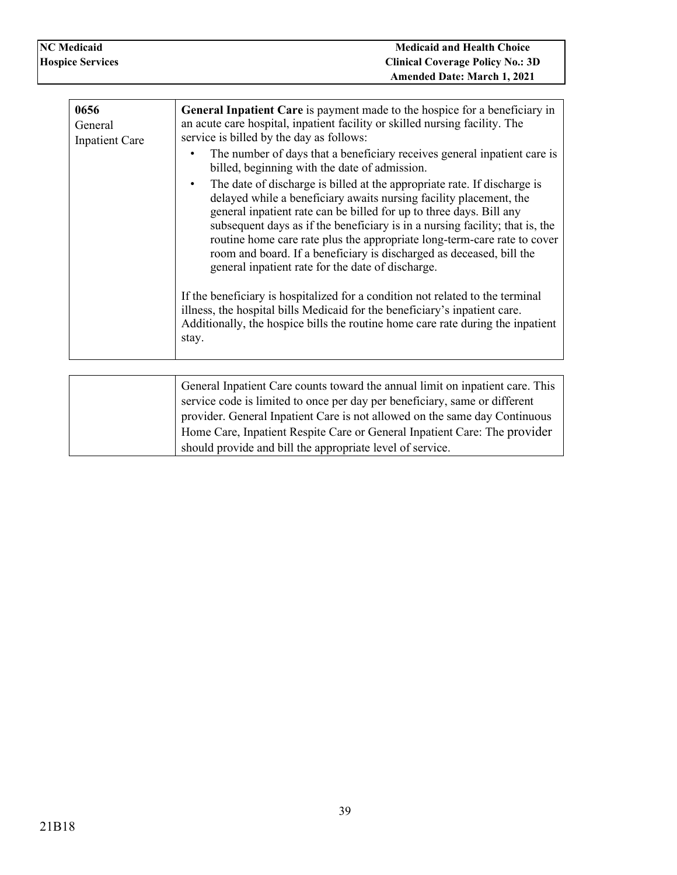| <b>NC Medicaid</b>      | <b>Medicaid and Health Choice</b>                                          |
|-------------------------|----------------------------------------------------------------------------|
| <b>Hospice Services</b> | <b>Clinical Coverage Policy No.: 3D</b>                                    |
|                         | <b>Amended Date: March 1, 2021</b>                                         |
|                         |                                                                            |
| 0656                    | General Inpatient Care is payment made to the hospice for a beneficiary in |

| 0656<br>General<br><b>Inpatient Care</b> | <b>General Inpatient Care</b> is payment made to the hospice for a beneficiary in<br>an acute care hospital, inpatient facility or skilled nursing facility. The<br>service is billed by the day as follows:                                                                                                                                                                                                                                                                                                        |
|------------------------------------------|---------------------------------------------------------------------------------------------------------------------------------------------------------------------------------------------------------------------------------------------------------------------------------------------------------------------------------------------------------------------------------------------------------------------------------------------------------------------------------------------------------------------|
|                                          | The number of days that a beneficiary receives general inpatient care is<br>billed, beginning with the date of admission.                                                                                                                                                                                                                                                                                                                                                                                           |
|                                          | The date of discharge is billed at the appropriate rate. If discharge is<br>٠<br>delayed while a beneficiary awaits nursing facility placement, the<br>general inpatient rate can be billed for up to three days. Bill any<br>subsequent days as if the beneficiary is in a nursing facility; that is, the<br>routine home care rate plus the appropriate long-term-care rate to cover<br>room and board. If a beneficiary is discharged as deceased, bill the<br>general inpatient rate for the date of discharge. |
|                                          | If the beneficiary is hospitalized for a condition not related to the terminal<br>illness, the hospital bills Medicaid for the beneficiary's inpatient care.<br>Additionally, the hospice bills the routine home care rate during the inpatient<br>stay.                                                                                                                                                                                                                                                            |

| General Inpatient Care counts toward the annual limit on inpatient care. This |
|-------------------------------------------------------------------------------|
| service code is limited to once per day per beneficiary, same or different    |
| provider. General Inpatient Care is not allowed on the same day Continuous    |
| Home Care, Inpatient Respite Care or General Inpatient Care: The provider     |
| should provide and bill the appropriate level of service.                     |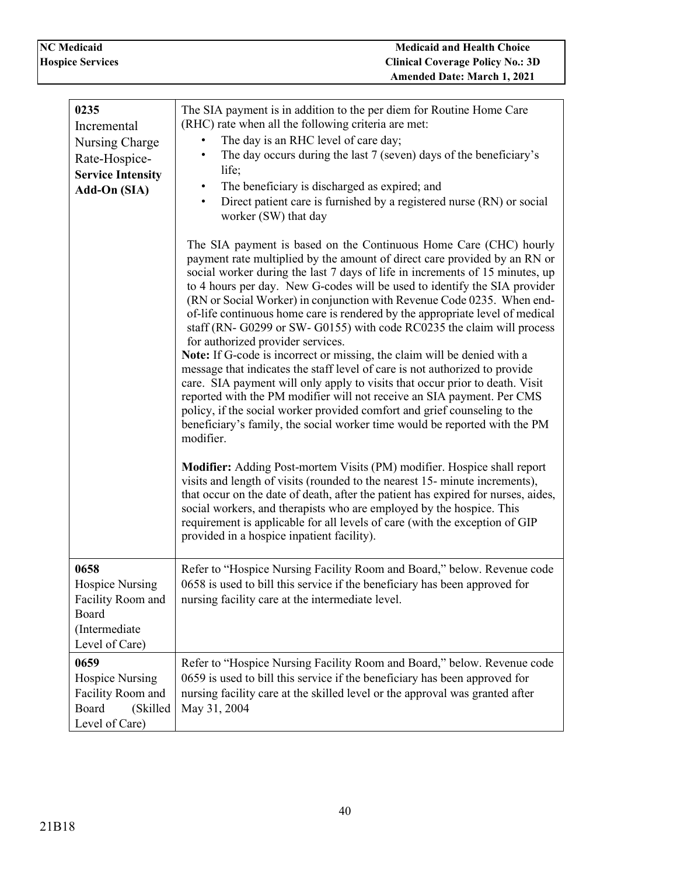| <b>NC</b> Medicaid      |  |
|-------------------------|--|
| <b>Hospice Services</b> |  |

 $\mathbf l$ 

| 0235<br>Incremental<br>Nursing Charge<br>Rate-Hospice-<br><b>Service Intensity</b><br>Add-On (SIA) | The SIA payment is in addition to the per diem for Routine Home Care<br>(RHC) rate when all the following criteria are met:<br>The day is an RHC level of care day;<br>The day occurs during the last 7 (seven) days of the beneficiary's<br>٠<br>life;<br>The beneficiary is discharged as expired; and<br>$\bullet$<br>Direct patient care is furnished by a registered nurse (RN) or social<br>$\bullet$<br>worker (SW) that day<br>The SIA payment is based on the Continuous Home Care (CHC) hourly<br>payment rate multiplied by the amount of direct care provided by an RN or<br>social worker during the last 7 days of life in increments of 15 minutes, up                                                                                                                                                                           |
|----------------------------------------------------------------------------------------------------|-------------------------------------------------------------------------------------------------------------------------------------------------------------------------------------------------------------------------------------------------------------------------------------------------------------------------------------------------------------------------------------------------------------------------------------------------------------------------------------------------------------------------------------------------------------------------------------------------------------------------------------------------------------------------------------------------------------------------------------------------------------------------------------------------------------------------------------------------|
|                                                                                                    | to 4 hours per day. New G-codes will be used to identify the SIA provider<br>(RN or Social Worker) in conjunction with Revenue Code 0235. When end-<br>of-life continuous home care is rendered by the appropriate level of medical<br>staff (RN- G0299 or SW- G0155) with code RC0235 the claim will process<br>for authorized provider services.<br>Note: If G-code is incorrect or missing, the claim will be denied with a<br>message that indicates the staff level of care is not authorized to provide<br>care. SIA payment will only apply to visits that occur prior to death. Visit<br>reported with the PM modifier will not receive an SIA payment. Per CMS<br>policy, if the social worker provided comfort and grief counseling to the<br>beneficiary's family, the social worker time would be reported with the PM<br>modifier. |
|                                                                                                    | Modifier: Adding Post-mortem Visits (PM) modifier. Hospice shall report<br>visits and length of visits (rounded to the nearest 15- minute increments),<br>that occur on the date of death, after the patient has expired for nurses, aides,<br>social workers, and therapists who are employed by the hospice. This<br>requirement is applicable for all levels of care (with the exception of GIP<br>provided in a hospice inpatient facility).                                                                                                                                                                                                                                                                                                                                                                                                |
| 0658<br><b>Hospice Nursing</b><br>Facility Room and<br>Board<br>(Intermediate<br>Level of Care)    | Refer to "Hospice Nursing Facility Room and Board," below. Revenue code<br>0658 is used to bill this service if the beneficiary has been approved for<br>nursing facility care at the intermediate level.                                                                                                                                                                                                                                                                                                                                                                                                                                                                                                                                                                                                                                       |
| 0659<br><b>Hospice Nursing</b><br>Facility Room and<br>Board<br>(Skilled<br>Level of Care)         | Refer to "Hospice Nursing Facility Room and Board," below. Revenue code<br>0659 is used to bill this service if the beneficiary has been approved for<br>nursing facility care at the skilled level or the approval was granted after<br>May 31, 2004                                                                                                                                                                                                                                                                                                                                                                                                                                                                                                                                                                                           |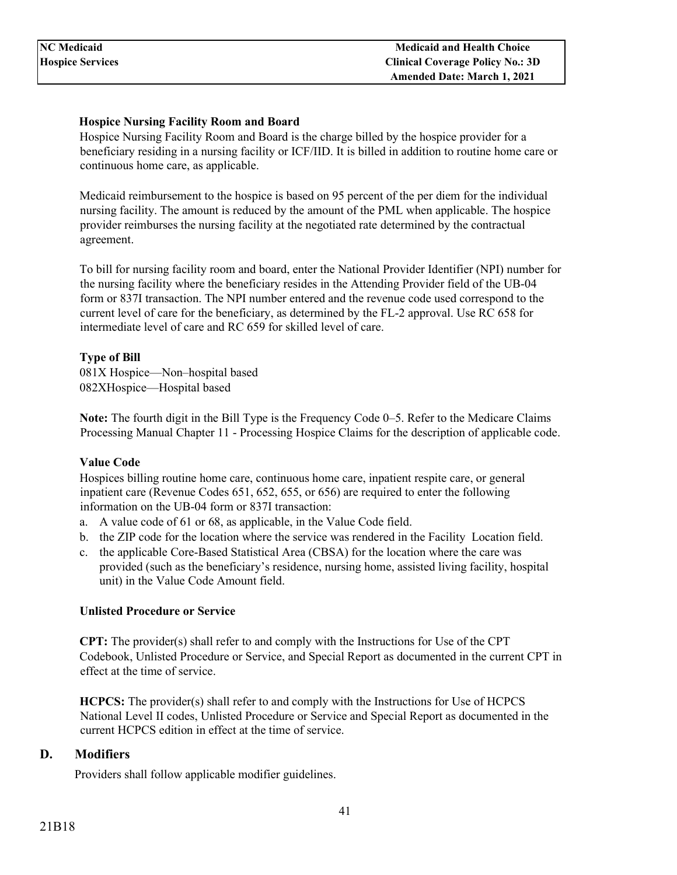### **Hospice Nursing Facility Room and Board**

Hospice Nursing Facility Room and Board is the charge billed by the hospice provider for a beneficiary residing in a nursing facility or ICF/IID. It is billed in addition to routine home care or continuous home care, as applicable.

Medicaid reimbursement to the hospice is based on 95 percent of the per diem for the individual nursing facility. The amount is reduced by the amount of the PML when applicable. The hospice provider reimburses the nursing facility at the negotiated rate determined by the contractual agreement.

To bill for nursing facility room and board, enter the National Provider Identifier (NPI) number for the nursing facility where the beneficiary resides in the Attending Provider field of the UB-04 form or 837I transaction. The NPI number entered and the revenue code used correspond to the current level of care for the beneficiary, as determined by the FL-2 approval. Use RC 658 for intermediate level of care and RC 659 for skilled level of care.

### **Type of Bill**

081X Hospice—Non–hospital based 082XHospice—Hospital based

**Note:** The fourth digit in the Bill Type is the Frequency Code 0–5. Refer to the Medicare Claims Processing Manual Chapter 11 - Processing Hospice Claims for the description of applicable code.

#### **Value Code**

Hospices billing routine home care, continuous home care, inpatient respite care, or general inpatient care (Revenue Codes 651, 652, 655, or 656) are required to enter the following information on the UB-04 form or 837I transaction:

- a. A value code of 61 or 68, as applicable, in the Value Code field.
- b. the ZIP code for the location where the service was rendered in the Facility Location field.
- c. the applicable Core-Based Statistical Area (CBSA) for the location where the care was provided (such as the beneficiary's residence, nursing home, assisted living facility, hospital unit) in the Value Code Amount field.

#### **Unlisted Procedure or Service**

**CPT:** The provider(s) shall refer to and comply with the Instructions for Use of the CPT Codebook, Unlisted Procedure or Service, and Special Report as documented in the current CPT in effect at the time of service.

**HCPCS:** The provider(s) shall refer to and comply with the Instructions for Use of HCPCS National Level II codes, Unlisted Procedure or Service and Special Report as documented in the current HCPCS edition in effect at the time of service.

### <span id="page-40-0"></span>**D. Modifiers**

Providers shall follow applicable modifier guidelines.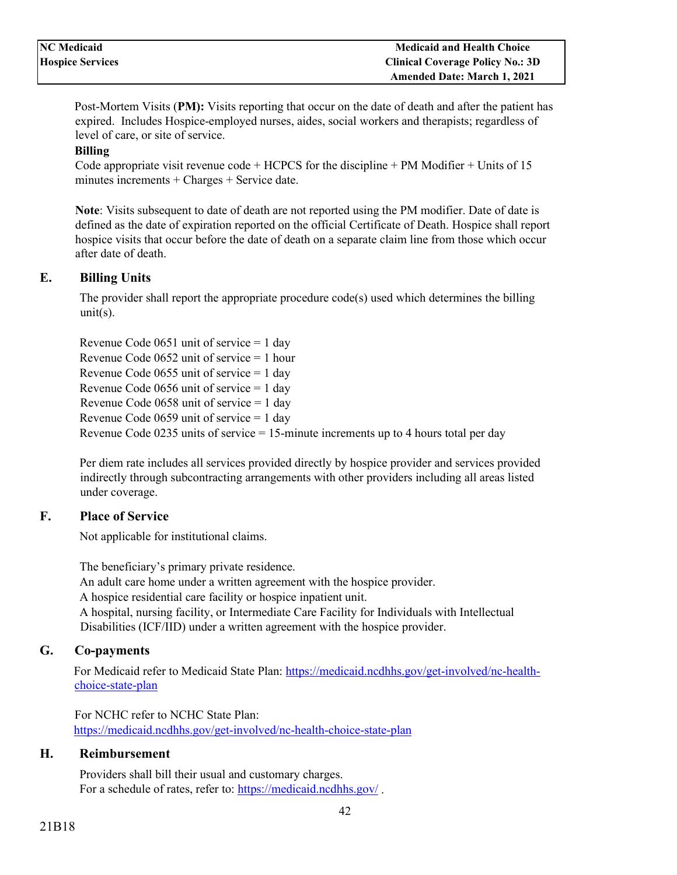Post-Mortem Visits (**PM):** Visits reporting that occur on the date of death and after the patient has expired. Includes Hospice-employed nurses, aides, social workers and therapists; regardless of level of care, or site of service.

### **Billing**

Code appropriate visit revenue code  $+$  HCPCS for the discipline  $+$  PM Modifier  $+$  Units of 15 minutes increments + Charges + Service date.

**Note**: Visits subsequent to date of death are not reported using the PM modifier. Date of date is defined as the date of expiration reported on the official Certificate of Death. Hospice shall report hospice visits that occur before the date of death on a separate claim line from those which occur after date of death.

### <span id="page-41-0"></span>**E. Billing Units**

The provider shall report the appropriate procedure code(s) used which determines the billing  $units)$ .

Revenue Code 0651 unit of service = 1 day Revenue Code 0652 unit of service = 1 hour Revenue Code 0655 unit of service = 1 day Revenue Code 0656 unit of service = 1 day Revenue Code 0658 unit of service = 1 day Revenue Code 0659 unit of service = 1 day Revenue Code 0235 units of service = 15-minute increments up to 4 hours total per day

Per diem rate includes all services provided directly by hospice provider and services provided indirectly through subcontracting arrangements with other providers including all areas listed under coverage.

### <span id="page-41-1"></span>**F. Place of Service**

Not applicable for institutional claims.

The beneficiary's primary private residence. An adult care home under a written agreement with the hospice provider. A hospice residential care facility or hospice inpatient unit. A hospital, nursing facility, or Intermediate Care Facility for Individuals with Intellectual Disabilities (ICF/IID) under a written agreement with the hospice provider.

### <span id="page-41-2"></span>**G. Co-payments**

For Medicaid refer to Medicaid State Plan: [https://medicaid.ncdhhs.gov/get-involved/nc-health](https://medicaid.ncdhhs.gov/get-involved/nc-health-choice-state-plan)[choice-state-plan](https://medicaid.ncdhhs.gov/get-involved/nc-health-choice-state-plan)

For NCHC refer to NCHC State Plan: <https://medicaid.ncdhhs.gov/get-involved/nc-health-choice-state-plan>

### <span id="page-41-3"></span>**H. Reimbursement**

Providers shall bill their usual and customary charges. For a schedule of rates, refer to:<https://medicaid.ncdhhs.gov/> .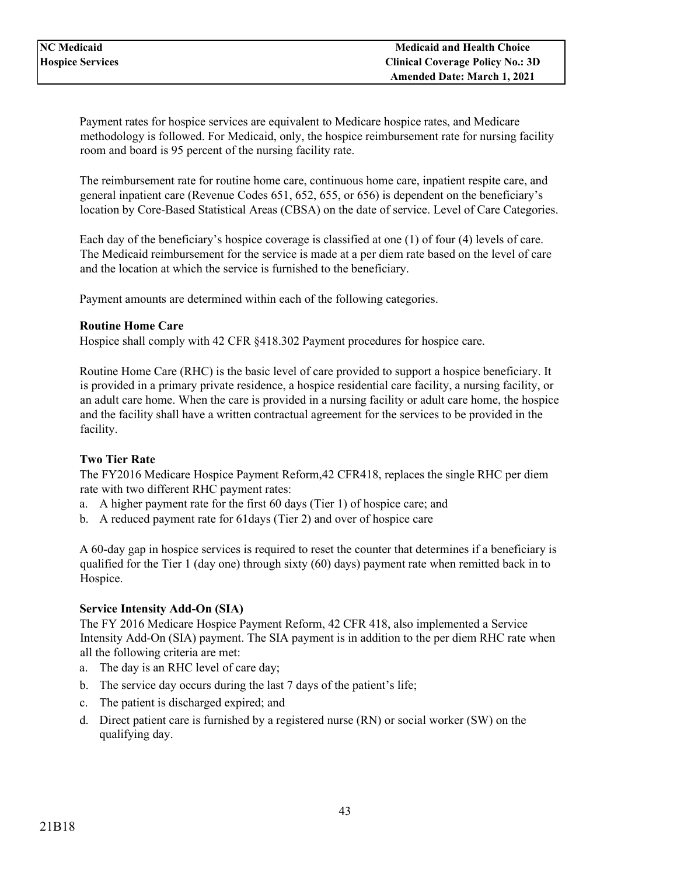Payment rates for hospice services are equivalent to Medicare hospice rates, and Medicare methodology is followed. For Medicaid, only, the hospice reimbursement rate for nursing facility room and board is 95 percent of the nursing facility rate.

The reimbursement rate for routine home care, continuous home care, inpatient respite care, and general inpatient care (Revenue Codes 651, 652, 655, or 656) is dependent on the beneficiary's location by Core-Based Statistical Areas (CBSA) on the date of service. Level of Care Categories.

Each day of the beneficiary's hospice coverage is classified at one (1) of four (4) levels of care. The Medicaid reimbursement for the service is made at a per diem rate based on the level of care and the location at which the service is furnished to the beneficiary.

Payment amounts are determined within each of the following categories.

#### **Routine Home Care**

Hospice shall comply with 42 CFR §418.302 Payment procedures for hospice care.

Routine Home Care (RHC) is the basic level of care provided to support a hospice beneficiary. It is provided in a primary private residence, a hospice residential care facility, a nursing facility, or an adult care home. When the care is provided in a nursing facility or adult care home, the hospice and the facility shall have a written contractual agreement for the services to be provided in the facility.

#### **Two Tier Rate**

The FY2016 Medicare Hospice Payment Reform,42 CFR418, replaces the single RHC per diem rate with two different RHC payment rates:

- a. A higher payment rate for the first 60 days (Tier 1) of hospice care; and
- b. A reduced payment rate for 61days (Tier 2) and over of hospice care

A 60-day gap in hospice services is required to reset the counter that determines if a beneficiary is qualified for the Tier 1 (day one) through sixty (60) days) payment rate when remitted back in to Hospice.

#### **Service Intensity Add-On (SIA)**

The FY 2016 Medicare Hospice Payment Reform, 42 CFR 418, also implemented a Service Intensity Add-On (SIA) payment. The SIA payment is in addition to the per diem RHC rate when all the following criteria are met:

- a. The day is an RHC level of care day;
- b. The service day occurs during the last 7 days of the patient's life;
- c. The patient is discharged expired; and
- d. Direct patient care is furnished by a registered nurse (RN) or social worker (SW) on the qualifying day.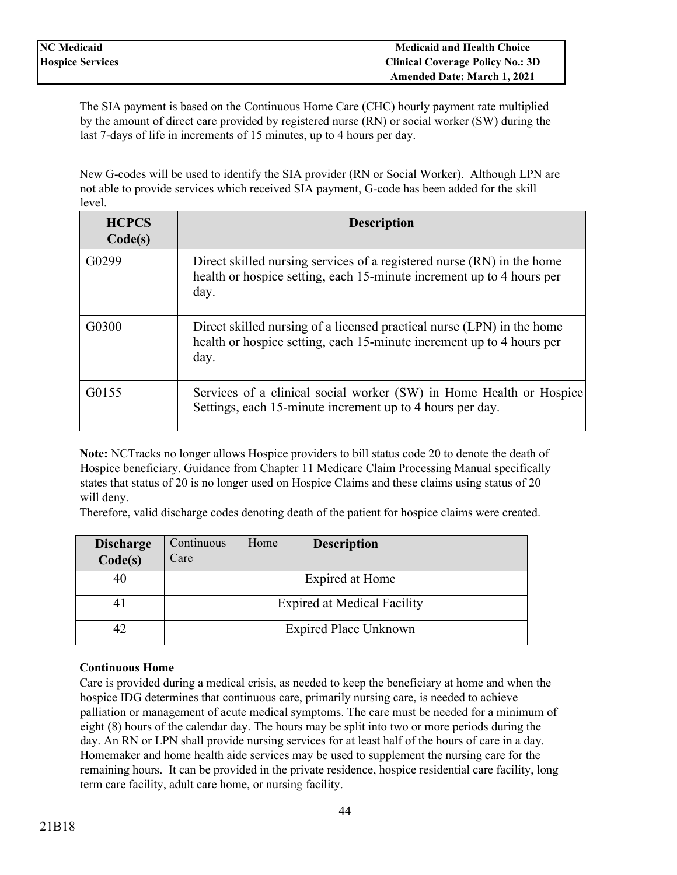The SIA payment is based on the Continuous Home Care (CHC) hourly payment rate multiplied by the amount of direct care provided by registered nurse (RN) or social worker (SW) during the last 7-days of life in increments of 15 minutes, up to 4 hours per day.

New G-codes will be used to identify the SIA provider (RN or Social Worker). Although LPN are not able to provide services which received SIA payment, G-code has been added for the skill level.

| <b>HCPCS</b><br>Code(s) | <b>Description</b>                                                                                                                                      |
|-------------------------|---------------------------------------------------------------------------------------------------------------------------------------------------------|
| G0299                   | Direct skilled nursing services of a registered nurse (RN) in the home<br>health or hospice setting, each 15-minute increment up to 4 hours per<br>day. |
| G0300                   | Direct skilled nursing of a licensed practical nurse (LPN) in the home<br>health or hospice setting, each 15-minute increment up to 4 hours per<br>day. |
| G0155                   | Services of a clinical social worker (SW) in Home Health or Hospice<br>Settings, each 15-minute increment up to 4 hours per day.                        |

**Note:** NCTracks no longer allows Hospice providers to bill status code 20 to denote the death of Hospice beneficiary. Guidance from Chapter 11 Medicare Claim Processing Manual specifically states that status of 20 is no longer used on Hospice Claims and these claims using status of 20 will deny.

Therefore, valid discharge codes denoting death of the patient for hospice claims were created.

| <b>Discharge</b><br>Code(s) | Continuous<br>Care | Home | <b>Description</b>                 |
|-----------------------------|--------------------|------|------------------------------------|
| 40                          |                    |      | Expired at Home                    |
| 41                          |                    |      | <b>Expired at Medical Facility</b> |
|                             |                    |      | <b>Expired Place Unknown</b>       |

### **Continuous Home**

Care is provided during a medical crisis, as needed to keep the beneficiary at home and when the hospice IDG determines that continuous care, primarily nursing care, is needed to achieve palliation or management of acute medical symptoms. The care must be needed for a minimum of eight (8) hours of the calendar day. The hours may be split into two or more periods during the day. An RN or LPN shall provide nursing services for at least half of the hours of care in a day. Homemaker and home health aide services may be used to supplement the nursing care for the remaining hours. It can be provided in the private residence, hospice residential care facility, long term care facility, adult care home, or nursing facility.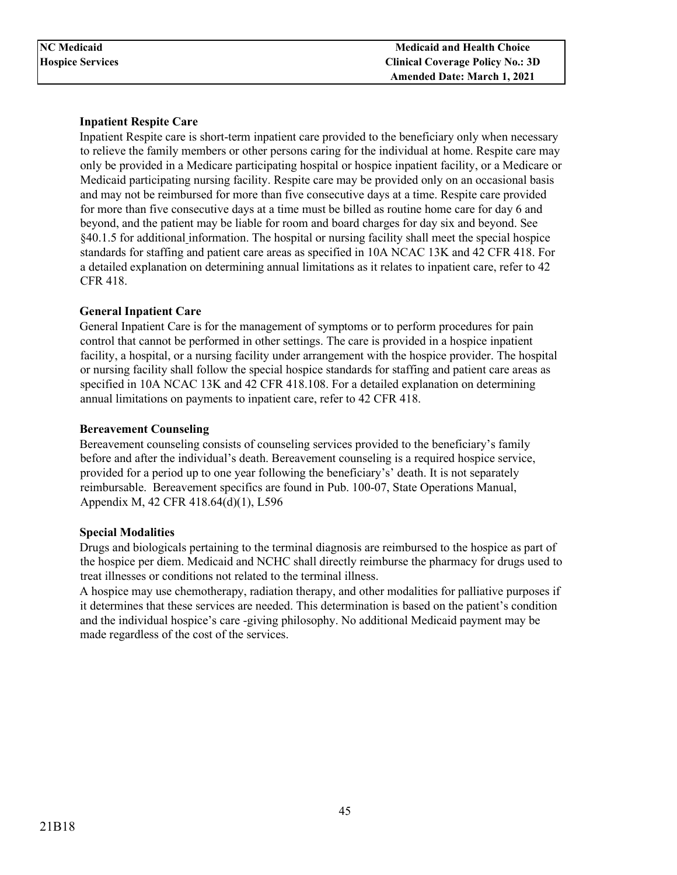### **Inpatient Respite Care**

Inpatient Respite care is short-term inpatient care provided to the beneficiary only when necessary to relieve the family members or other persons caring for the individual at home. Respite care may only be provided in a Medicare participating hospital or hospice inpatient facility, or a Medicare or Medicaid participating nursing facility. Respite care may be provided only on an occasional basis and may not be reimbursed for more than five consecutive days at a time. Respite care provided for more than five consecutive days at a time must be billed as routine home care for day 6 and beyond, and the patient may be liable for room and board charges for day six and beyond. See §40.1.5 for additional information. The hospital or nursing facility shall meet the special hospice standards for staffing and patient care areas as specified in 10A NCAC 13K and 42 CFR 418. For a detailed explanation on determining annual limitations as it relates to inpatient care, refer to 42 CFR 418.

### **General Inpatient Care**

General Inpatient Care is for the management of symptoms or to perform procedures for pain control that cannot be performed in other settings. The care is provided in a hospice inpatient facility, a hospital, or a nursing facility under arrangement with the hospice provider. The hospital or nursing facility shall follow the special hospice standards for staffing and patient care areas as specified in 10A NCAC 13K and 42 CFR 418.108. For a detailed explanation on determining annual limitations on payments to inpatient care, refer to 42 CFR 418.

### **Bereavement Counseling**

Bereavement counseling consists of counseling services provided to the beneficiary's family before and after the individual's death. Bereavement counseling is a required hospice service, provided for a period up to one year following the beneficiary's' death. It is not separately reimbursable. Bereavement specifics are found in Pub. 100-07, State Operations Manual, Appendix M, 42 CFR 418.64(d)(1), L596

### **Special Modalities**

Drugs and biologicals pertaining to the terminal diagnosis are reimbursed to the hospice as part of the hospice per diem. Medicaid and NCHC shall directly reimburse the pharmacy for drugs used to treat illnesses or conditions not related to the terminal illness.

A hospice may use chemotherapy, radiation therapy, and other modalities for palliative purposes if it determines that these services are needed. This determination is based on the patient's condition and the individual hospice's care -giving philosophy. No additional Medicaid payment may be made regardless of the cost of the services.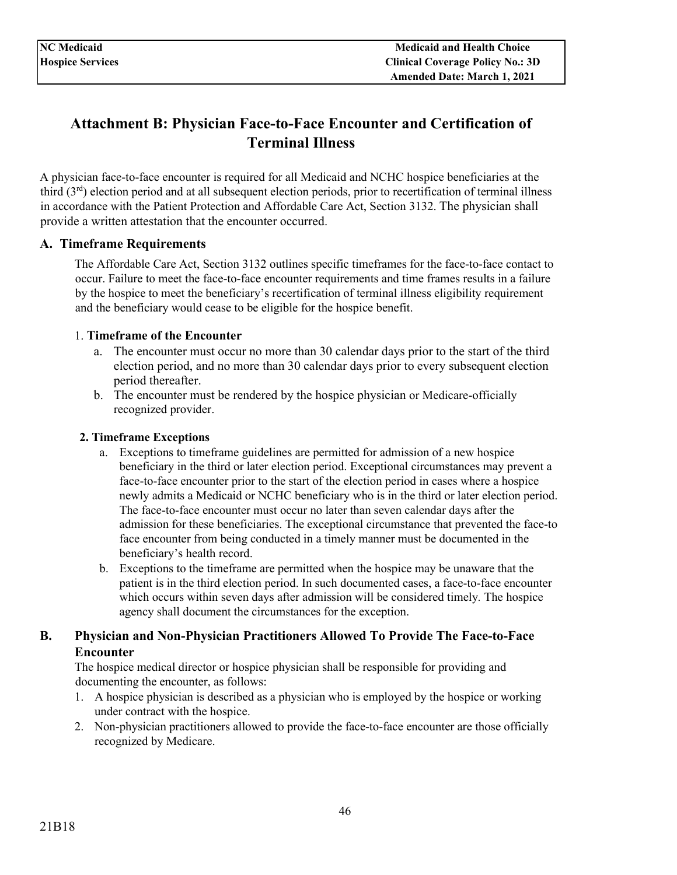# <span id="page-45-0"></span>**Attachment B: Physician Face-to-Face Encounter and Certification of Terminal Illness**

A physician face-to-face encounter is required for all Medicaid and NCHC hospice beneficiaries at the third (3rd) election period and at all subsequent election periods, prior to recertification of terminal illness in accordance with the Patient Protection and Affordable Care Act, Section 3132. The physician shall provide a written attestation that the encounter occurred.

### <span id="page-45-1"></span>**A. Timeframe Requirements**

The Affordable Care Act, Section 3132 outlines specific timeframes for the face-to-face contact to occur. Failure to meet the face-to-face encounter requirements and time frames results in a failure by the hospice to meet the beneficiary's recertification of terminal illness eligibility requirement and the beneficiary would cease to be eligible for the hospice benefit.

### 1. **Timeframe of the Encounter**

- a. The encounter must occur no more than 30 calendar days prior to the start of the third election period, and no more than 30 calendar days prior to every subsequent election period thereafter.
- b. The encounter must be rendered by the hospice physician or Medicare-officially recognized provider.

### **2. Timeframe Exceptions**

- a. Exceptions to timeframe guidelines are permitted for admission of a new hospice beneficiary in the third or later election period. Exceptional circumstances may prevent a face-to-face encounter prior to the start of the election period in cases where a hospice newly admits a Medicaid or NCHC beneficiary who is in the third or later election period. The face-to-face encounter must occur no later than seven calendar days after the admission for these beneficiaries. The exceptional circumstance that prevented the face-to face encounter from being conducted in a timely manner must be documented in the beneficiary's health record.
- b. Exceptions to the timeframe are permitted when the hospice may be unaware that the patient is in the third election period. In such documented cases, a face-to-face encounter which occurs within seven days after admission will be considered timely*.* The hospice agency shall document the circumstances for the exception.

### <span id="page-45-2"></span>**B. Physician and Non-Physician Practitioners Allowed To Provide The Face-to-Face Encounter**

The hospice medical director or hospice physician shall be responsible for providing and documenting the encounter, as follows:

- 1. A hospice physician is described as a physician who is employed by the hospice or working under contract with the hospice.
- 2. Non-physician practitioners allowed to provide the face-to-face encounter are those officially recognized by Medicare.